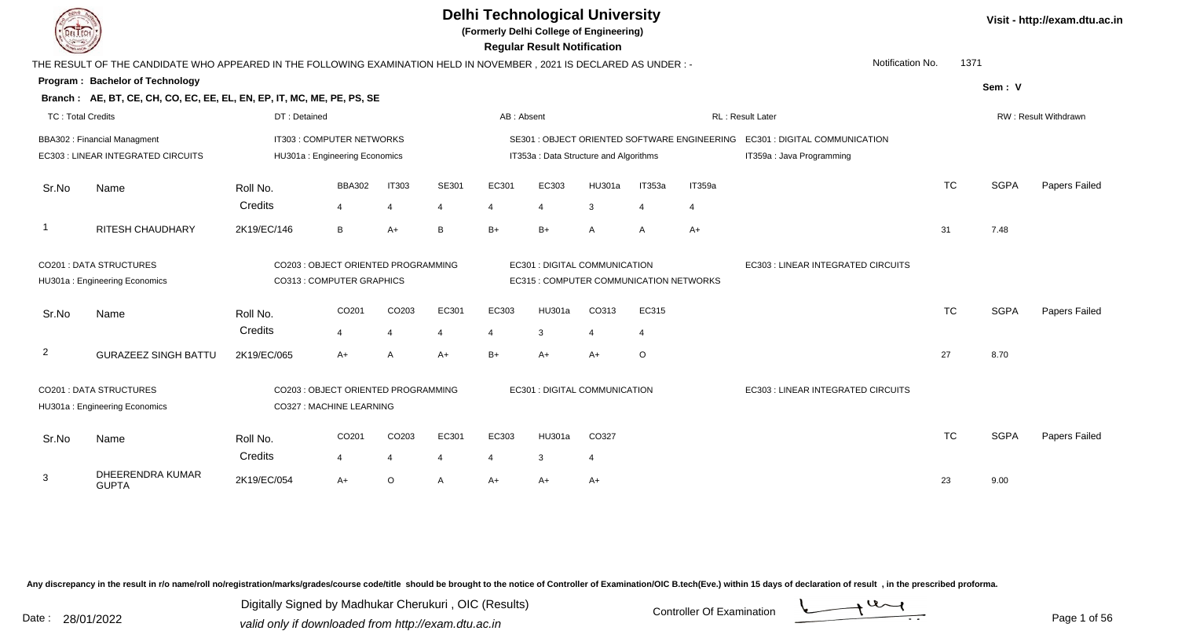**(Formerly Delhi College of Engineering)**

 **Regular Result Notification**

|                          | THE RESULT OF THE CANDIDATE WHO APPEARED IN THE FOLLOWING EXAMINATION HELD IN NOVEMBER, 2021 IS DECLARED AS UNDER :- |              |                                     |                   |                |                |                                         |        |                |                                              | Notification No.                         | 1371      |             |                      |
|--------------------------|----------------------------------------------------------------------------------------------------------------------|--------------|-------------------------------------|-------------------|----------------|----------------|-----------------------------------------|--------|----------------|----------------------------------------------|------------------------------------------|-----------|-------------|----------------------|
|                          | Program: Bachelor of Technology                                                                                      |              |                                     |                   |                |                |                                         |        |                |                                              |                                          |           | Sem: V      |                      |
|                          | Branch: AE, BT, CE, CH, CO, EC, EE, EL, EN, EP, IT, MC, ME, PE, PS, SE                                               |              |                                     |                   |                |                |                                         |        |                |                                              |                                          |           |             |                      |
| <b>TC: Total Credits</b> |                                                                                                                      | DT: Detained |                                     |                   |                | AB: Absent     |                                         |        |                |                                              | <b>RL: Result Later</b>                  |           |             | RW: Result Withdrawn |
|                          | <b>BBA302: Financial Managment</b>                                                                                   |              | IT303 : COMPUTER NETWORKS           |                   |                |                |                                         |        |                | SE301 : OBJECT ORIENTED SOFTWARE ENGINEERING | <b>EC301: DIGITAL COMMUNICATION</b>      |           |             |                      |
|                          | EC303 : LINEAR INTEGRATED CIRCUITS                                                                                   |              | HU301a: Engineering Economics       |                   |                |                | IT353a : Data Structure and Algorithms  |        |                |                                              | IT359a : Java Programming                |           |             |                      |
| Sr.No                    | Name                                                                                                                 | Roll No.     | <b>BBA302</b>                       | <b>IT303</b>      | SE301          | EC301          | EC303                                   | HU301a | IT353a         | IT359a                                       |                                          | <b>TC</b> | <b>SGPA</b> | Papers Failed        |
|                          |                                                                                                                      | Credits      | $\overline{4}$                      |                   | 4              |                |                                         | 3      | $\overline{4}$ | 4                                            |                                          |           |             |                      |
| $\overline{\phantom{0}}$ | RITESH CHAUDHARY                                                                                                     | 2K19/EC/146  | B                                   | $A+$              | B              | $B+$           | $B+$                                    | A      | $\overline{A}$ | $A+$                                         |                                          | 31        | 7.48        |                      |
|                          | <b>CO201: DATA STRUCTURES</b>                                                                                        |              | CO203: OBJECT ORIENTED PROGRAMMING  |                   |                |                | EC301 : DIGITAL COMMUNICATION           |        |                |                                              | <b>EC303: LINEAR INTEGRATED CIRCUITS</b> |           |             |                      |
|                          | HU301a: Engineering Economics                                                                                        |              | CO313 : COMPUTER GRAPHICS           |                   |                |                | EC315 : COMPUTER COMMUNICATION NETWORKS |        |                |                                              |                                          |           |             |                      |
| Sr.No                    | Name                                                                                                                 | Roll No.     | CO201                               | CO <sub>203</sub> | EC301          | EC303          | HU301a                                  | CO313  | EC315          |                                              |                                          | <b>TC</b> | <b>SGPA</b> | Papers Failed        |
|                          |                                                                                                                      | Credits      | 4                                   |                   | 4              |                | 3                                       |        | 4              |                                              |                                          |           |             |                      |
| $\overline{2}$           | <b>GURAZEEZ SINGH BATTU</b>                                                                                          | 2K19/EC/065  | $A+$                                |                   | $A+$           | $B+$           | $A+$                                    | $A+$   | $\circ$        |                                              |                                          | 27        | 8.70        |                      |
|                          | CO201 : DATA STRUCTURES                                                                                              |              | CO203 : OBJECT ORIENTED PROGRAMMING |                   |                |                | EC301 : DIGITAL COMMUNICATION           |        |                |                                              | EC303 : LINEAR INTEGRATED CIRCUITS       |           |             |                      |
|                          | HU301a: Engineering Economics                                                                                        |              | CO327 : MACHINE LEARNING            |                   |                |                |                                         |        |                |                                              |                                          |           |             |                      |
| Sr.No                    | Name                                                                                                                 | Roll No.     | CO201                               | CO203             | EC301          | EC303          | HU301a                                  | CO327  |                |                                              |                                          | <b>TC</b> | <b>SGPA</b> | Papers Failed        |
|                          |                                                                                                                      | Credits      | 4                                   | 4                 | $\overline{4}$ | $\overline{4}$ | 3                                       | 4      |                |                                              |                                          |           |             |                      |
| 3                        | DHEERENDRA KUMAR<br><b>GUPTA</b>                                                                                     | 2K19/EC/054  | $A+$                                | $\circ$           | $\mathsf{A}$   | $A+$           | $A+$                                    | $A+$   |                |                                              |                                          | 23        | 9.00        |                      |

Any discrepancy in the result in r/o name/roll no/registration/marks/grades/course code/title should be brought to the notice of Controller of Examination/OIC B.tech(Eve.) within 15 days of declaration of result, in the pr

Date : 28/01/2022 Valid only if downloaded from http://exam.dtu.ac.in<br>Valid only if downloaded from http://exam.dtu.ac.in Digitally Signed by Madhukar Cherukuri , OIC (Results)

**Visit - http://exam.dtu.ac.in**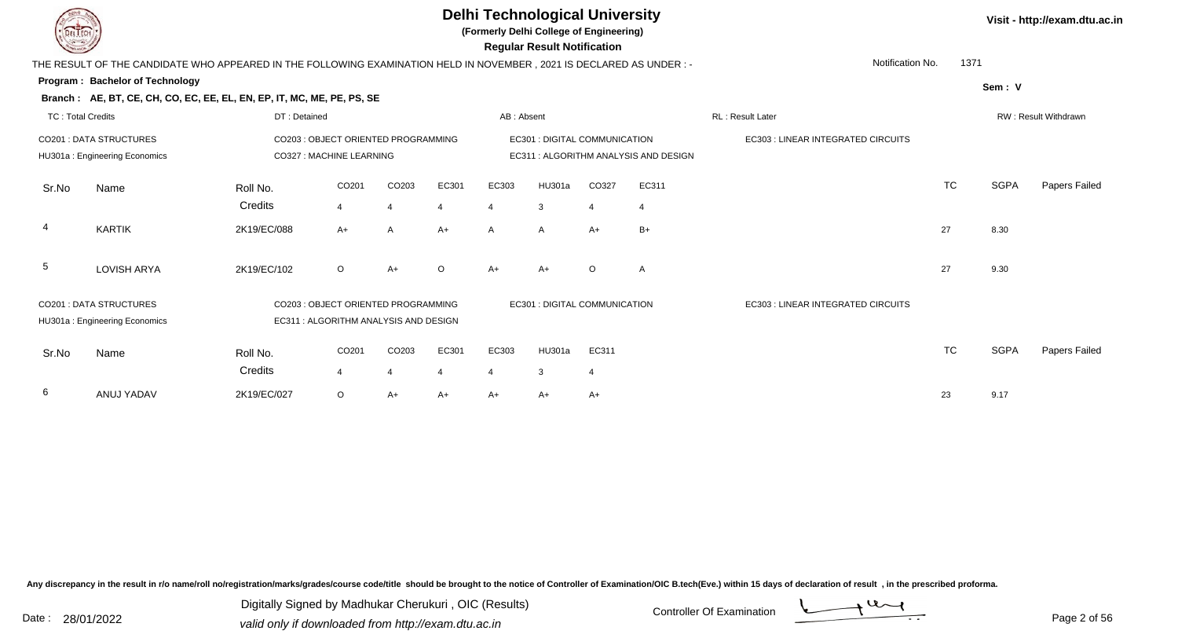**(Formerly Delhi College of Engineering)**

 **Regular Result Notification**

|  | Visit - http://exam.dtu.ac.in |  |
|--|-------------------------------|--|
|--|-------------------------------|--|

|       | Notification No.<br>THE RESULT OF THE CANDIDATE WHO APPEARED IN THE FOLLOWING EXAMINATION HELD IN NOVEMBER, 2021 IS DECLARED AS UNDER :- |                                                                              |                |                   |                  |                |                                       |                |                |                                    |           |        | 1371                 |  |  |  |
|-------|------------------------------------------------------------------------------------------------------------------------------------------|------------------------------------------------------------------------------|----------------|-------------------|------------------|----------------|---------------------------------------|----------------|----------------|------------------------------------|-----------|--------|----------------------|--|--|--|
|       | Program: Bachelor of Technology                                                                                                          |                                                                              |                |                   |                  |                |                                       |                |                |                                    |           | Sem: V |                      |  |  |  |
|       | Branch: AE, BT, CE, CH, CO, EC, EE, EL, EN, EP, IT, MC, ME, PE, PS, SE                                                                   |                                                                              |                |                   |                  |                |                                       |                |                |                                    |           |        |                      |  |  |  |
|       | <b>TC: Total Credits</b><br>DT: Detained                                                                                                 |                                                                              |                |                   |                  |                | AB: Absent                            |                |                | RL: Result Later                   |           |        | RW: Result Withdrawn |  |  |  |
|       | <b>CO201 : DATA STRUCTURES</b><br>CO203 : OBJECT ORIENTED PROGRAMMING                                                                    |                                                                              |                |                   |                  |                | EC301 : DIGITAL COMMUNICATION         |                |                | EC303 : LINEAR INTEGRATED CIRCUITS |           |        |                      |  |  |  |
|       | HU301a: Engineering Economics                                                                                                            | CO327: MACHINE LEARNING                                                      |                |                   |                  |                | EC311 : ALGORITHM ANALYSIS AND DESIGN |                |                |                                    |           |        |                      |  |  |  |
| Sr.No | Name                                                                                                                                     | Roll No.                                                                     | CO201          | CO203             | EC301            | EC303          | HU301a                                | CO327          | EC311          |                                    | <b>TC</b> | SGPA   | Papers Failed        |  |  |  |
|       |                                                                                                                                          | Credits                                                                      | $\overline{4}$ | $\overline{4}$    | $\boldsymbol{4}$ | 4              | 3                                     | $\overline{4}$ | $\overline{4}$ |                                    |           |        |                      |  |  |  |
| 4     | <b>KARTIK</b>                                                                                                                            | 2K19/EC/088                                                                  | $A+$           | A                 | $A+$             | $\mathsf{A}$   | A                                     | $A+$           | $B+$           |                                    | 27        | 8.30   |                      |  |  |  |
| 5     | <b>LOVISH ARYA</b>                                                                                                                       | 2K19/EC/102                                                                  | $\circ$        | $A+$              | $\circ$          | $A+$           | $A+$                                  | $\circ$        | A              |                                    | 27        | 9.30   |                      |  |  |  |
|       | <b>CO201: DATA STRUCTURES</b><br>HU301a: Engineering Economics                                                                           | CO203 : OBJECT ORIENTED PROGRAMMING<br>EC311 : ALGORITHM ANALYSIS AND DESIGN |                |                   |                  |                | EC301 : DIGITAL COMMUNICATION         |                |                | EC303 : LINEAR INTEGRATED CIRCUITS |           |        |                      |  |  |  |
| Sr.No | Name                                                                                                                                     | Roll No.<br>Credits                                                          | CO201          | CO <sub>203</sub> | EC301            | EC303          | HU301a                                | EC311          |                |                                    | <b>TC</b> | SGPA   | Papers Failed        |  |  |  |
|       |                                                                                                                                          |                                                                              | 4              | 4                 | 4                | $\overline{4}$ | 3                                     | $\overline{4}$ |                |                                    |           |        |                      |  |  |  |
| 6     | ANUJ YADAV                                                                                                                               | 2K19/EC/027                                                                  | $\circ$        | A+                | $A+$             | A+             | A+                                    | $A+$           |                |                                    | 23        | 9.17   |                      |  |  |  |

Any discrepancy in the result in r/o name/roll no/registration/marks/grades/course code/title should be brought to the notice of Controller of Examination/OIC B.tech(Eve.) within 15 days of declaration of result, in the pr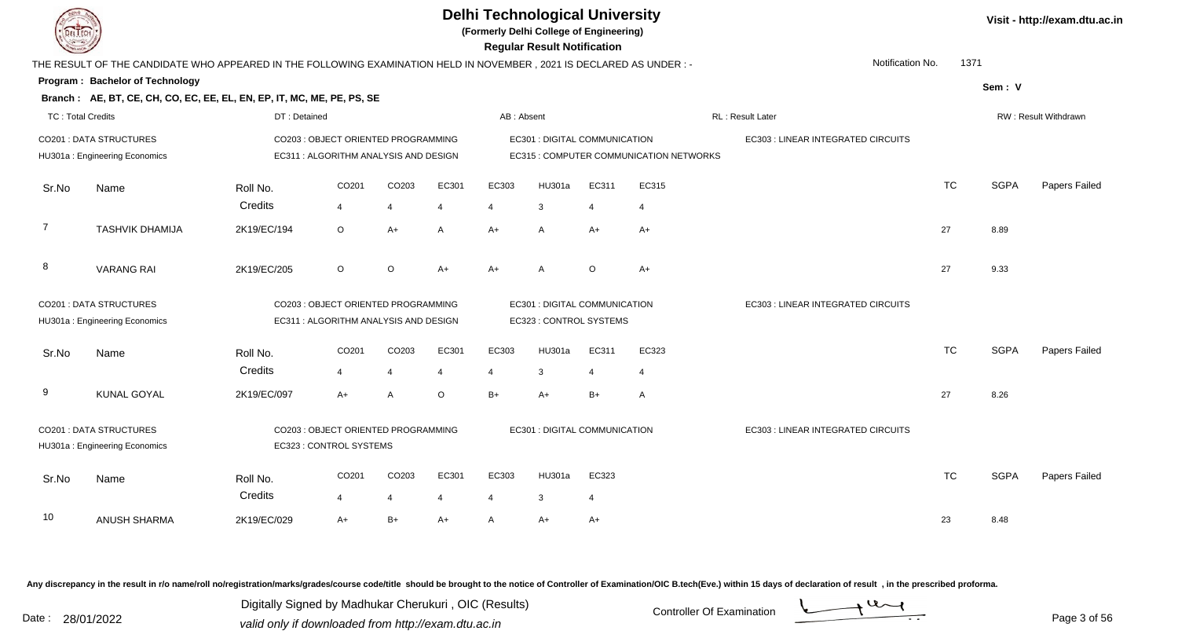

**(Formerly Delhi College of Engineering)**

 **Regular Result Notification**

|  | Visit - http://exam.dtu.ac.in |  |
|--|-------------------------------|--|
|--|-------------------------------|--|

| $\sim$                   |                                                                                                                     |              |                                       |                       |                |                       | n <del>c</del> yular n <del>c</del> sult notification |                |                                         |                                    |           |             |                             |
|--------------------------|---------------------------------------------------------------------------------------------------------------------|--------------|---------------------------------------|-----------------------|----------------|-----------------------|-------------------------------------------------------|----------------|-----------------------------------------|------------------------------------|-----------|-------------|-----------------------------|
|                          | THE RESULT OF THE CANDIDATE WHO APPEARED IN THE FOLLOWING EXAMINATION HELD IN NOVEMBER, 2021 IS DECLARED AS UNDER:- |              |                                       |                       |                |                       |                                                       |                |                                         | Notification No.                   | 1371      |             |                             |
|                          | <b>Program: Bachelor of Technology</b>                                                                              |              |                                       |                       |                |                       |                                                       |                |                                         |                                    |           | Sem: V      |                             |
|                          | Branch: AE, BT, CE, CH, CO, EC, EE, EL, EN, EP, IT, MC, ME, PE, PS, SE                                              |              |                                       |                       |                |                       |                                                       |                |                                         |                                    |           |             |                             |
| <b>TC: Total Credits</b> |                                                                                                                     | DT: Detained |                                       |                       |                | AB: Absent            |                                                       |                |                                         | <b>RL: Result Later</b>            |           |             | <b>RW: Result Withdrawn</b> |
|                          | CO201 : DATA STRUCTURES                                                                                             |              | CO203 : OBJECT ORIENTED PROGRAMMING   |                       |                |                       | EC301 : DIGITAL COMMUNICATION                         |                |                                         | EC303 : LINEAR INTEGRATED CIRCUITS |           |             |                             |
|                          | HU301a: Engineering Economics                                                                                       |              | EC311 : ALGORITHM ANALYSIS AND DESIGN |                       |                |                       |                                                       |                | EC315 : COMPUTER COMMUNICATION NETWORKS |                                    |           |             |                             |
| Sr.No                    | Name                                                                                                                | Roll No.     | CO201                                 | CO203                 | EC301          | EC303                 | HU301a                                                | EC311          | EC315                                   |                                    | <b>TC</b> | <b>SGPA</b> | Papers Failed               |
|                          |                                                                                                                     | Credits      | $\overline{4}$                        | $\boldsymbol{\Delta}$ | $\overline{4}$ | $\overline{4}$        | 3                                                     | $\overline{4}$ | $\overline{4}$                          |                                    |           |             |                             |
| 7                        | <b>TASHVIK DHAMIJA</b>                                                                                              | 2K19/EC/194  | O                                     | A+                    | A              | A+                    | $\overline{A}$                                        | $A+$           | $A+$                                    |                                    | 27        | 8.89        |                             |
| 8                        | <b>VARANG RAI</b>                                                                                                   | 2K19/EC/205  | $\circ$                               | $\circ$               | $A+$           | $A+$                  | $\overline{A}$                                        | $\circ$        | $A+$                                    |                                    | 27        | 9.33        |                             |
|                          | <b>CO201: DATA STRUCTURES</b>                                                                                       |              | CO203 : OBJECT ORIENTED PROGRAMMING   |                       |                |                       | EC301 : DIGITAL COMMUNICATION                         |                |                                         | EC303 : LINEAR INTEGRATED CIRCUITS |           |             |                             |
|                          | HU301a: Engineering Economics                                                                                       |              | EC311 : ALGORITHM ANALYSIS AND DESIGN |                       |                |                       | EC323 : CONTROL SYSTEMS                               |                |                                         |                                    |           |             |                             |
| Sr.No                    | Name                                                                                                                | Roll No.     | CO <sub>201</sub>                     | CO203                 | EC301          | EC303                 | HU301a                                                | EC311          | EC323                                   |                                    | <b>TC</b> | <b>SGPA</b> | Papers Failed               |
|                          |                                                                                                                     | Credits      | $\overline{4}$                        | $\overline{4}$        | $\overline{4}$ | $\overline{4}$        | 3                                                     | $\overline{4}$ | $\overline{4}$                          |                                    |           |             |                             |
| 9                        | <b>KUNAL GOYAL</b>                                                                                                  | 2K19/EC/097  | $A+$                                  | A                     | O              | $B+$                  | $A+$                                                  | $B+$           | A                                       |                                    | 27        | 8.26        |                             |
|                          | CO201 : DATA STRUCTURES                                                                                             |              | CO203 : OBJECT ORIENTED PROGRAMMING   |                       |                |                       | EC301 : DIGITAL COMMUNICATION                         |                |                                         | EC303 : LINEAR INTEGRATED CIRCUITS |           |             |                             |
|                          | HU301a: Engineering Economics                                                                                       |              | EC323 : CONTROL SYSTEMS               |                       |                |                       |                                                       |                |                                         |                                    |           |             |                             |
| Sr.No                    | Name                                                                                                                | Roll No.     | CO201                                 | CO203                 | EC301          | EC303                 | HU301a                                                | EC323          |                                         |                                    | <b>TC</b> | <b>SGPA</b> | Papers Failed               |
|                          |                                                                                                                     | Credits      | $\overline{\mathbf{4}}$               | 4                     | $\overline{4}$ | $\boldsymbol{\Delta}$ | 3                                                     | $\overline{4}$ |                                         |                                    |           |             |                             |
| 10                       | <b>ANUSH SHARMA</b>                                                                                                 | 2K19/EC/029  | $A+$                                  | $B+$                  | $A+$           | $\mathsf{A}$          | $A+$                                                  | A+             |                                         |                                    | 23        | 8.48        |                             |
|                          |                                                                                                                     |              |                                       |                       |                |                       |                                                       |                |                                         |                                    |           |             |                             |

Any discrepancy in the result in r/o name/roll no/registration/marks/grades/course code/title should be brought to the notice of Controller of Examination/OIC B.tech(Eve.) within 15 days of declaration of result, in the pr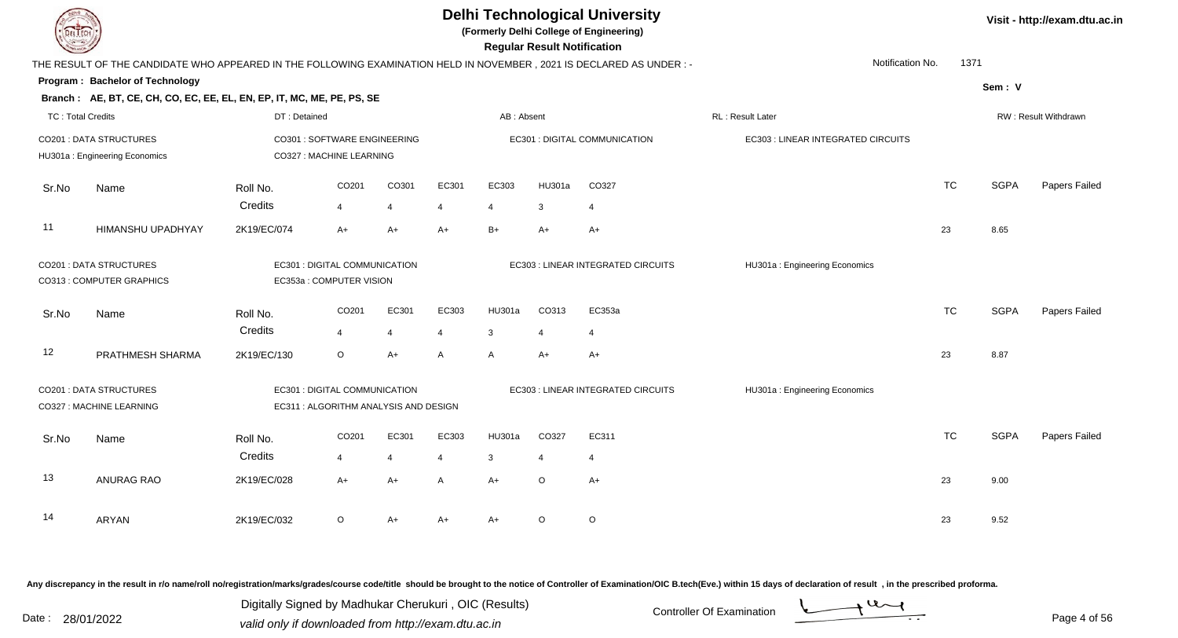|                          |                                                                                                                     |                                                          |                                                                        |                |                |                | <b>Regular Result Notification</b> | <b>Delhi Technological University</b><br>(Formerly Delhi College of Engineering) |                                    |           |             | Visit - http://exam.dtu.ac.in |
|--------------------------|---------------------------------------------------------------------------------------------------------------------|----------------------------------------------------------|------------------------------------------------------------------------|----------------|----------------|----------------|------------------------------------|----------------------------------------------------------------------------------|------------------------------------|-----------|-------------|-------------------------------|
|                          | THE RESULT OF THE CANDIDATE WHO APPEARED IN THE FOLLOWING EXAMINATION HELD IN NOVEMBER, 2021 IS DECLARED AS UNDER:- |                                                          |                                                                        |                |                |                |                                    |                                                                                  | Notification No.                   | 1371      |             |                               |
|                          | Program: Bachelor of Technology                                                                                     |                                                          |                                                                        |                |                |                |                                    |                                                                                  |                                    |           | Sem: V      |                               |
|                          | Branch: AE, BT, CE, CH, CO, EC, EE, EL, EN, EP, IT, MC, ME, PE, PS, SE                                              |                                                          |                                                                        |                |                |                |                                    |                                                                                  |                                    |           |             |                               |
| <b>TC: Total Credits</b> |                                                                                                                     | DT: Detained                                             |                                                                        |                |                | AB: Absent     |                                    |                                                                                  | RL: Result Later                   |           |             | RW: Result Withdrawn          |
|                          | <b>CO201: DATA STRUCTURES</b><br>HU301a: Engineering Economics                                                      | CO301 : SOFTWARE ENGINEERING<br>CO327 : MACHINE LEARNING |                                                                        |                |                |                |                                    | EC301 : DIGITAL COMMUNICATION                                                    | EC303 : LINEAR INTEGRATED CIRCUITS |           |             |                               |
| Sr.No                    | Name                                                                                                                | Roll No.                                                 | CO201                                                                  | CO301          | EC301          | EC303          | <b>HU301a</b>                      | CO327                                                                            |                                    | <b>TC</b> | <b>SGPA</b> | Papers Failed                 |
|                          |                                                                                                                     | Credits                                                  | 4                                                                      | $\overline{4}$ | $\overline{4}$ | $\overline{4}$ | 3                                  | $\overline{4}$                                                                   |                                    |           |             |                               |
| 11                       | HIMANSHU UPADHYAY                                                                                                   | 2K19/EC/074                                              | $A+$                                                                   | $A+$           | $A+$           | $B+$           | $A+$                               | $A+$                                                                             |                                    | 23        | 8.65        |                               |
|                          | <b>CO201: DATA STRUCTURES</b><br>CO313 : COMPUTER GRAPHICS                                                          |                                                          | EC301 : DIGITAL COMMUNICATION<br>EC353a: COMPUTER VISION               |                |                |                |                                    | EC303 : LINEAR INTEGRATED CIRCUITS                                               | HU301a: Engineering Economics      |           |             |                               |
| Sr.No                    | Name                                                                                                                | Roll No.                                                 | CO201                                                                  | EC301          | EC303          | <b>HU301a</b>  | CO313                              | EC353a                                                                           |                                    | <b>TC</b> | <b>SGPA</b> | Papers Failed                 |
|                          |                                                                                                                     | Credits                                                  | 4                                                                      | $\overline{4}$ | $\overline{4}$ | $\mathbf{3}$   | $\overline{4}$                     | $\overline{4}$                                                                   |                                    |           |             |                               |
| 12                       | PRATHMESH SHARMA                                                                                                    | 2K19/EC/130                                              | O                                                                      | $A+$           | A              | $\mathsf{A}$   | $A+$                               | $A+$                                                                             |                                    | 23        | 8.87        |                               |
|                          | CO201 : DATA STRUCTURES<br>CO327 : MACHINE LEARNING                                                                 |                                                          | EC301 : DIGITAL COMMUNICATION<br>EC311 : ALGORITHM ANALYSIS AND DESIGN |                |                |                |                                    | EC303 : LINEAR INTEGRATED CIRCUITS                                               | HU301a: Engineering Economics      |           |             |                               |
| Sr.No                    | Name                                                                                                                | Roll No.                                                 | CO <sub>201</sub>                                                      | EC301          | EC303          | HU301a         | CO327                              | EC311                                                                            |                                    | <b>TC</b> | <b>SGPA</b> | Papers Failed                 |
|                          |                                                                                                                     | Credits                                                  | 4                                                                      | $\overline{4}$ | $\overline{4}$ | $\mathbf{3}$   | $\overline{4}$                     | $\overline{4}$                                                                   |                                    |           |             |                               |
| 13                       | <b>ANURAG RAO</b>                                                                                                   | 2K19/EC/028                                              | A+                                                                     | A+             | A              | $A+$           | $\circ$                            | $A+$                                                                             |                                    | 23        | 9.00        |                               |
| 14                       | ARYAN                                                                                                               | 2K19/EC/032                                              | O                                                                      | $A+$           | A+             | $A+$           | $\circ$                            | $\mathsf O$                                                                      |                                    | 23        | 9.52        |                               |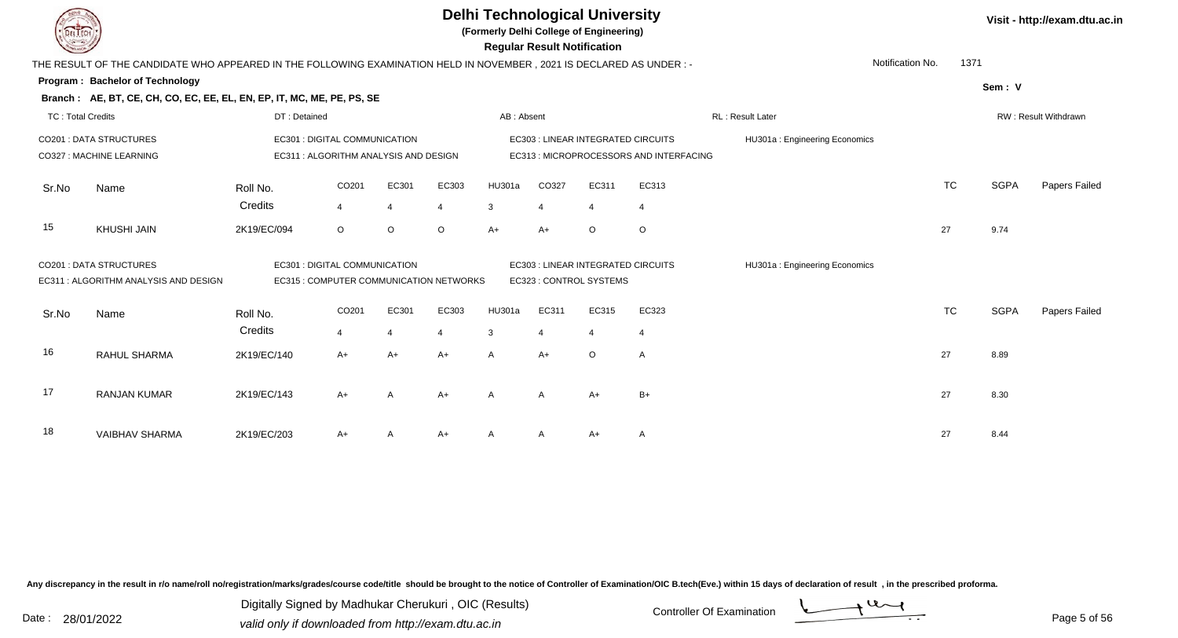**(Formerly Delhi College of Engineering)**

 **Regular Result Notification**

|                          | THE RESULT OF THE CANDIDATE WHO APPEARED IN THE FOLLOWING EXAMINATION HELD IN NOVEMBER , 2021 IS DECLARED AS UNDER : - |                     |                                                                              |         |                         |                    |                                |                         |                                                                                      | Notification No.              | 1371      |             |                      |
|--------------------------|------------------------------------------------------------------------------------------------------------------------|---------------------|------------------------------------------------------------------------------|---------|-------------------------|--------------------|--------------------------------|-------------------------|--------------------------------------------------------------------------------------|-------------------------------|-----------|-------------|----------------------|
|                          | <b>Program: Bachelor of Technology</b><br>Branch: AE, BT, CE, CH, CO, EC, EE, EL, EN, EP, IT, MC, ME, PE, PS, SE       |                     |                                                                              |         |                         |                    |                                |                         |                                                                                      |                               |           | Sem: V      |                      |
| <b>TC: Total Credits</b> |                                                                                                                        | DT: Detained        |                                                                              |         |                         | AB: Absent         |                                |                         |                                                                                      | RL: Result Later              |           |             | RW: Result Withdrawn |
|                          | <b>CO201: DATA STRUCTURES</b><br>CO327 : MACHINE LEARNING                                                              |                     | <b>EC301: DIGITAL COMMUNICATION</b><br>EC311 : ALGORITHM ANALYSIS AND DESIGN |         |                         |                    |                                |                         | <b>EC303 : LINEAR INTEGRATED CIRCUITS</b><br>EC313 : MICROPROCESSORS AND INTERFACING | HU301a: Engineering Economics |           |             |                      |
| Sr.No                    | Name                                                                                                                   | Roll No.<br>Credits | CO201<br>$\overline{4}$                                                      | EC301   | EC303<br>$\overline{4}$ | <b>HU301a</b><br>3 | CO327<br>4                     | EC311<br>4              | EC313<br>$\overline{4}$                                                              |                               | <b>TC</b> | <b>SGPA</b> | Papers Failed        |
| 15                       | <b>KHUSHI JAIN</b>                                                                                                     | 2K19/EC/094         | $\circ$                                                                      | $\circ$ | $\circ$                 | $A+$               | $A+$                           | $\circ$                 | $\circ$                                                                              |                               | 27        | 9.74        |                      |
|                          | <b>CO201: DATA STRUCTURES</b><br>EC311 : ALGORITHM ANALYSIS AND DESIGN                                                 |                     | EC301 : DIGITAL COMMUNICATION<br>EC315 : COMPUTER COMMUNICATION NETWORKS     |         |                         |                    |                                | EC323 : CONTROL SYSTEMS | EC303 : LINEAR INTEGRATED CIRCUITS                                                   | HU301a: Engineering Economics |           |             |                      |
| Sr.No                    | Name                                                                                                                   | Roll No.<br>Credits | CO <sub>201</sub><br>$\overline{4}$                                          | EC301   | EC303<br>4              | HU301a<br>3        | EC311<br>$\boldsymbol{\Delta}$ | EC315<br>4              | EC323<br>$\overline{4}$                                                              |                               | <b>TC</b> | <b>SGPA</b> | Papers Failed        |
| 16                       | <b>RAHUL SHARMA</b>                                                                                                    | 2K19/EC/140         | $A+$                                                                         | $A+$    | $A+$                    | A                  | $A+$                           | $\circ$                 | A                                                                                    |                               | 27        | 8.89        |                      |
| 17                       | <b>RANJAN KUMAR</b>                                                                                                    | 2K19/EC/143         | $A+$                                                                         | A       | $A+$                    | A                  | $\mathsf{A}$                   | $A+$                    | $B+$                                                                                 |                               | 27        | 8.30        |                      |
| 18                       | <b>VAIBHAV SHARMA</b>                                                                                                  | 2K19/EC/203         | $A+$                                                                         |         | A+                      |                    | A                              | $A+$                    | A                                                                                    |                               | 27        | 8.44        |                      |

Any discrepancy in the result in r/o name/roll no/registration/marks/grades/course code/title should be brought to the notice of Controller of Examination/OIC B.tech(Eve.) within 15 days of declaration of result, in the pr

Date : 28/01/2022 Valid only if downloaded from http://exam.dtu.ac.in<br>valid only if downloaded from http://exam.dtu.ac.in Digitally Signed by Madhukar Cherukuri , OIC (Results)



Page 5 of 56

**Visit - http://exam.dtu.ac.in**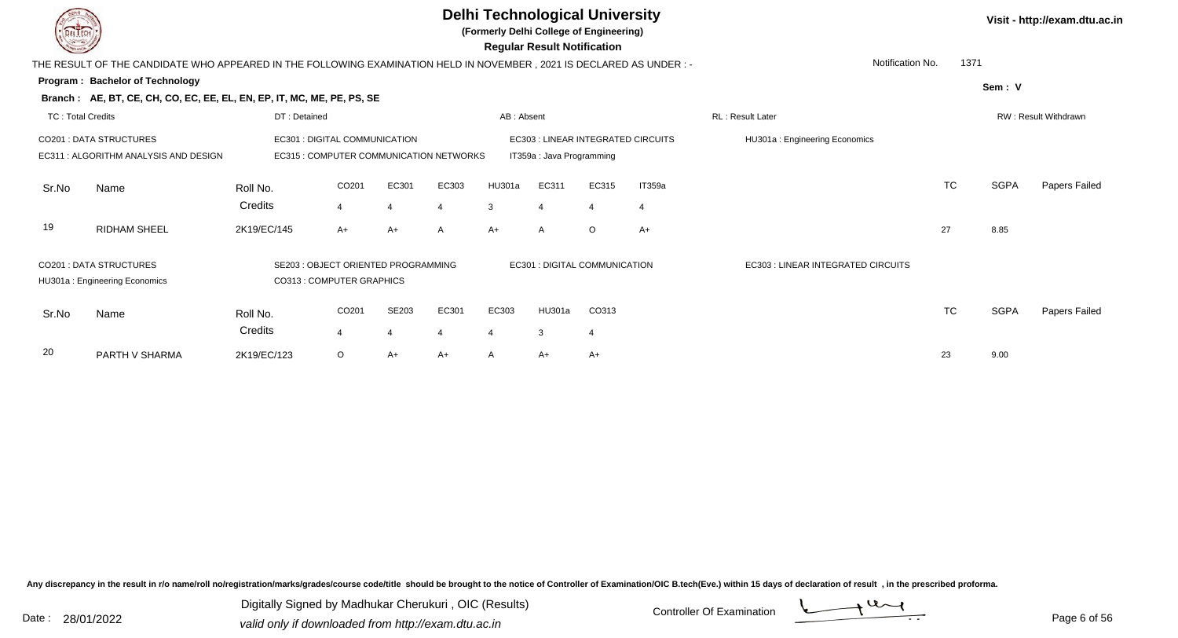**(Formerly Delhi College of Engineering)**

 **Regular Result Notification**

|                          | THE RESULT OF THE CANDIDATE WHO APPEARED IN THE FOLLOWING EXAMINATION HELD IN NOVEMBER , 2021 IS DECLARED AS UNDER :- |                     |                                                                          |       |                |             |                               |         |                                    | Notification No.                   | 1371      |             |                      |
|--------------------------|-----------------------------------------------------------------------------------------------------------------------|---------------------|--------------------------------------------------------------------------|-------|----------------|-------------|-------------------------------|---------|------------------------------------|------------------------------------|-----------|-------------|----------------------|
|                          | Program: Bachelor of Technology                                                                                       |                     |                                                                          |       |                |             |                               |         |                                    |                                    |           | Sem: V      |                      |
|                          | Branch: AE, BT, CE, CH, CO, EC, EE, EL, EN, EP, IT, MC, ME, PE, PS, SE                                                |                     |                                                                          |       |                |             |                               |         |                                    |                                    |           |             |                      |
| <b>TC: Total Credits</b> |                                                                                                                       | DT: Detained        |                                                                          |       |                | AB: Absent  |                               |         |                                    | RL: Result Later                   |           |             | RW: Result Withdrawn |
|                          | <b>CO201 : DATA STRUCTURES</b><br>EC311 : ALGORITHM ANALYSIS AND DESIGN                                               |                     | EC301 : DIGITAL COMMUNICATION<br>EC315 : COMPUTER COMMUNICATION NETWORKS |       |                |             | IT359a : Java Programming     |         | EC303 : LINEAR INTEGRATED CIRCUITS | HU301a: Engineering Economics      |           |             |                      |
| Sr.No                    | Name                                                                                                                  | Roll No.<br>Credits | CO201<br>4                                                               | EC301 | EC303<br>4     | HU301a<br>3 | EC311<br>4                    | EC315   | IT359a<br>$\overline{4}$           |                                    | <b>TC</b> | <b>SGPA</b> | Papers Failed        |
| 19                       | <b>RIDHAM SHEEL</b>                                                                                                   | 2K19/EC/145         | $A+$                                                                     | $A+$  | $\overline{A}$ | $A+$        | $\mathsf{A}$                  | $\circ$ | $A+$                               |                                    | 27        | 8.85        |                      |
|                          | <b>CO201 : DATA STRUCTURES</b><br>HU301a: Engineering Economics                                                       |                     | SE203 : OBJECT ORIENTED PROGRAMMING<br>CO313 : COMPUTER GRAPHICS         |       |                |             | EC301 : DIGITAL COMMUNICATION |         |                                    | EC303 : LINEAR INTEGRATED CIRCUITS |           |             |                      |
| Sr.No                    | Name                                                                                                                  | Roll No.<br>Credits | CO201<br>4                                                               | SE203 | EC301<br>-4    | EC303<br>4  | HU301a<br>3                   | CO313   |                                    |                                    | <b>TC</b> | <b>SGPA</b> | Papers Failed        |
| 20                       | PARTH V SHARMA                                                                                                        | 2K19/EC/123         | $\circ$                                                                  | A+    | $A+$           | A           | $A+$                          | $A+$    |                                    |                                    | 23        | 9.00        |                      |

Any discrepancy in the result in r/o name/roll no/registration/marks/grades/course code/title should be brought to the notice of Controller of Examination/OIC B.tech(Eve.) within 15 days of declaration of result, in the pr

Date : 28/01/2022 Valid only if downloaded from http://exam.dtu.ac.in<br>Valid only if downloaded from http://exam.dtu.ac.in Digitally Signed by Madhukar Cherukuri , OIC (Results)

**Visit - http://exam.dtu.ac.in**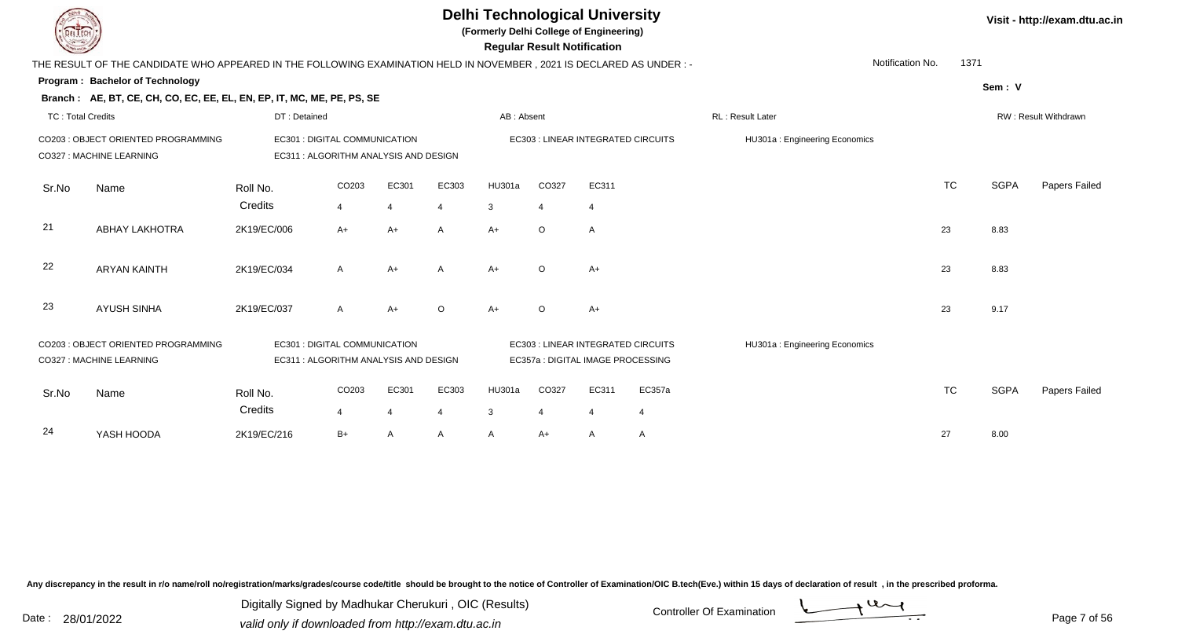| EL ECH                   |                                                                                                                      |                                                                        |            |                         |          | <b>Delhi Technological University</b><br>(Formerly Delhi College of Engineering) |                | <b>Regular Result Notification</b> |                                    |                               |                  |           |             | Visit - http://exam.dtu.ac.in |
|--------------------------|----------------------------------------------------------------------------------------------------------------------|------------------------------------------------------------------------|------------|-------------------------|----------|----------------------------------------------------------------------------------|----------------|------------------------------------|------------------------------------|-------------------------------|------------------|-----------|-------------|-------------------------------|
|                          | THE RESULT OF THE CANDIDATE WHO APPEARED IN THE FOLLOWING EXAMINATION HELD IN NOVEMBER, 2021 IS DECLARED AS UNDER :- |                                                                        |            |                         |          |                                                                                  |                |                                    |                                    |                               | Notification No. | 1371      |             |                               |
|                          | <b>Program: Bachelor of Technology</b>                                                                               |                                                                        |            |                         |          |                                                                                  |                |                                    |                                    |                               |                  |           | Sem: V      |                               |
|                          | Branch: AE, BT, CE, CH, CO, EC, EE, EL, EN, EP, IT, MC, ME, PE, PS, SE                                               |                                                                        |            |                         |          |                                                                                  |                |                                    |                                    |                               |                  |           |             |                               |
| <b>TC: Total Credits</b> |                                                                                                                      | DT: Detained                                                           |            |                         |          | AB: Absent                                                                       |                |                                    |                                    | RL : Result Later             |                  |           |             | RW: Result Withdrawn          |
|                          | CO203 : OBJECT ORIENTED PROGRAMMING<br>CO327 : MACHINE LEARNING                                                      | EC301 : DIGITAL COMMUNICATION<br>EC311 : ALGORITHM ANALYSIS AND DESIGN |            |                         |          |                                                                                  |                |                                    | EC303 : LINEAR INTEGRATED CIRCUITS | HU301a: Engineering Economics |                  |           |             |                               |
| Sr.No                    | Name                                                                                                                 | Roll No.                                                               | CO203      | EC301                   | EC303    | <b>HU301a</b>                                                                    | CO327          | EC311                              |                                    |                               |                  | <b>TC</b> | <b>SGPA</b> | Papers Failed                 |
|                          |                                                                                                                      | Credits                                                                | 4          | $\overline{4}$          | 4        | 3                                                                                | $\overline{4}$ | $\overline{4}$                     |                                    |                               |                  |           |             |                               |
| 21                       | <b>ABHAY LAKHOTRA</b>                                                                                                | 2K19/EC/006                                                            | $A+$       | $A+$                    | A        | $A+$                                                                             | $\circ$        | Α                                  |                                    |                               |                  | 23        | 8.83        |                               |
| 22                       | <b>ARYAN KAINTH</b>                                                                                                  | 2K19/EC/034                                                            | A          | $A+$                    | A        | $A+$                                                                             | $\circ$        | $A+$                               |                                    |                               |                  | 23        | 8.83        |                               |
| 23                       | <b>AYUSH SINHA</b>                                                                                                   | 2K19/EC/037                                                            | A          | $A+$                    | $\Omega$ | $A+$                                                                             | $\circ$        | $A+$                               |                                    |                               |                  | 23        | 9.17        |                               |
|                          | CO203 : OBJECT ORIENTED PROGRAMMING<br>CO327 : MACHINE LEARNING                                                      | EC301 : DIGITAL COMMUNICATION<br>EC311 : ALGORITHM ANALYSIS AND DESIGN |            |                         |          |                                                                                  |                | EC357a : DIGITAL IMAGE PROCESSING  | EC303 : LINEAR INTEGRATED CIRCUITS | HU301a: Engineering Economics |                  |           |             |                               |
| Sr.No                    | Name                                                                                                                 | Roll No.<br>Credits                                                    | CO203<br>4 | EC301<br>$\overline{4}$ | EC303    | HU301a<br>3                                                                      | CO327<br>4     | EC311<br>$\overline{4}$            | EC357a<br>$\overline{4}$           |                               |                  | <b>TC</b> | <b>SGPA</b> | Papers Failed                 |
|                          |                                                                                                                      |                                                                        |            |                         |          |                                                                                  |                |                                    |                                    |                               |                  |           |             |                               |
| 24                       | YASH HOODA                                                                                                           | 2K19/EC/216                                                            | $B+$       | A                       | A        | A                                                                                | A+             | A                                  | A                                  |                               |                  | 27        | 8.00        |                               |

Digitally Signed by Madhukar Cherukuri, OIC (Results)<br>Date : 28/01/2022 valid only if downloaded from http://exam.dtu.ac.in Digitally Signed by Madhukar Cherukuri , OIC (Results)valid only if downloaded from http://exam.dtu.ac.in

Page 7 of 56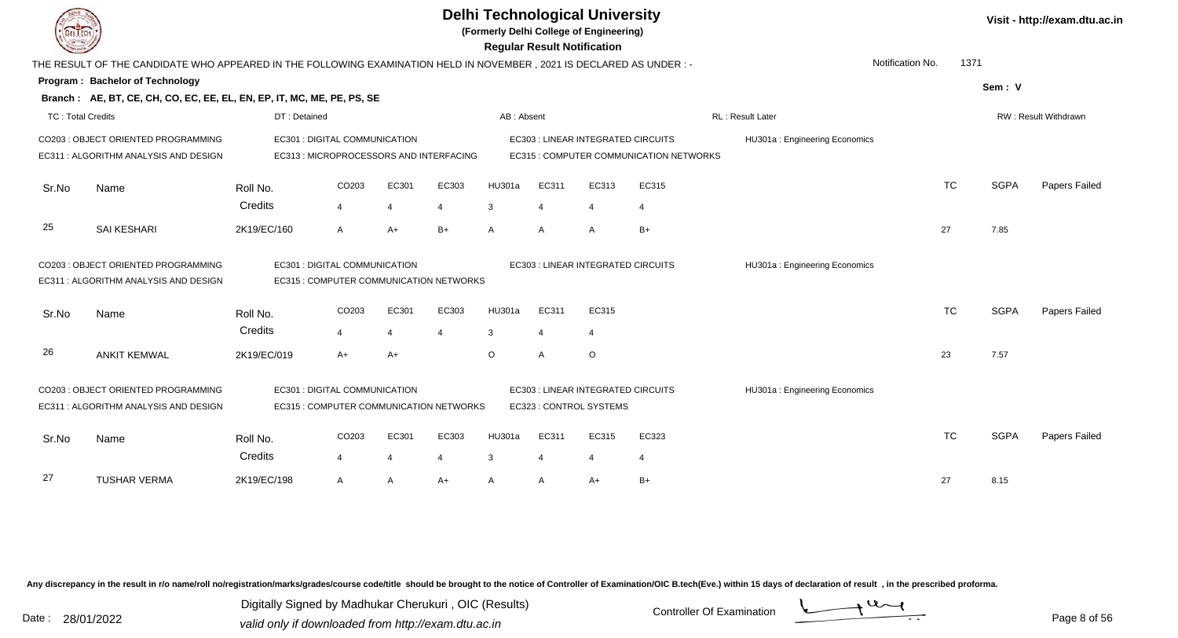|                   |                                                                                                                     |              |                               |                |                                         |              |                | <b>Delhi Technological University</b><br>(Formerly Delhi College of Engineering)<br><b>Regular Result Notification</b> |                                         |                               |           |             | Visit - http://exam.dtu.ac.in |
|-------------------|---------------------------------------------------------------------------------------------------------------------|--------------|-------------------------------|----------------|-----------------------------------------|--------------|----------------|------------------------------------------------------------------------------------------------------------------------|-----------------------------------------|-------------------------------|-----------|-------------|-------------------------------|
|                   | THE RESULT OF THE CANDIDATE WHO APPEARED IN THE FOLLOWING EXAMINATION HELD IN NOVEMBER, 2021 IS DECLARED AS UNDER:- |              |                               |                |                                         |              |                |                                                                                                                        |                                         | Notification No.              | 1371      |             |                               |
|                   | Program: Bachelor of Technology                                                                                     |              |                               |                |                                         |              |                |                                                                                                                        |                                         |                               |           | Sem: V      |                               |
|                   | Branch: AE, BT, CE, CH, CO, EC, EE, EL, EN, EP, IT, MC, ME, PE, PS, SE                                              |              |                               |                |                                         |              |                |                                                                                                                        |                                         |                               |           |             |                               |
| TC: Total Credits |                                                                                                                     | DT: Detained |                               |                |                                         | AB: Absent   |                |                                                                                                                        |                                         | <b>RL: Result Later</b>       |           |             | RW: Result Withdrawn          |
|                   | CO203 : OBJECT ORIENTED PROGRAMMING                                                                                 |              | EC301 : DIGITAL COMMUNICATION |                |                                         |              |                | <b>EC303 : LINEAR INTEGRATED CIRCUITS</b>                                                                              |                                         | HU301a: Engineering Economics |           |             |                               |
|                   | EC311: ALGORITHM ANALYSIS AND DESIGN                                                                                |              |                               |                | EC313 : MICROPROCESSORS AND INTERFACING |              |                |                                                                                                                        | EC315 : COMPUTER COMMUNICATION NETWORKS |                               |           |             |                               |
| Sr.No             | Name                                                                                                                | Roll No.     | CO <sub>203</sub>             | EC301          | EC303                                   | HU301a       | EC311          | EC313                                                                                                                  | EC315                                   |                               | <b>TC</b> | <b>SGPA</b> | Papers Failed                 |
|                   |                                                                                                                     | Credits      | $\overline{4}$                | $\overline{4}$ | $\overline{4}$                          | 3            | $\overline{4}$ | $\overline{4}$                                                                                                         | $\overline{4}$                          |                               |           |             |                               |
| 25                | <b>SAI KESHARI</b>                                                                                                  | 2K19/EC/160  | A                             | $A+$           | $B+$                                    | $\mathsf{A}$ | $\mathsf{A}$   | $\overline{A}$                                                                                                         | $B+$                                    |                               | 27        | 7.85        |                               |
|                   | CO203 : OBJECT ORIENTED PROGRAMMING                                                                                 |              | EC301 : DIGITAL COMMUNICATION |                |                                         |              |                | EC303 : LINEAR INTEGRATED CIRCUITS                                                                                     |                                         | HU301a: Engineering Economics |           |             |                               |
|                   | EC311 : ALGORITHM ANALYSIS AND DESIGN                                                                               |              |                               |                | EC315 : COMPUTER COMMUNICATION NETWORKS |              |                |                                                                                                                        |                                         |                               |           |             |                               |
| Sr.No             | Name                                                                                                                | Roll No.     | CO203                         | EC301          | EC303                                   | HU301a       | EC311          | EC315                                                                                                                  |                                         |                               | <b>TC</b> | <b>SGPA</b> | Papers Failed                 |
|                   |                                                                                                                     | Credits      | 4                             | $\overline{4}$ | 4                                       | 3            | $\overline{4}$ | $\overline{4}$                                                                                                         |                                         |                               |           |             |                               |
| 26                | <b>ANKIT KEMWAL</b>                                                                                                 | 2K19/EC/019  | $A+$                          | $A+$           |                                         | $\circ$      | A              | $\circ$                                                                                                                |                                         |                               | 23        | 7.57        |                               |
|                   | CO203 : OBJECT ORIENTED PROGRAMMING<br>EC311: ALGORITHM ANALYSIS AND DESIGN                                         |              | EC301 : DIGITAL COMMUNICATION |                | EC315 : COMPUTER COMMUNICATION NETWORKS |              |                | EC303 : LINEAR INTEGRATED CIRCUITS<br>EC323 : CONTROL SYSTEMS                                                          |                                         | HU301a: Engineering Economics |           |             |                               |
|                   |                                                                                                                     |              |                               |                |                                         |              |                |                                                                                                                        |                                         |                               |           |             |                               |
| Sr.No             | Name                                                                                                                | Roll No.     | CO203                         | EC301          | EC303                                   | HU301a       | EC311          | EC315                                                                                                                  | EC323                                   |                               | <b>TC</b> | <b>SGPA</b> | Papers Failed                 |
|                   |                                                                                                                     | Credits      | $\overline{4}$                | $\overline{4}$ | 4                                       | 3            | 4              | 4                                                                                                                      | $\overline{4}$                          |                               |           |             |                               |
| 27                | <b>TUSHAR VERMA</b>                                                                                                 | 2K19/EC/198  | A                             | $\overline{A}$ | $A+$                                    | A            | A              | $A+$                                                                                                                   | $B+$                                    |                               | 27        | 8.15        |                               |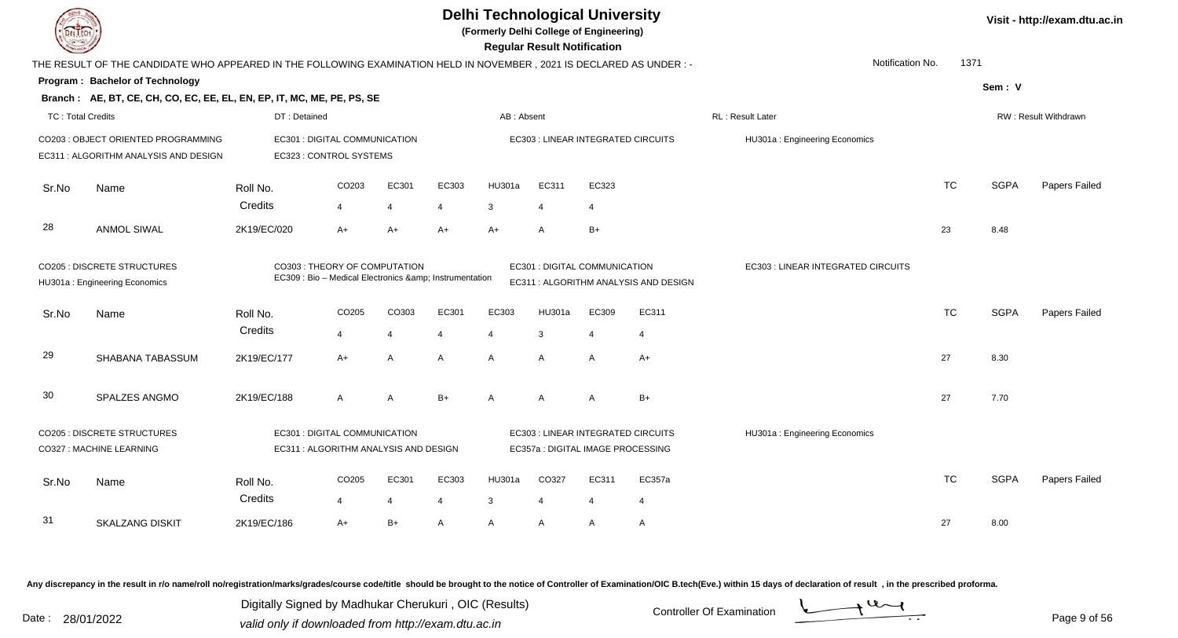| <b>DEL LECH</b>   |                                                                                                                     |              |                                                                                      |                |       |                | <b>Delhi Technological University</b><br>(Formerly Delhi College of Engineering)<br><b>Regular Result Notification</b> |                |                                       |                                    |           |             | Visit - http://exam.dtu.ac.in |
|-------------------|---------------------------------------------------------------------------------------------------------------------|--------------|--------------------------------------------------------------------------------------|----------------|-------|----------------|------------------------------------------------------------------------------------------------------------------------|----------------|---------------------------------------|------------------------------------|-----------|-------------|-------------------------------|
|                   | THE RESULT OF THE CANDIDATE WHO APPEARED IN THE FOLLOWING EXAMINATION HELD IN NOVEMBER, 2021 IS DECLARED AS UNDER:- |              |                                                                                      |                |       |                |                                                                                                                        |                |                                       | Notification No.                   | 1371      |             |                               |
|                   | Program: Bachelor of Technology                                                                                     |              |                                                                                      |                |       |                |                                                                                                                        |                |                                       |                                    |           | Sem: V      |                               |
|                   | Branch: AE, BT, CE, CH, CO, EC, EE, EL, EN, EP, IT, MC, ME, PE, PS, SE                                              |              |                                                                                      |                |       |                |                                                                                                                        |                |                                       |                                    |           |             |                               |
| TC: Total Credits |                                                                                                                     | DT: Detained |                                                                                      |                |       | AB: Absent     |                                                                                                                        |                |                                       | RL: Result Later                   |           |             | RW: Result Withdrawn          |
|                   | CO203 : OBJECT ORIENTED PROGRAMMING<br>EC311 : ALGORITHM ANALYSIS AND DESIGN                                        |              | EC301 : DIGITAL COMMUNICATION<br>EC323 : CONTROL SYSTEMS                             |                |       |                | EC303 : LINEAR INTEGRATED CIRCUITS                                                                                     |                |                                       | HU301a: Engineering Economics      |           |             |                               |
| Sr.No             | Name                                                                                                                | Roll No.     | CO <sub>203</sub>                                                                    | EC301          | EC303 | HU301a         | EC311                                                                                                                  | EC323          |                                       |                                    | <b>TC</b> | <b>SGPA</b> | Papers Failed                 |
|                   |                                                                                                                     | Credits      | $\overline{4}$                                                                       | $\overline{4}$ | 4     | 3              | $\boldsymbol{\Delta}$                                                                                                  | $\overline{4}$ |                                       |                                    |           |             |                               |
| 28                | <b>ANMOL SIWAL</b>                                                                                                  | 2K19/EC/020  | $A+$                                                                                 | $A+$           | $A+$  | $A+$           | A                                                                                                                      | $B+$           |                                       |                                    | 23        | 8.48        |                               |
|                   | <b>CO205 : DISCRETE STRUCTURES</b><br>HU301a: Engineering Economics                                                 |              | CO303 : THEORY OF COMPUTATION<br>EC309 : Bio - Medical Electronics & Instrumentation |                |       |                | EC301 : DIGITAL COMMUNICATION                                                                                          |                | EC311 : ALGORITHM ANALYSIS AND DESIGN | EC303 : LINEAR INTEGRATED CIRCUITS |           |             |                               |
| Sr.No             | Name                                                                                                                | Roll No.     | CO205                                                                                | CO303          | EC301 | EC303          | <b>HU301a</b>                                                                                                          | EC309          | EC311                                 |                                    | <b>TC</b> | <b>SGPA</b> | Papers Failed                 |
|                   |                                                                                                                     | Credits      | $\overline{4}$                                                                       | 4              | 4     | $\overline{4}$ | 3                                                                                                                      | $\overline{4}$ | -4                                    |                                    |           |             |                               |
| 29                | SHABANA TABASSUM                                                                                                    | 2K19/EC/177  | $A+$                                                                                 | A              | A     | A              | A                                                                                                                      | A              | $A+$                                  |                                    | 27        | 8.30        |                               |
| 30                | SPALZES ANGMO                                                                                                       | 2K19/EC/188  | $\overline{A}$                                                                       | $\overline{A}$ | $B+$  | A              | A                                                                                                                      | A              | $B+$                                  |                                    | 27        | 7.70        |                               |
|                   | <b>CO205 : DISCRETE STRUCTURES</b>                                                                                  |              | EC301 : DIGITAL COMMUNICATION                                                        |                |       |                | EC303 : LINEAR INTEGRATED CIRCUITS                                                                                     |                |                                       | HU301a: Engineering Economics      |           |             |                               |
|                   | CO327 : MACHINE LEARNING                                                                                            |              | EC311 : ALGORITHM ANALYSIS AND DESIGN                                                |                |       |                | EC357a : DIGITAL IMAGE PROCESSING                                                                                      |                |                                       |                                    |           |             |                               |
| Sr.No             | Name                                                                                                                | Roll No.     | CO205                                                                                | EC301          | EC303 | <b>HU301a</b>  | CO327                                                                                                                  | EC311          | EC357a                                |                                    | <b>TC</b> | <b>SGPA</b> | Papers Failed                 |
|                   |                                                                                                                     | Credits      | $\overline{4}$                                                                       | $\overline{4}$ | 4     | 3              | 4                                                                                                                      | $\overline{4}$ | 4                                     |                                    |           |             |                               |
| 31                | <b>SKALZANG DISKIT</b>                                                                                              | 2K19/EC/186  | $A+$                                                                                 | $B+$           | A     | A              | A                                                                                                                      | A              | A                                     |                                    | 27        | 8.00        |                               |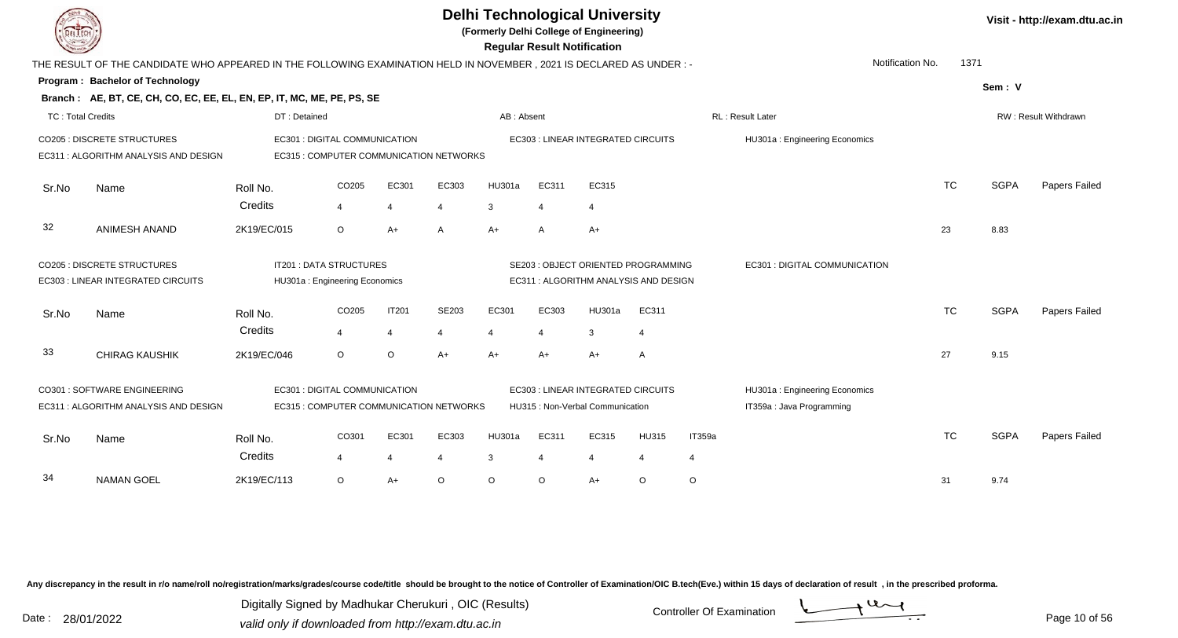|                          |                                                                                                                      |                     |                                                                 |                                         |            |                |                         | <b>Delhi Technological University</b><br>(Formerly Delhi College of Engineering)<br><b>Regular Result Notification</b> |                                |             |                                                            |           |             | Visit - http://exam.dtu.ac.in |
|--------------------------|----------------------------------------------------------------------------------------------------------------------|---------------------|-----------------------------------------------------------------|-----------------------------------------|------------|----------------|-------------------------|------------------------------------------------------------------------------------------------------------------------|--------------------------------|-------------|------------------------------------------------------------|-----------|-------------|-------------------------------|
|                          | THE RESULT OF THE CANDIDATE WHO APPEARED IN THE FOLLOWING EXAMINATION HELD IN NOVEMBER, 2021 IS DECLARED AS UNDER :- |                     |                                                                 |                                         |            |                |                         |                                                                                                                        |                                |             | Notification No.                                           | 1371      |             |                               |
|                          | Program: Bachelor of Technology                                                                                      |                     |                                                                 |                                         |            |                |                         |                                                                                                                        |                                |             |                                                            |           | Sem: V      |                               |
|                          | Branch: AE, BT, CE, CH, CO, EC, EE, EL, EN, EP, IT, MC, ME, PE, PS, SE                                               |                     |                                                                 |                                         |            |                |                         |                                                                                                                        |                                |             |                                                            |           |             |                               |
| <b>TC: Total Credits</b> |                                                                                                                      | DT: Detained        |                                                                 |                                         |            | AB: Absent     |                         |                                                                                                                        |                                |             | <b>RL: Result Later</b>                                    |           |             | RW: Result Withdrawn          |
|                          | <b>CO205 : DISCRETE STRUCTURES</b><br>EC311 : ALGORITHM ANALYSIS AND DESIGN                                          |                     | EC301 : DIGITAL COMMUNICATION                                   | EC315 : COMPUTER COMMUNICATION NETWORKS |            |                |                         | EC303 : LINEAR INTEGRATED CIRCUITS                                                                                     |                                |             | HU301a: Engineering Economics                              |           |             |                               |
| Sr.No                    | Name                                                                                                                 | Roll No.            | CO205                                                           | EC301                                   | EC303      | HU301a         | EC311                   | EC315                                                                                                                  |                                |             |                                                            | <b>TC</b> | <b>SGPA</b> | <b>Papers Failed</b>          |
|                          |                                                                                                                      | Credits             | $\overline{\mathbf{4}}$                                         | $\overline{4}$                          | 4          | 3              | $\overline{4}$          | $\overline{4}$                                                                                                         |                                |             |                                                            |           |             |                               |
| 32                       | ANIMESH ANAND                                                                                                        | 2K19/EC/015         | $\circ$                                                         | $A+$                                    | A          | $A+$           | A                       | $A+$                                                                                                                   |                                |             |                                                            | 23        | 8.83        |                               |
|                          | <b>CO205 : DISCRETE STRUCTURES</b><br>EC303 : LINEAR INTEGRATED CIRCUITS                                             |                     | <b>IT201 : DATA STRUCTURES</b><br>HU301a: Engineering Economics |                                         |            |                |                         | SE203 : OBJECT ORIENTED PROGRAMMING<br>EC311 : ALGORITHM ANALYSIS AND DESIGN                                           |                                |             | EC301 : DIGITAL COMMUNICATION                              |           |             |                               |
| Sr.No                    | Name                                                                                                                 | Roll No.            | CO205                                                           | <b>IT201</b>                            | SE203      | EC301          | EC303                   | HU301a                                                                                                                 | EC311                          |             |                                                            | <b>TC</b> | <b>SGPA</b> | Papers Failed                 |
|                          |                                                                                                                      | Credits             | $\overline{4}$                                                  | $\overline{4}$                          | 4          | $\overline{4}$ | 4                       | 3                                                                                                                      | $\overline{4}$                 |             |                                                            |           |             |                               |
| 33                       | <b>CHIRAG KAUSHIK</b>                                                                                                | 2K19/EC/046         | $\circ$                                                         | $\circ$                                 | $A+$       | $A+$           | A+                      | $A+$                                                                                                                   | A                              |             |                                                            | 27        | 9.15        |                               |
|                          | CO301 : SOFTWARE ENGINEERING<br>EC311 : ALGORITHM ANALYSIS AND DESIGN                                                |                     | EC301 : DIGITAL COMMUNICATION                                   | EC315 : COMPUTER COMMUNICATION NETWORKS |            |                |                         | EC303 : LINEAR INTEGRATED CIRCUITS<br>HU315 : Non-Verbal Communication                                                 |                                |             | HU301a: Engineering Economics<br>IT359a : Java Programming |           |             |                               |
| Sr.No                    | Name                                                                                                                 | Roll No.<br>Credits | CO301<br>4                                                      | EC301<br>$\overline{4}$                 | EC303<br>4 | HU301a<br>3    | EC311<br>$\overline{4}$ | EC315<br>$\overline{4}$                                                                                                | <b>HU315</b><br>$\overline{4}$ | IT359a<br>4 |                                                            | <b>TC</b> | <b>SGPA</b> | Papers Failed                 |
| 34                       | <b>NAMAN GOEL</b>                                                                                                    | 2K19/EC/113         | $\circ$                                                         | $A+$                                    | $\circ$    | $\circ$        | O                       | $A+$                                                                                                                   | $\circ$                        | $\circ$     |                                                            | 31        | 9.74        |                               |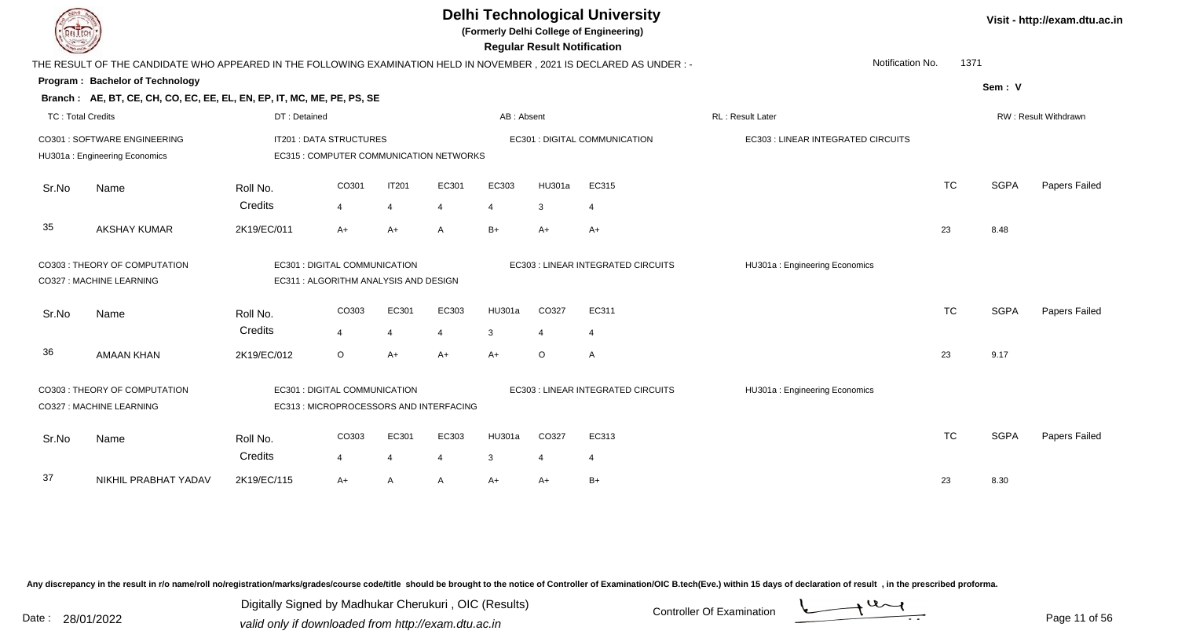|                          |                                                                                                                      |              |                                         |                |                |            | <b>Regular Result Notification</b> | <b>Delhi Technological University</b><br>(Formerly Delhi College of Engineering) |                                    |           |             | Visit - http://exam.dtu.ac.in |
|--------------------------|----------------------------------------------------------------------------------------------------------------------|--------------|-----------------------------------------|----------------|----------------|------------|------------------------------------|----------------------------------------------------------------------------------|------------------------------------|-----------|-------------|-------------------------------|
|                          | THE RESULT OF THE CANDIDATE WHO APPEARED IN THE FOLLOWING EXAMINATION HELD IN NOVEMBER, 2021 IS DECLARED AS UNDER :- |              |                                         |                |                |            |                                    |                                                                                  | Notification No.                   | 1371      |             |                               |
|                          | Program: Bachelor of Technology                                                                                      |              |                                         |                |                |            |                                    |                                                                                  |                                    |           | Sem: V      |                               |
|                          | Branch: AE, BT, CE, CH, CO, EC, EE, EL, EN, EP, IT, MC, ME, PE, PS, SE                                               |              |                                         |                |                |            |                                    |                                                                                  |                                    |           |             |                               |
| <b>TC: Total Credits</b> |                                                                                                                      | DT: Detained |                                         |                |                | AB: Absent |                                    |                                                                                  | RL: Result Later                   |           |             | RW: Result Withdrawn          |
|                          | CO301 : SOFTWARE ENGINEERING                                                                                         |              | <b>IT201 : DATA STRUCTURES</b>          |                |                |            |                                    | EC301 : DIGITAL COMMUNICATION                                                    | EC303 : LINEAR INTEGRATED CIRCUITS |           |             |                               |
|                          | HU301a: Engineering Economics                                                                                        |              | EC315 : COMPUTER COMMUNICATION NETWORKS |                |                |            |                                    |                                                                                  |                                    |           |             |                               |
| Sr.No                    | Name                                                                                                                 | Roll No.     | CO301                                   | <b>IT201</b>   | EC301          | EC303      | HU301a                             | EC315                                                                            |                                    | <b>TC</b> | <b>SGPA</b> | Papers Failed                 |
|                          |                                                                                                                      | Credits      | 4                                       | $\overline{4}$ | 4              | 4          | 3                                  | $\overline{4}$                                                                   |                                    |           |             |                               |
| 35                       | <b>AKSHAY KUMAR</b>                                                                                                  | 2K19/EC/011  | $A+$                                    | $A+$           | A              | $B+$       | $A+$                               | $A+$                                                                             |                                    | 23        | 8.48        |                               |
|                          | CO303 : THEORY OF COMPUTATION                                                                                        |              | EC301 : DIGITAL COMMUNICATION           |                |                |            |                                    | EC303 : LINEAR INTEGRATED CIRCUITS                                               | HU301a: Engineering Economics      |           |             |                               |
|                          | CO327 : MACHINE LEARNING                                                                                             |              | EC311 : ALGORITHM ANALYSIS AND DESIGN   |                |                |            |                                    |                                                                                  |                                    |           |             |                               |
| Sr.No                    | Name                                                                                                                 | Roll No.     | CO303                                   | EC301          | EC303          | HU301a     | CO327                              | EC311                                                                            |                                    | <b>TC</b> | <b>SGPA</b> | Papers Failed                 |
|                          |                                                                                                                      | Credits      | 4                                       | $\overline{4}$ | $\overline{4}$ | 3          | $\boldsymbol{\Delta}$              | $\overline{4}$                                                                   |                                    |           |             |                               |
| 36                       | <b>AMAAN KHAN</b>                                                                                                    | 2K19/EC/012  | $\circ$                                 | $A+$           | $A+$           | $A+$       | $\circ$                            | $\overline{A}$                                                                   |                                    | 23        | 9.17        |                               |
|                          | CO303 : THEORY OF COMPUTATION                                                                                        |              | EC301 : DIGITAL COMMUNICATION           |                |                |            |                                    | EC303 : LINEAR INTEGRATED CIRCUITS                                               | HU301a: Engineering Economics      |           |             |                               |
|                          | CO327 : MACHINE LEARNING                                                                                             |              | EC313 : MICROPROCESSORS AND INTERFACING |                |                |            |                                    |                                                                                  |                                    |           |             |                               |
| Sr.No                    | Name                                                                                                                 | Roll No.     | CO303                                   | EC301          | EC303          | HU301a     | CO327                              | EC313                                                                            |                                    | <b>TC</b> | <b>SGPA</b> | Papers Failed                 |
|                          |                                                                                                                      | Credits      | $\overline{4}$                          | $\overline{4}$ | 4              | 3          | $\overline{4}$                     | $\overline{4}$                                                                   |                                    |           |             |                               |
| 37                       | NIKHIL PRABHAT YADAV                                                                                                 | 2K19/EC/115  | $A+$                                    | $\mathsf{A}$   | A              | $A+$       | A+                                 | $B+$                                                                             |                                    | 23        | 8.30        |                               |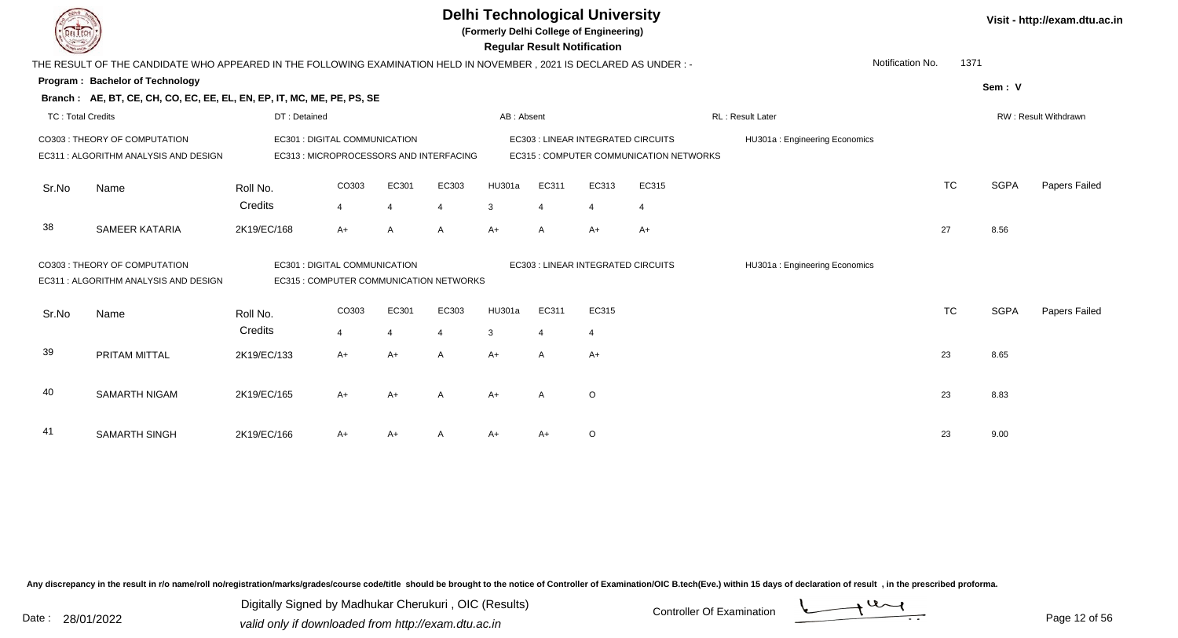**(Formerly Delhi College of Engineering)**

 **Regular Result Notification**

|                          | THE RESULT OF THE CANDIDATE WHO APPEARED IN THE FOLLOWING EXAMINATION HELD IN NOVEMBER , 2021 IS DECLARED AS UNDER :- |              |                                                                          |       |                |            |                          |                                          |                                         |                               | Notification No. | 1371      |             |                      |
|--------------------------|-----------------------------------------------------------------------------------------------------------------------|--------------|--------------------------------------------------------------------------|-------|----------------|------------|--------------------------|------------------------------------------|-----------------------------------------|-------------------------------|------------------|-----------|-------------|----------------------|
|                          | <b>Program: Bachelor of Technology</b>                                                                                |              |                                                                          |       |                |            |                          |                                          |                                         |                               |                  |           | Sem: V      |                      |
|                          | Branch: AE, BT, CE, CH, CO, EC, EE, EL, EN, EP, IT, MC, ME, PE, PS, SE                                                |              |                                                                          |       |                |            |                          |                                          |                                         |                               |                  |           |             |                      |
| <b>TC: Total Credits</b> |                                                                                                                       | DT: Detained |                                                                          |       |                | AB: Absent |                          |                                          |                                         | RL: Result Later              |                  |           |             | RW: Result Withdrawn |
|                          | CO303: THEORY OF COMPUTATION                                                                                          |              | EC301 : DIGITAL COMMUNICATION                                            |       |                |            |                          | <b>EC303: LINEAR INTEGRATED CIRCUITS</b> |                                         | HU301a: Engineering Economics |                  |           |             |                      |
|                          | EC311 : ALGORITHM ANALYSIS AND DESIGN                                                                                 |              | EC313 : MICROPROCESSORS AND INTERFACING                                  |       |                |            |                          |                                          | EC315 : COMPUTER COMMUNICATION NETWORKS |                               |                  |           |             |                      |
| Sr.No                    | Name                                                                                                                  | Roll No.     | CO303                                                                    | EC301 | EC303          | HU301a     | EC311                    | EC313                                    | EC315                                   |                               |                  | <b>TC</b> | <b>SGPA</b> | Papers Failed        |
|                          |                                                                                                                       | Credits      | $\overline{4}$                                                           | 4     | $\overline{4}$ | 3          | $\overline{\mathcal{A}}$ | $\overline{4}$                           | $\overline{4}$                          |                               |                  |           |             |                      |
| 38                       | SAMEER KATARIA                                                                                                        | 2K19/EC/168  | $A+$                                                                     | A     | A              | A+         | $\mathsf{A}$             | $A+$                                     | $A+$                                    |                               | 27               |           | 8.56        |                      |
|                          | CO303: THEORY OF COMPUTATION<br>EC311: ALGORITHM ANALYSIS AND DESIGN                                                  |              | EC301 : DIGITAL COMMUNICATION<br>EC315 : COMPUTER COMMUNICATION NETWORKS |       |                |            |                          | EC303 : LINEAR INTEGRATED CIRCUITS       |                                         | HU301a: Engineering Economics |                  |           |             |                      |
|                          |                                                                                                                       |              |                                                                          |       |                |            |                          |                                          |                                         |                               |                  |           |             |                      |
| Sr.No                    | Name                                                                                                                  | Roll No.     | CO303                                                                    | EC301 | EC303          | HU301a     | EC311                    | EC315                                    |                                         |                               |                  | <b>TC</b> | <b>SGPA</b> | Papers Failed        |
|                          |                                                                                                                       | Credits      | $\overline{4}$                                                           |       | $\overline{4}$ | 3          | $\overline{4}$           |                                          |                                         |                               |                  |           |             |                      |
| 39                       | PRITAM MITTAL                                                                                                         | 2K19/EC/133  | $A+$                                                                     | $A+$  | $\mathsf{A}$   | $A+$       | A                        | $A+$                                     |                                         |                               | 23               |           | 8.65        |                      |
| 40                       | SAMARTH NIGAM                                                                                                         | 2K19/EC/165  | $A+$                                                                     | $A+$  | $\mathsf{A}$   | $A+$       | $\mathsf{A}$             | $\circ$                                  |                                         |                               | 23               |           | 8.83        |                      |
|                          |                                                                                                                       |              |                                                                          |       |                |            |                          |                                          |                                         |                               |                  |           |             |                      |
| 41                       | <b>SAMARTH SINGH</b>                                                                                                  | 2K19/EC/166  | A+                                                                       | A+    | A              | A+         | A+                       | O                                        |                                         |                               | 23               |           | 9.00        |                      |

Any discrepancy in the result in r/o name/roll no/registration/marks/grades/course code/title should be brought to the notice of Controller of Examination/OIC B.tech(Eve.) within 15 days of declaration of result, in the pr

Date : 28/01/2022 Valid only if downloaded from http://exam.dtu.ac.in<br>valid only if downloaded from http://exam.dtu.ac.in Digitally Signed by Madhukar Cherukuri , OIC (Results)



**Visit - http://exam.dtu.ac.in**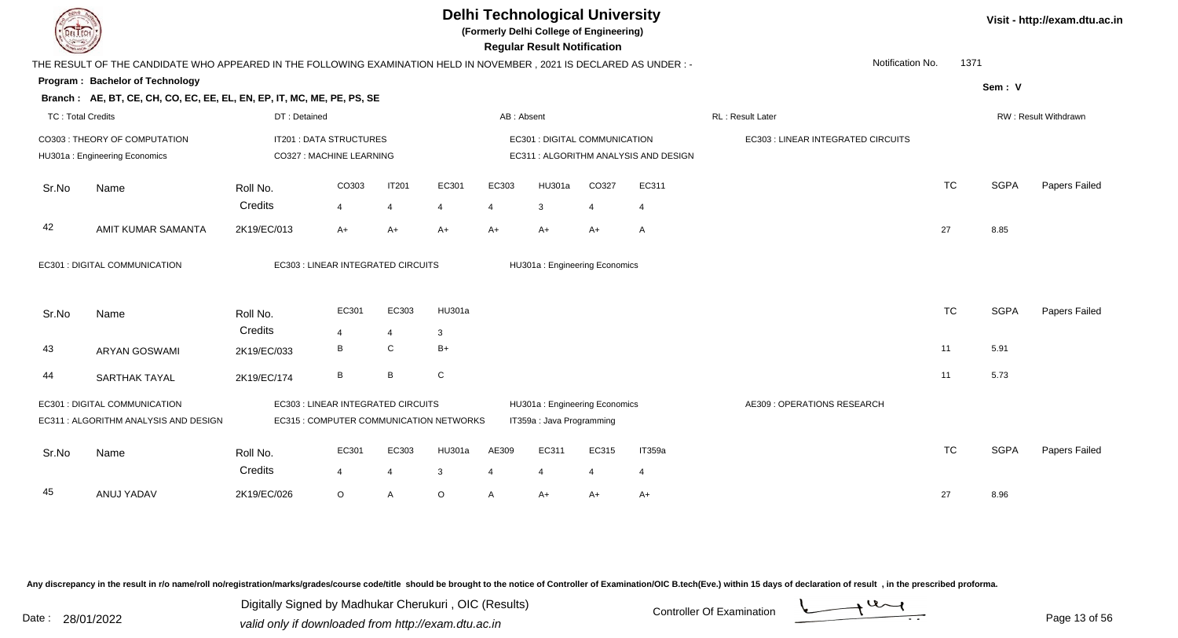**(Formerly Delhi College of Engineering)**

 **Regular Result Notification**

|  | Visit - http://exam.dtu.ac.in |  |
|--|-------------------------------|--|
|--|-------------------------------|--|

| $\sim$                   |                                                                                                                      |                                         |                |       |                |              | n <del>c</del> yular n <del>c</del> sult notification |       |                                       |                                    |           |             |                      |
|--------------------------|----------------------------------------------------------------------------------------------------------------------|-----------------------------------------|----------------|-------|----------------|--------------|-------------------------------------------------------|-------|---------------------------------------|------------------------------------|-----------|-------------|----------------------|
|                          | THE RESULT OF THE CANDIDATE WHO APPEARED IN THE FOLLOWING EXAMINATION HELD IN NOVEMBER, 2021 IS DECLARED AS UNDER :- |                                         |                |       |                |              |                                                       |       |                                       | Notification No.                   | 1371      |             |                      |
|                          | Program: Bachelor of Technology                                                                                      |                                         |                |       |                |              |                                                       |       |                                       |                                    |           | Sem: V      |                      |
|                          | Branch: AE, BT, CE, CH, CO, EC, EE, EL, EN, EP, IT, MC, ME, PE, PS, SE                                               |                                         |                |       |                |              |                                                       |       |                                       |                                    |           |             |                      |
| <b>TC: Total Credits</b> |                                                                                                                      | DT: Detained                            |                |       |                | AB: Absent   |                                                       |       |                                       | RL : Result Later                  |           |             | RW: Result Withdrawn |
|                          | CO303 : THEORY OF COMPUTATION                                                                                        | IT201 : DATA STRUCTURES                 |                |       |                |              | EC301 : DIGITAL COMMUNICATION                         |       |                                       | EC303 : LINEAR INTEGRATED CIRCUITS |           |             |                      |
|                          | HU301a: Engineering Economics                                                                                        | CO327 : MACHINE LEARNING                |                |       |                |              |                                                       |       | EC311 : ALGORITHM ANALYSIS AND DESIGN |                                    |           |             |                      |
|                          |                                                                                                                      |                                         |                |       |                |              |                                                       |       |                                       |                                    |           |             |                      |
| Sr.No                    | Name                                                                                                                 | Roll No.                                | CO303          | IT201 | EC301          | EC303        | HU301a                                                | CO327 | EC311                                 |                                    | <b>TC</b> | <b>SGPA</b> | Papers Failed        |
|                          |                                                                                                                      | Credits                                 | 4              | 4     | $\overline{4}$ | 4            | 3                                                     | 4     | 4                                     |                                    |           |             |                      |
| 42                       | AMIT KUMAR SAMANTA                                                                                                   | 2K19/EC/013                             | $A+$           | A+    | $A+$           | $A+$         | $A+$                                                  | $A+$  | $\mathsf{A}$                          |                                    | 27        | 8.85        |                      |
|                          |                                                                                                                      |                                         |                |       |                |              |                                                       |       |                                       |                                    |           |             |                      |
|                          | EC301 : DIGITAL COMMUNICATION                                                                                        | EC303 : LINEAR INTEGRATED CIRCUITS      |                |       |                |              | HU301a: Engineering Economics                         |       |                                       |                                    |           |             |                      |
|                          |                                                                                                                      |                                         |                |       |                |              |                                                       |       |                                       |                                    |           |             |                      |
|                          |                                                                                                                      |                                         |                |       |                |              |                                                       |       |                                       |                                    |           |             |                      |
| Sr.No                    | Name                                                                                                                 | Roll No.                                | EC301          | EC303 | HU301a         |              |                                                       |       |                                       |                                    | <b>TC</b> | <b>SGPA</b> | Papers Failed        |
|                          |                                                                                                                      | Credits                                 | $\overline{4}$ | 4     | $\mathbf{3}$   |              |                                                       |       |                                       |                                    |           |             |                      |
| 43                       | <b>ARYAN GOSWAMI</b>                                                                                                 | 2K19/EC/033                             | B              | C     | $B+$           |              |                                                       |       |                                       |                                    | 11        | 5.91        |                      |
| 44                       | <b>SARTHAK TAYAL</b>                                                                                                 | 2K19/EC/174                             | B              | B     | ${\rm C}$      |              |                                                       |       |                                       |                                    | 11        | 5.73        |                      |
|                          |                                                                                                                      |                                         |                |       |                |              |                                                       |       |                                       |                                    |           |             |                      |
|                          | EC301 : DIGITAL COMMUNICATION                                                                                        | EC303 : LINEAR INTEGRATED CIRCUITS      |                |       |                |              | HU301a: Engineering Economics                         |       |                                       | AE309 : OPERATIONS RESEARCH        |           |             |                      |
|                          | EC311 : ALGORITHM ANALYSIS AND DESIGN                                                                                | EC315 : COMPUTER COMMUNICATION NETWORKS |                |       |                |              | IT359a : Java Programming                             |       |                                       |                                    |           |             |                      |
| Sr.No                    | Name                                                                                                                 | Roll No.                                | EC301          | EC303 | HU301a         | AE309        | EC311                                                 | EC315 | IT359a                                |                                    | <b>TC</b> | <b>SGPA</b> | Papers Failed        |
|                          |                                                                                                                      |                                         |                |       |                |              |                                                       |       |                                       |                                    |           |             |                      |
|                          |                                                                                                                      | Credits                                 | 4              | 4     | 3              |              | $\overline{4}$                                        |       | $\overline{4}$                        |                                    |           |             |                      |
| 45                       | ANUJ YADAV                                                                                                           | 2K19/EC/026                             | $\circ$        | A     | $\circ$        | $\mathsf{A}$ | $A+$                                                  | $A+$  | $A+$                                  |                                    | 27        | 8.96        |                      |

Any discrepancy in the result in r/o name/roll no/registration/marks/grades/course code/title should be brought to the notice of Controller of Examination/OIC B.tech(Eve.) within 15 days of declaration of result, in the pr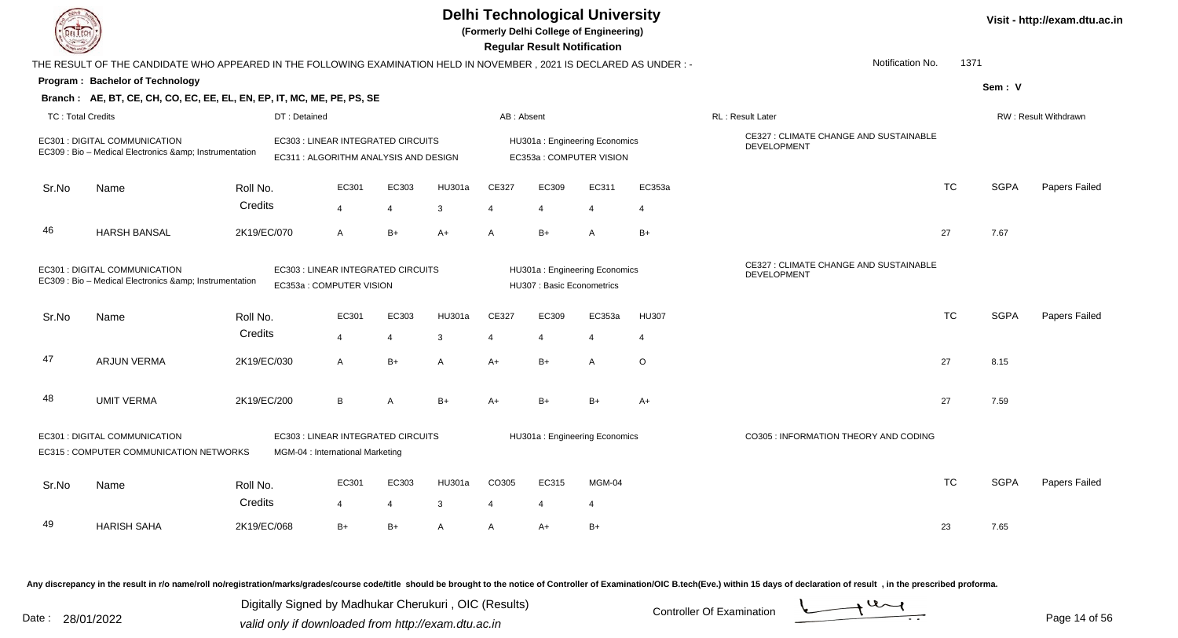| DEL ECH                  |                                                                                                                      |             |                                                                             |                |        |                | <b>Delhi Technological University</b><br>(Formerly Delhi College of Engineering)<br><b>Regular Result Notification</b> |                |              |                                                       |           |             | Visit - http://exam.dtu.ac.in |
|--------------------------|----------------------------------------------------------------------------------------------------------------------|-------------|-----------------------------------------------------------------------------|----------------|--------|----------------|------------------------------------------------------------------------------------------------------------------------|----------------|--------------|-------------------------------------------------------|-----------|-------------|-------------------------------|
|                          | THE RESULT OF THE CANDIDATE WHO APPEARED IN THE FOLLOWING EXAMINATION HELD IN NOVEMBER, 2021 IS DECLARED AS UNDER :- |             |                                                                             |                |        |                |                                                                                                                        |                |              | Notification No.                                      | 1371      |             |                               |
|                          | <b>Program: Bachelor of Technology</b>                                                                               |             |                                                                             |                |        |                |                                                                                                                        |                |              |                                                       |           | Sem: V      |                               |
|                          | Branch: AE, BT, CE, CH, CO, EC, EE, EL, EN, EP, IT, MC, ME, PE, PS, SE                                               |             |                                                                             |                |        |                |                                                                                                                        |                |              |                                                       |           |             |                               |
| <b>TC: Total Credits</b> |                                                                                                                      |             | DT: Detained                                                                |                |        | AB: Absent     |                                                                                                                        |                |              | RL: Result Later                                      |           |             | RW: Result Withdrawn          |
|                          | EC301 : DIGITAL COMMUNICATION<br>EC309 : Bio - Medical Electronics & Instrumentation                                 |             | EC303 : LINEAR INTEGRATED CIRCUITS<br>EC311 : ALGORITHM ANALYSIS AND DESIGN |                |        |                | HU301a: Engineering Economics<br>EC353a: COMPUTER VISION                                                               |                |              | CE327 : CLIMATE CHANGE AND SUSTAINABLE<br>DEVELOPMENT |           |             |                               |
| Sr.No                    | Name                                                                                                                 | Roll No.    | EC301                                                                       | EC303          | HU301a | CE327          | EC309                                                                                                                  | EC311          | EC353a       |                                                       | <b>TC</b> | <b>SGPA</b> | Papers Failed                 |
|                          |                                                                                                                      | Credits     | $\overline{4}$                                                              | 4              | 3      | $\overline{4}$ | $\overline{\mathbf{A}}$                                                                                                | $\overline{4}$ | 4            |                                                       |           |             |                               |
|                          |                                                                                                                      |             |                                                                             |                |        |                |                                                                                                                        |                |              |                                                       |           |             |                               |
| 46                       | <b>HARSH BANSAL</b>                                                                                                  | 2K19/EC/070 | $\mathsf{A}$                                                                | $B+$           | $A+$   | A              | $B+$                                                                                                                   | $\overline{A}$ | $B+$         |                                                       | 27        | 7.67        |                               |
|                          | EC301 : DIGITAL COMMUNICATION<br>EC309 : Bio - Medical Electronics & Instrumentation                                 |             | EC303 : LINEAR INTEGRATED CIRCUITS<br>EC353a : COMPUTER VISION              |                |        |                | HU301a: Engineering Economics<br>HU307: Basic Econometrics                                                             |                |              | CE327 : CLIMATE CHANGE AND SUSTAINABLE<br>DEVELOPMENT |           |             |                               |
| Sr.No                    | Name                                                                                                                 | Roll No.    | EC301                                                                       | EC303          | HU301a | CE327          | EC309                                                                                                                  | EC353a         | <b>HU307</b> |                                                       | <b>TC</b> | <b>SGPA</b> | Papers Failed                 |
|                          |                                                                                                                      | Credits     | $\overline{4}$                                                              | $\overline{4}$ | 3      | $\overline{4}$ | $\overline{\mathbf{A}}$                                                                                                | $\overline{4}$ | 4            |                                                       |           |             |                               |
|                          |                                                                                                                      |             |                                                                             |                |        |                |                                                                                                                        |                |              |                                                       |           |             |                               |
| 47                       | <b>ARJUN VERMA</b>                                                                                                   | 2K19/EC/030 | $\mathsf{A}$                                                                | $B+$           | A      | $A+$           | $B+$                                                                                                                   | $\overline{A}$ | $\circ$      |                                                       | 27        | 8.15        |                               |
| 48                       | <b>UMIT VERMA</b>                                                                                                    | 2K19/EC/200 | B                                                                           | A              | $B+$   | A+             | $B+$                                                                                                                   | $B+$           | $A+$         |                                                       | 27        | 7.59        |                               |
|                          | EC301 : DIGITAL COMMUNICATION                                                                                        |             | EC303 : LINEAR INTEGRATED CIRCUITS                                          |                |        |                | HU301a: Engineering Economics                                                                                          |                |              | CO305 : INFORMATION THEORY AND CODING                 |           |             |                               |
|                          | EC315 : COMPUTER COMMUNICATION NETWORKS                                                                              |             | MGM-04 : International Marketing                                            |                |        |                |                                                                                                                        |                |              |                                                       |           |             |                               |
|                          |                                                                                                                      |             |                                                                             |                |        |                |                                                                                                                        |                |              |                                                       |           |             |                               |
| Sr.No                    | Name                                                                                                                 | Roll No.    | EC301                                                                       | EC303          | HU301a | CO305          | EC315                                                                                                                  | MGM-04         |              |                                                       | TC.       | <b>SGPA</b> | Papers Failed                 |
|                          |                                                                                                                      | Credits     | $\overline{4}$                                                              | $\overline{4}$ | 3      | $\overline{4}$ |                                                                                                                        | $\overline{4}$ |              |                                                       |           |             |                               |
| 49                       | <b>HARISH SAHA</b>                                                                                                   | 2K19/EC/068 | $B+$                                                                        | $B+$           | A      | A              | A+                                                                                                                     | $B+$           |              |                                                       | 23        | 7.65        |                               |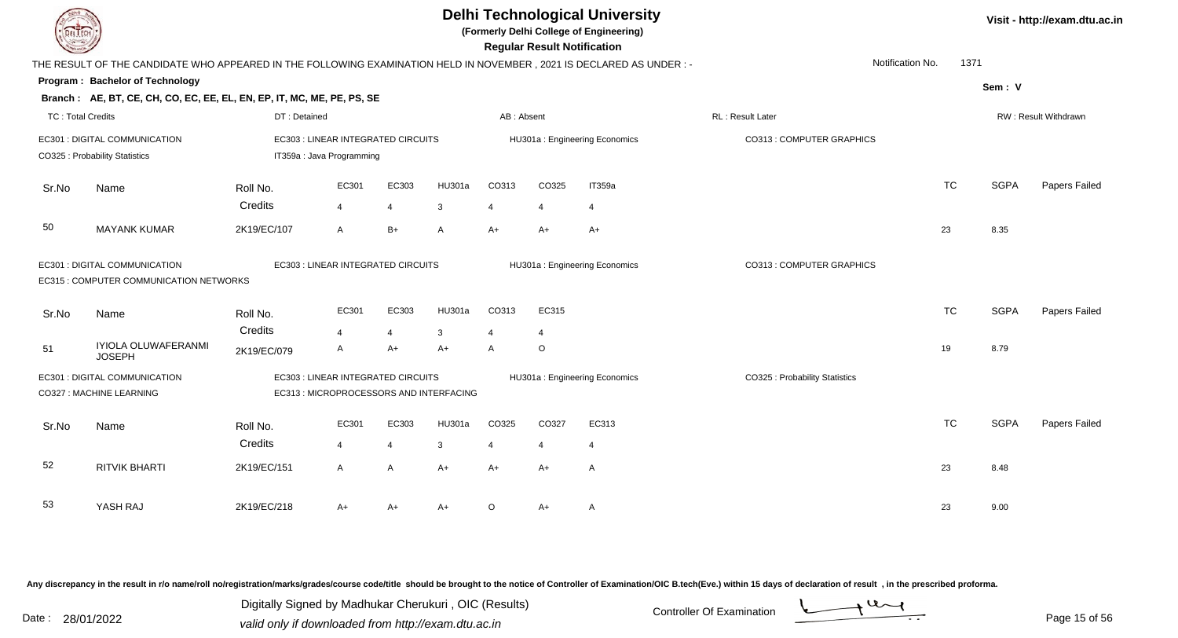**(Formerly Delhi College of Engineering)**

 **Regular Result Notification**

| <b>Course Line</b>       |                                                                                                                     |                                    |                                         |                       |               |              | Regular Result Notification |                               |                                |           |             |                      |
|--------------------------|---------------------------------------------------------------------------------------------------------------------|------------------------------------|-----------------------------------------|-----------------------|---------------|--------------|-----------------------------|-------------------------------|--------------------------------|-----------|-------------|----------------------|
|                          | THE RESULT OF THE CANDIDATE WHO APPEARED IN THE FOLLOWING EXAMINATION HELD IN NOVEMBER, 2021 IS DECLARED AS UNDER:- |                                    |                                         |                       |               |              |                             |                               | Notification No.               | 1371      |             |                      |
|                          | Program: Bachelor of Technology                                                                                     |                                    |                                         |                       |               |              |                             |                               |                                |           | Sem: V      |                      |
|                          | Branch: AE, BT, CE, CH, CO, EC, EE, EL, EN, EP, IT, MC, ME, PE, PS, SE                                              |                                    |                                         |                       |               |              |                             |                               |                                |           |             |                      |
| <b>TC: Total Credits</b> |                                                                                                                     | DT: Detained                       |                                         |                       |               | AB: Absent   |                             |                               | RL: Result Later               |           |             | RW: Result Withdrawn |
|                          | EC301 : DIGITAL COMMUNICATION                                                                                       |                                    | EC303 : LINEAR INTEGRATED CIRCUITS      |                       |               |              |                             | HU301a: Engineering Economics | CO313 : COMPUTER GRAPHICS      |           |             |                      |
|                          | CO325 : Probability Statistics                                                                                      |                                    | IT359a : Java Programming               |                       |               |              |                             |                               |                                |           |             |                      |
| Sr.No                    | Name                                                                                                                | Roll No.                           | EC301                                   | EC303                 | HU301a        | CO313        | CO325                       | IT359a                        |                                | <b>TC</b> | <b>SGPA</b> | Papers Failed        |
|                          |                                                                                                                     | Credits                            | $\overline{4}$                          | $\boldsymbol{\Delta}$ | 3             |              |                             | 4                             |                                |           |             |                      |
| 50                       | <b>MAYANK KUMAR</b>                                                                                                 | 2K19/EC/107                        | $\overline{A}$                          | $B+$                  | A             | $A+$         | $A+$                        | $A+$                          |                                | 23        | 8.35        |                      |
|                          | EC301 : DIGITAL COMMUNICATION<br>EC315 : COMPUTER COMMUNICATION NETWORKS                                            | EC303 : LINEAR INTEGRATED CIRCUITS |                                         |                       |               |              |                             | HU301a: Engineering Economics | CO313 : COMPUTER GRAPHICS      |           |             |                      |
| Sr.No                    | Name                                                                                                                | Roll No.                           | EC301                                   | EC303                 | <b>HU301a</b> | CO313        | EC315                       |                               |                                | <b>TC</b> | <b>SGPA</b> | Papers Failed        |
|                          |                                                                                                                     | Credits                            | $\overline{4}$                          |                       | 3             |              | $\overline{4}$              |                               |                                |           |             |                      |
| 51                       | IYIOLA OLUWAFERANMI<br><b>JOSEPH</b>                                                                                | 2K19/EC/079                        | A                                       | A+                    | $A+$          | $\mathsf{A}$ | $\circ$                     |                               |                                | 19        | 8.79        |                      |
|                          | EC301 : DIGITAL COMMUNICATION                                                                                       |                                    | EC303 : LINEAR INTEGRATED CIRCUITS      |                       |               |              |                             | HU301a: Engineering Economics | CO325 : Probability Statistics |           |             |                      |
|                          | CO327 : MACHINE LEARNING                                                                                            |                                    | EC313 : MICROPROCESSORS AND INTERFACING |                       |               |              |                             |                               |                                |           |             |                      |
| Sr.No                    | Name                                                                                                                | Roll No.                           | EC301                                   | EC303                 | HU301a        | CO325        | CO327                       | EC313                         |                                | <b>TC</b> | <b>SGPA</b> | Papers Failed        |
|                          |                                                                                                                     | Credits                            | $\overline{4}$                          |                       | 3             |              | $\overline{4}$              | 4                             |                                |           |             |                      |
| 52                       | <b>RITVIK BHARTI</b>                                                                                                | 2K19/EC/151                        | $\mathsf{A}$                            | A                     | $A+$          | $A+$         | $A+$                        | A                             |                                | 23        | 8.48        |                      |
| 53                       | YASH RAJ                                                                                                            | 2K19/EC/218                        | A+                                      | A+                    | A+            | $\circ$      | A+                          | A                             |                                | 23        | 9.00        |                      |
|                          |                                                                                                                     |                                    |                                         |                       |               |              |                             |                               |                                |           |             |                      |

Any discrepancy in the result in r/o name/roll no/registration/marks/grades/course code/title should be brought to the notice of Controller of Examination/OIC B.tech(Eve.) within 15 days of declaration of result, in the pr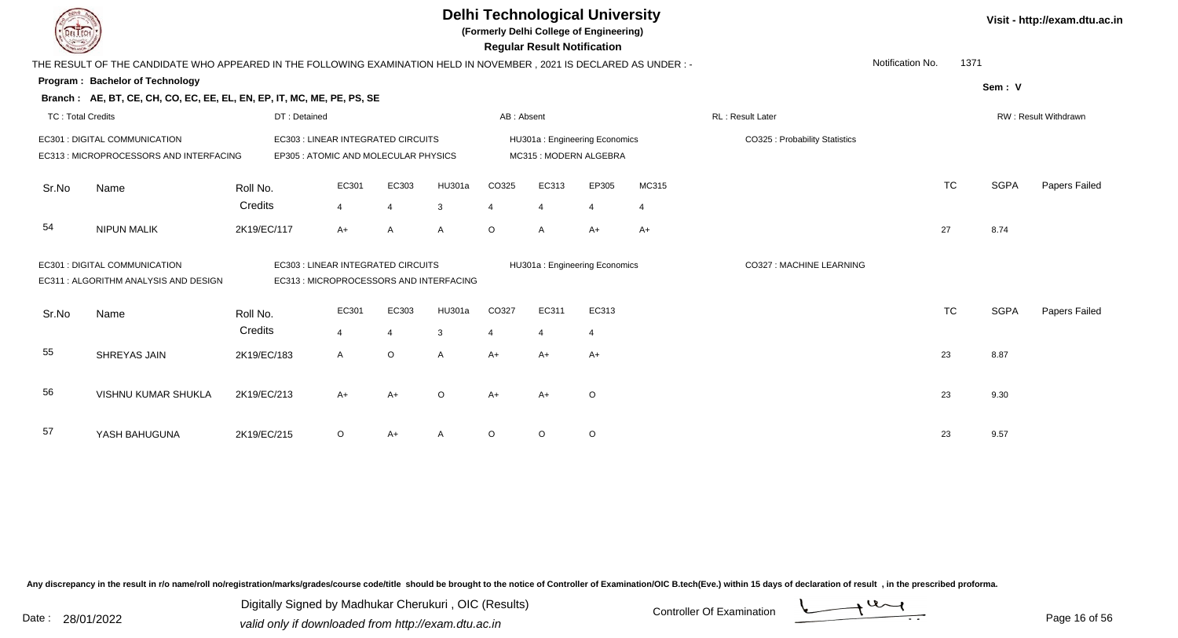|                          |                                                                                                                     |              |                                                                               |                |                                                        |            | <b>Delhi Technological University</b><br>(Formerly Delhi College of Engineering)<br><b>Regular Result Notification</b> |                                |                    |                          |                  |           |             | Visit - http://exam.dtu.ac.in |
|--------------------------|---------------------------------------------------------------------------------------------------------------------|--------------|-------------------------------------------------------------------------------|----------------|--------------------------------------------------------|------------|------------------------------------------------------------------------------------------------------------------------|--------------------------------|--------------------|--------------------------|------------------|-----------|-------------|-------------------------------|
|                          | THE RESULT OF THE CANDIDATE WHO APPEARED IN THE FOLLOWING EXAMINATION HELD IN NOVEMBER, 2021 IS DECLARED AS UNDER:- |              |                                                                               |                |                                                        |            |                                                                                                                        |                                |                    |                          | Notification No. | 1371      |             |                               |
|                          | Program: Bachelor of Technology                                                                                     |              |                                                                               |                |                                                        |            |                                                                                                                        |                                |                    |                          |                  |           | Sem: V      |                               |
|                          | Branch: AE, BT, CE, CH, CO, EC, EE, EL, EN, EP, IT, MC, ME, PE, PS, SE                                              |              |                                                                               |                |                                                        |            |                                                                                                                        |                                |                    |                          |                  |           |             |                               |
| <b>TC: Total Credits</b> |                                                                                                                     | DT: Detained |                                                                               |                |                                                        | AB: Absent |                                                                                                                        |                                |                    | RL: Result Later         |                  |           |             | RW: Result Withdrawn          |
|                          | EC301 : DIGITAL COMMUNICATION<br>EC313 : MICROPROCESSORS AND INTERFACING                                            |              | EC303 : LINEAR INTEGRATED CIRCUITS<br>EP305 : ATOMIC AND MOLECULAR PHYSICS    |                | HU301a: Engineering Economics<br>MC315: MODERN ALGEBRA |            |                                                                                                                        | CO325 : Probability Statistics |                    |                          |                  |           |             |                               |
| Sr.No                    | Name                                                                                                                | Roll No.     | EC301                                                                         | EC303          | HU301a                                                 | CO325      | EC313                                                                                                                  | EP305                          | MC315              |                          |                  | <b>TC</b> | <b>SGPA</b> | Papers Failed                 |
|                          |                                                                                                                     | Credits      | 4                                                                             | $\overline{4}$ | 3                                                      | 4          | $\overline{4}$                                                                                                         | $\overline{4}$                 | $\overline{\bf 4}$ |                          |                  |           |             |                               |
| 54                       | <b>NIPUN MALIK</b>                                                                                                  | 2K19/EC/117  | $A+$                                                                          | $\overline{A}$ | $\mathsf{A}$                                           | $\circ$    | A                                                                                                                      | $A+$                           | $A+$               |                          |                  | 27        | 8.74        |                               |
|                          | EC301 : DIGITAL COMMUNICATION<br>EC311: ALGORITHM ANALYSIS AND DESIGN                                               |              | EC303 : LINEAR INTEGRATED CIRCUITS<br>EC313 : MICROPROCESSORS AND INTERFACING |                |                                                        |            | HU301a: Engineering Economics                                                                                          |                                |                    | CO327 : MACHINE LEARNING |                  |           |             |                               |
| Sr.No                    | Name                                                                                                                | Roll No.     | EC301                                                                         | EC303          | HU301a                                                 | CO327      | EC311                                                                                                                  | EC313                          |                    |                          |                  | <b>TC</b> | <b>SGPA</b> | Papers Failed                 |
|                          |                                                                                                                     | Credits      | $\overline{4}$                                                                | $\overline{4}$ | 3                                                      | 4          | $\overline{4}$                                                                                                         | $\overline{4}$                 |                    |                          |                  |           |             |                               |
| 55                       | <b>SHREYAS JAIN</b>                                                                                                 | 2K19/EC/183  | $\mathsf{A}$                                                                  | $\circ$        | $\mathsf{A}$                                           | $A+$       | A+                                                                                                                     | $A+$                           |                    |                          |                  | 23        | 8.87        |                               |
| 56                       | VISHNU KUMAR SHUKLA                                                                                                 | 2K19/EC/213  | A+                                                                            | $A+$           | $\circ$                                                | $A+$       | $A+$                                                                                                                   | $\circ$                        |                    |                          |                  | 23        | 9.30        |                               |
| 57                       | YASH BAHUGUNA                                                                                                       | 2K19/EC/215  | $\circ$                                                                       | A+             |                                                        | $\circ$    | $\circ$                                                                                                                | $\circ$                        |                    |                          |                  | 23        | 9.57        |                               |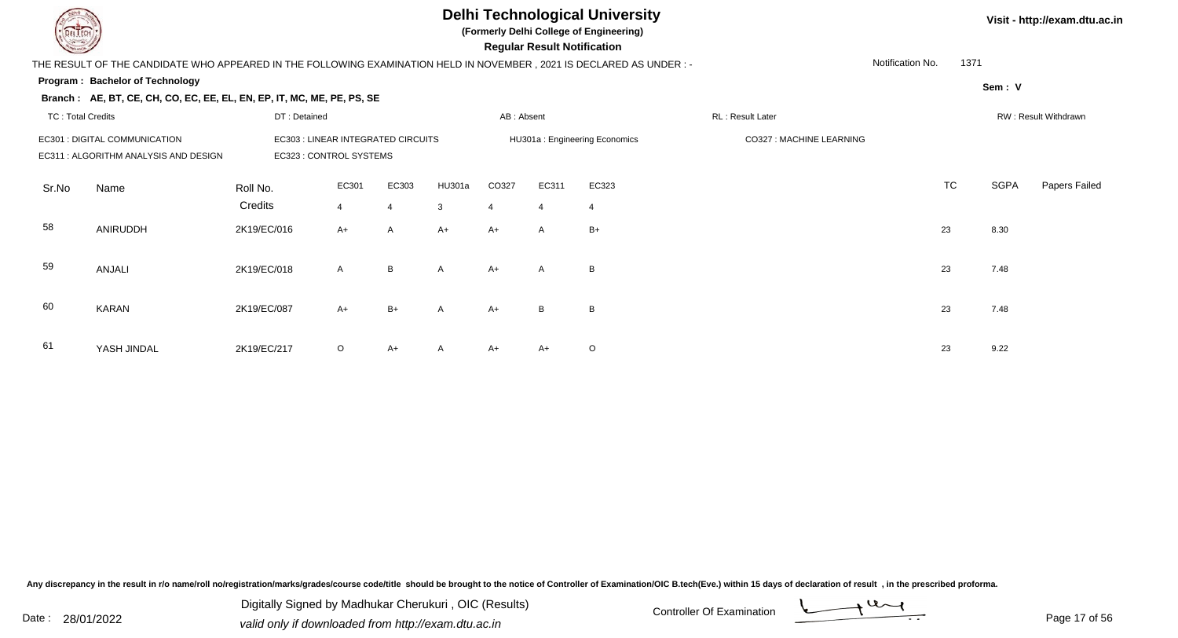

**(Formerly Delhi College of Engineering)**

 **Regular Result Notification**

**Visit - http://exam.dtu.ac.in**

| $\sim$                   |                                                                                                                                                  |              |                |       |                               |            | nggular ngsult notihodilom |         |                          |    |           |        |                      |
|--------------------------|--------------------------------------------------------------------------------------------------------------------------------------------------|--------------|----------------|-------|-------------------------------|------------|----------------------------|---------|--------------------------|----|-----------|--------|----------------------|
|                          | THE RESULT OF THE CANDIDATE WHO APPEARED IN THE FOLLOWING EXAMINATION HELD IN NOVEMBER , 2021 IS DECLARED AS UNDER : -                           |              |                |       |                               |            |                            |         |                          |    |           |        |                      |
|                          | <b>Program: Bachelor of Technology</b>                                                                                                           |              |                |       |                               |            |                            |         |                          |    |           | Sem: V |                      |
|                          | Branch: AE, BT, CE, CH, CO, EC, EE, EL, EN, EP, IT, MC, ME, PE, PS, SE                                                                           |              |                |       |                               |            |                            |         |                          |    |           |        |                      |
| <b>TC: Total Credits</b> |                                                                                                                                                  | DT: Detained |                |       |                               | AB: Absent |                            |         | RL: Result Later         |    |           |        | RW: Result Withdrawn |
|                          | EC301 : DIGITAL COMMUNICATION<br>EC303 : LINEAR INTEGRATED CIRCUITS<br>EC323 : CONTROL SYSTEMS<br>EC311 : ALGORITHM ANALYSIS AND DESIGN<br>EC301 |              |                |       | HU301a: Engineering Economics |            |                            |         | CO327 : MACHINE LEARNING |    |           |        |                      |
| Sr.No                    | Name                                                                                                                                             | Roll No.     |                | EC303 | HU301a                        | CO327      | EC311                      | EC323   |                          |    | <b>TC</b> | SGPA   | Papers Failed        |
|                          |                                                                                                                                                  | Credits      | $\overline{4}$ | 4     | 3                             | 4          | $\overline{4}$             |         |                          |    |           |        |                      |
| 58                       | ANIRUDDH                                                                                                                                         | 2K19/EC/016  | $A+$           | A     | $A+$                          | $A+$       | $\mathsf{A}$               | $B+$    |                          | 23 |           | 8.30   |                      |
| 59                       | ANJALI                                                                                                                                           | 2K19/EC/018  | $\mathsf{A}$   | B     | $\mathsf{A}$                  | $A+$       | $\mathsf{A}$               | B       |                          | 23 |           | 7.48   |                      |
| 60                       | <b>KARAN</b>                                                                                                                                     | 2K19/EC/087  | $A+$           | $B+$  | A                             | $A+$       | B                          | B       |                          | 23 |           | 7.48   |                      |
| -61                      | YASH JINDAL                                                                                                                                      | 2K19/EC/217  | $\circ$        | A+    | $\mathsf{A}$                  | $A+$       | A+                         | $\circ$ |                          | 23 |           | 9.22   |                      |

Any discrepancy in the result in r/o name/roll no/registration/marks/grades/course code/title should be brought to the notice of Controller of Examination/OIC B.tech(Eve.) within 15 days of declaration of result, in the pr

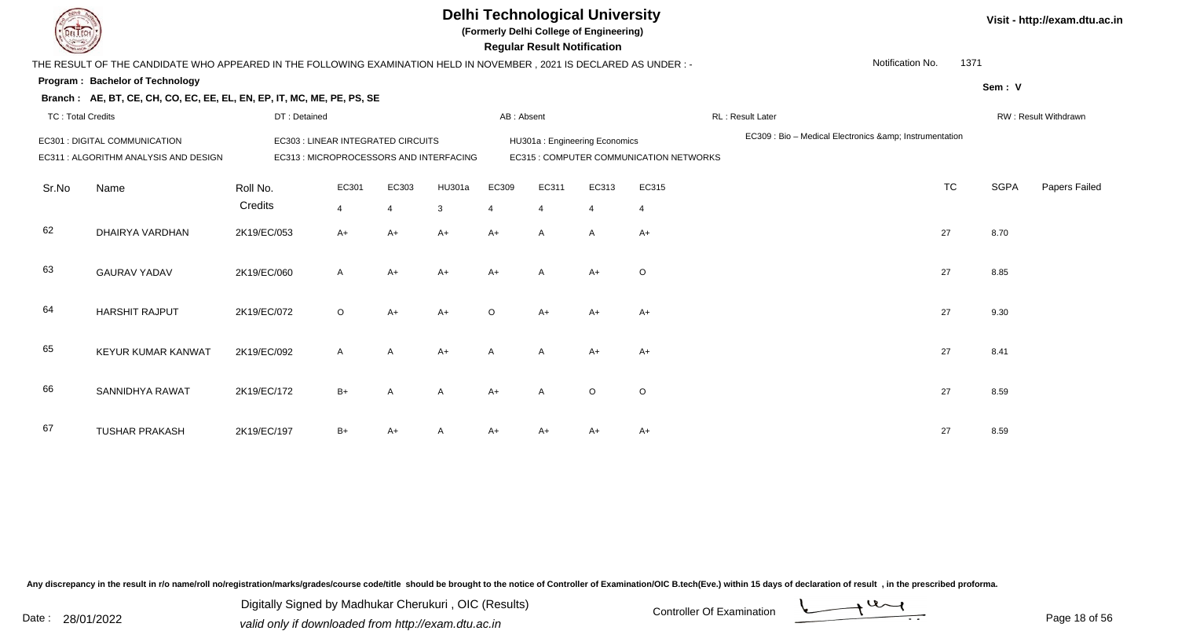**(Formerly Delhi College of Engineering)**

 **Regular Result Notification**

| $\sim$                   |                                                                                                                        |                                         |                |                |                |              | nogaia nobait notinoation |                               |                                         |                                                     |                  |        |                      |
|--------------------------|------------------------------------------------------------------------------------------------------------------------|-----------------------------------------|----------------|----------------|----------------|--------------|---------------------------|-------------------------------|-----------------------------------------|-----------------------------------------------------|------------------|--------|----------------------|
|                          | THE RESULT OF THE CANDIDATE WHO APPEARED IN THE FOLLOWING EXAMINATION HELD IN NOVEMBER , 2021 IS DECLARED AS UNDER : - |                                         |                |                |                |              |                           |                               |                                         |                                                     | Notification No. | 1371   |                      |
|                          | Program: Bachelor of Technology                                                                                        |                                         |                |                |                |              |                           |                               |                                         |                                                     |                  | Sem: V |                      |
|                          | Branch: AE, BT, CE, CH, CO, EC, EE, EL, EN, EP, IT, MC, ME, PE, PS, SE                                                 |                                         |                |                |                |              |                           |                               |                                         |                                                     |                  |        |                      |
| <b>TC: Total Credits</b> |                                                                                                                        | DT: Detained                            |                |                |                | AB: Absent   |                           |                               |                                         | RL: Result Later                                    |                  |        | RW: Result Withdrawn |
|                          | EC301 : DIGITAL COMMUNICATION                                                                                          | EC303 : LINEAR INTEGRATED CIRCUITS      |                |                |                |              |                           | HU301a: Engineering Economics |                                         | EC309 : Bio - Medical Electronics & Instrumentation |                  |        |                      |
|                          | EC311 : ALGORITHM ANALYSIS AND DESIGN                                                                                  | EC313 : MICROPROCESSORS AND INTERFACING |                |                |                |              |                           |                               | EC315 : COMPUTER COMMUNICATION NETWORKS |                                                     |                  |        |                      |
| Sr.No                    | Name                                                                                                                   | Roll No.                                | EC301          | EC303          | HU301a         | EC309        | EC311                     | EC313                         | EC315                                   |                                                     | <b>TC</b>        | SGPA   | Papers Failed        |
|                          |                                                                                                                        | Credits                                 | $\overline{4}$ |                | $\mathbf{3}$   | 4            | $\overline{\mathbf{A}}$   | 4                             | $\overline{4}$                          |                                                     |                  |        |                      |
| 62                       | DHAIRYA VARDHAN                                                                                                        | 2K19/EC/053                             | $A+$           | A+             | $A+$           | $A+$         | $\mathsf{A}$              | A                             | $A+$                                    |                                                     | 27               | 8.70   |                      |
| 63                       | <b>GAURAV YADAV</b>                                                                                                    | 2K19/EC/060                             | A              | $A+$           | $A+$           | $A+$         | A                         | $A+$                          | $\circ$                                 |                                                     | 27               | 8.85   |                      |
| 64                       | <b>HARSHIT RAJPUT</b>                                                                                                  | 2K19/EC/072                             | $\circ$        | $A+$           | $A+$           | $\circ$      | $A+$                      | $A+$                          | $A+$                                    |                                                     | 27               | 9.30   |                      |
| 65                       | KEYUR KUMAR KANWAT                                                                                                     | 2K19/EC/092                             | $\mathsf{A}$   | $\overline{A}$ | $A+$           | $\mathsf{A}$ | $\mathsf{A}$              | $A+$                          | $A+$                                    |                                                     | 27               | 8.41   |                      |
| 66                       | SANNIDHYA RAWAT                                                                                                        | 2K19/EC/172                             | $B+$           | A              | $\overline{A}$ | $A+$         | A                         | $\circ$                       | $\circ$                                 |                                                     | 27               | 8.59   |                      |
| 67                       | <b>TUSHAR PRAKASH</b>                                                                                                  | 2K19/EC/197                             | $B+$           | A+             |                | A+           | A+                        |                               | $A+$                                    |                                                     | 27               | 8.59   |                      |

Any discrepancy in the result in r/o name/roll no/registration/marks/grades/course code/title should be brought to the notice of Controller of Examination/OIC B.tech(Eve.) within 15 days of declaration of result, in the pr

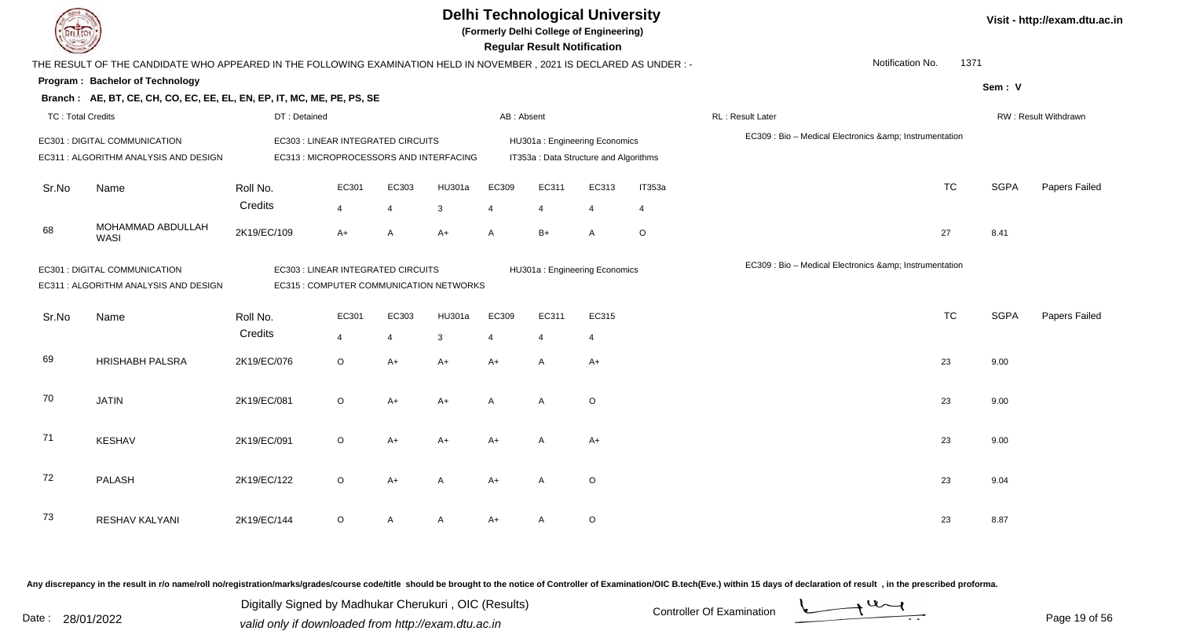|                          |                                                                                                                                                         |                     |                                                                               |                         |             | <b>Delhi Technological University</b><br>(Formerly Delhi College of Engineering)<br><b>Regular Result Notification</b> |                                                                         |                         |                          | Visit - http://exam.dtu.ac.in                       |      |             |                      |
|--------------------------|---------------------------------------------------------------------------------------------------------------------------------------------------------|---------------------|-------------------------------------------------------------------------------|-------------------------|-------------|------------------------------------------------------------------------------------------------------------------------|-------------------------------------------------------------------------|-------------------------|--------------------------|-----------------------------------------------------|------|-------------|----------------------|
|                          | THE RESULT OF THE CANDIDATE WHO APPEARED IN THE FOLLOWING EXAMINATION HELD IN NOVEMBER, 2021 IS DECLARED AS UNDER:-                                     |                     |                                                                               |                         |             |                                                                                                                        |                                                                         |                         |                          | Notification No.                                    | 1371 |             |                      |
|                          | Program: Bachelor of Technology                                                                                                                         |                     |                                                                               |                         |             |                                                                                                                        |                                                                         |                         |                          |                                                     |      | Sem: V      |                      |
|                          | Branch: AE, BT, CE, CH, CO, EC, EE, EL, EN, EP, IT, MC, ME, PE, PS, SE                                                                                  |                     |                                                                               |                         |             |                                                                                                                        |                                                                         |                         |                          |                                                     |      |             |                      |
| <b>TC: Total Credits</b> |                                                                                                                                                         | DT: Detained        |                                                                               |                         |             | AB: Absent                                                                                                             |                                                                         |                         |                          | RL: Result Later                                    |      |             | RW: Result Withdrawn |
|                          | EC301 : DIGITAL COMMUNICATION<br>EC311 : ALGORITHM ANALYSIS AND DESIGN                                                                                  |                     | EC303 : LINEAR INTEGRATED CIRCUITS<br>EC313 : MICROPROCESSORS AND INTERFACING |                         |             |                                                                                                                        | HU301a: Engineering Economics<br>IT353a : Data Structure and Algorithms |                         |                          | EC309 : Bio - Medical Electronics & Instrumentation |      |             |                      |
| Sr.No                    | Name                                                                                                                                                    | Roll No.<br>Credits | EC301<br>4                                                                    | EC303<br>$\overline{4}$ | HU301a<br>3 | EC309<br>4                                                                                                             | EC311<br>4                                                              | EC313<br>$\overline{4}$ | IT353a<br>$\overline{4}$ | <b>TC</b>                                           |      | <b>SGPA</b> | Papers Failed        |
| 68                       | MOHAMMAD ABDULLAH<br><b>WASI</b>                                                                                                                        | 2K19/EC/109         | $A+$                                                                          | A                       | $A+$        | $\mathsf{A}$                                                                                                           | $B+$                                                                    | A                       | $\circ$                  | 27                                                  |      | 8.41        |                      |
|                          | EC301 : DIGITAL COMMUNICATION<br>EC303 : LINEAR INTEGRATED CIRCUITS<br>EC311 : ALGORITHM ANALYSIS AND DESIGN<br>EC315 : COMPUTER COMMUNICATION NETWORKS |                     |                                                                               |                         |             |                                                                                                                        | HU301a: Engineering Economics                                           |                         |                          | EC309 : Bio - Medical Electronics & Instrumentation |      |             |                      |
| Sr.No                    | Name                                                                                                                                                    | Roll No.<br>Credits | EC301<br>4                                                                    | EC303<br>$\overline{4}$ | HU301a<br>3 | EC309<br>$\boldsymbol{\Delta}$                                                                                         | EC311<br>$\overline{4}$                                                 | EC315<br>$\overline{4}$ |                          | <b>TC</b>                                           |      | <b>SGPA</b> | Papers Failed        |
| 69                       | <b>HRISHABH PALSRA</b>                                                                                                                                  | 2K19/EC/076         | O                                                                             | $A+$                    | $A+$        | $A+$                                                                                                                   | A                                                                       | $A+$                    |                          | 23                                                  |      | 9.00        |                      |
| 70                       | <b>JATIN</b>                                                                                                                                            | 2K19/EC/081         | $\circ$                                                                       | $A+$                    | $A+$        | $\mathsf{A}$                                                                                                           | A                                                                       | $\circ$                 |                          | 23                                                  |      | 9.00        |                      |
| 71                       | <b>KESHAV</b>                                                                                                                                           | 2K19/EC/091         | $\circ$                                                                       | $A+$                    | $A+$        | $A+$                                                                                                                   | A                                                                       | $A+$                    |                          | 23                                                  |      | 9.00        |                      |
| 72                       | PALASH                                                                                                                                                  | 2K19/EC/122         | $\circ$                                                                       | A+                      | А           | $A+$                                                                                                                   | A                                                                       | $\mathsf O$             |                          | 23                                                  |      | 9.04        |                      |
| 73                       | RESHAV KALYANI                                                                                                                                          | 2K19/EC/144         | O                                                                             | A                       | A           | $A+$                                                                                                                   | A                                                                       | $\mathsf O$             |                          | 23                                                  |      | 8.87        |                      |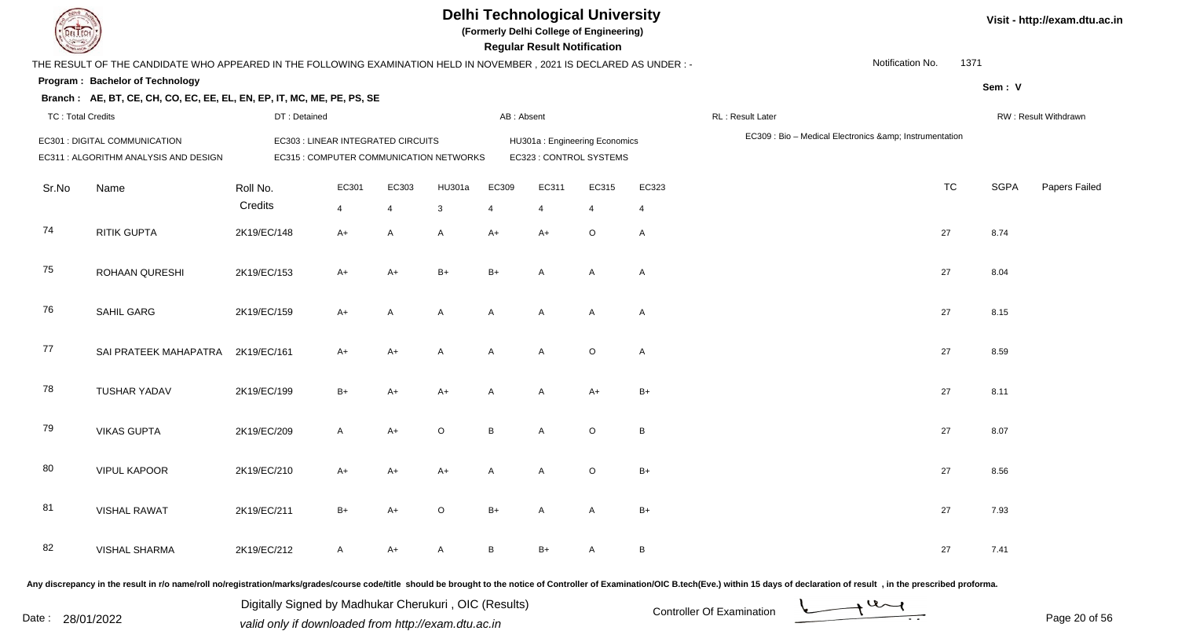

**(Formerly Delhi College of Engineering)**

 **Regular Result Notification**

| $\sim$                   |                                                                                                                      |              |                                         |                |              |              | n <del>c</del> yular n <del>c</del> sult notification |                               |              |                  |                                                     |             |                      |
|--------------------------|----------------------------------------------------------------------------------------------------------------------|--------------|-----------------------------------------|----------------|--------------|--------------|-------------------------------------------------------|-------------------------------|--------------|------------------|-----------------------------------------------------|-------------|----------------------|
|                          | THE RESULT OF THE CANDIDATE WHO APPEARED IN THE FOLLOWING EXAMINATION HELD IN NOVEMBER, 2021 IS DECLARED AS UNDER :- |              |                                         |                |              |              |                                                       |                               |              |                  | Notification No.                                    | 1371        |                      |
|                          | Program: Bachelor of Technology                                                                                      |              |                                         |                |              |              |                                                       |                               |              |                  |                                                     | Sem: V      |                      |
|                          | Branch: AE, BT, CE, CH, CO, EC, EE, EL, EN, EP, IT, MC, ME, PE, PS, SE                                               |              |                                         |                |              |              |                                                       |                               |              |                  |                                                     |             |                      |
| <b>TC: Total Credits</b> |                                                                                                                      | DT: Detained |                                         |                |              | AB: Absent   |                                                       |                               |              | RL: Result Later |                                                     |             | RW: Result Withdrawn |
|                          | EC301 : DIGITAL COMMUNICATION                                                                                        |              | EC303 : LINEAR INTEGRATED CIRCUITS      |                |              |              |                                                       | HU301a: Engineering Economics |              |                  | EC309 : Bio - Medical Electronics & Instrumentation |             |                      |
|                          | EC311 : ALGORITHM ANALYSIS AND DESIGN                                                                                |              | EC315 : COMPUTER COMMUNICATION NETWORKS |                |              |              |                                                       | EC323 : CONTROL SYSTEMS       |              |                  |                                                     |             |                      |
| Sr.No                    | Name                                                                                                                 | Roll No.     | EC301                                   | EC303          | HU301a       | EC309        | EC311                                                 | EC315                         | EC323        |                  | <b>TC</b>                                           | <b>SGPA</b> | <b>Papers Failed</b> |
|                          |                                                                                                                      | Credits      | $\overline{4}$                          | $\overline{4}$ | $\mathbf{3}$ | 4            | $\overline{4}$                                        | $\overline{4}$                | 4            |                  |                                                     |             |                      |
| 74                       | <b>RITIK GUPTA</b>                                                                                                   | 2K19/EC/148  | $A+$                                    | $\mathsf{A}$   | A            | $A+$         | $A+$                                                  | $\circ$                       | $\mathsf{A}$ |                  | 27                                                  | 8.74        |                      |
| 75                       | ROHAAN QURESHI                                                                                                       | 2K19/EC/153  | $A+$                                    | A+             | $B+$         | $B+$         | $\mathsf{A}$                                          | A                             | $\mathsf{A}$ |                  | 27                                                  | 8.04        |                      |
| 76                       | SAHIL GARG                                                                                                           | 2K19/EC/159  | $A+$                                    | A              | A            | A            | A                                                     | A                             | $\mathsf{A}$ |                  | 27                                                  | 8.15        |                      |
| 77                       | SAI PRATEEK MAHAPATRA 2K19/EC/161                                                                                    |              | $A+$                                    | $A+$           | A            | A            | A                                                     | $\circ$                       | $\mathsf{A}$ |                  | 27                                                  | 8.59        |                      |
| 78                       | <b>TUSHAR YADAV</b>                                                                                                  | 2K19/EC/199  | $B+$                                    | $A+$           | $A+$         | A            | A                                                     | $A+$                          | $B+$         |                  | 27                                                  | 8.11        |                      |
| 79                       | <b>VIKAS GUPTA</b>                                                                                                   | 2K19/EC/209  | $\mathsf{A}$                            | $A+$           | $\circ$      | B            | A                                                     | $\circ$                       | B            |                  | 27                                                  | 8.07        |                      |
| 80                       | <b>VIPUL KAPOOR</b>                                                                                                  | 2K19/EC/210  | $A+$                                    | A+             | $A+$         | $\mathsf{A}$ | $\mathsf{A}$                                          | $\circ$                       | $B+$         |                  | 27                                                  | 8.56        |                      |
| 81                       | <b>VISHAL RAWAT</b>                                                                                                  | 2K19/EC/211  | $B+$                                    | $A+$           | $\mathsf O$  | $B+$         | A                                                     | A                             | $B+$         |                  | 27                                                  | 7.93        |                      |
| 82                       | <b>VISHAL SHARMA</b>                                                                                                 | 2K19/EC/212  | $\mathsf{A}$                            | A+             | A            | B            | $B+$                                                  | A                             | B            |                  | 27                                                  | 7.41        |                      |
|                          |                                                                                                                      |              |                                         |                |              |              |                                                       |                               |              |                  |                                                     |             |                      |

Any discrepancy in the result in r/o name/roll no/registration/marks/grades/course code/title should be brought to the notice of Controller of Examination/OIC B.tech(Eve.) within 15 days of declaration of result, in the pr

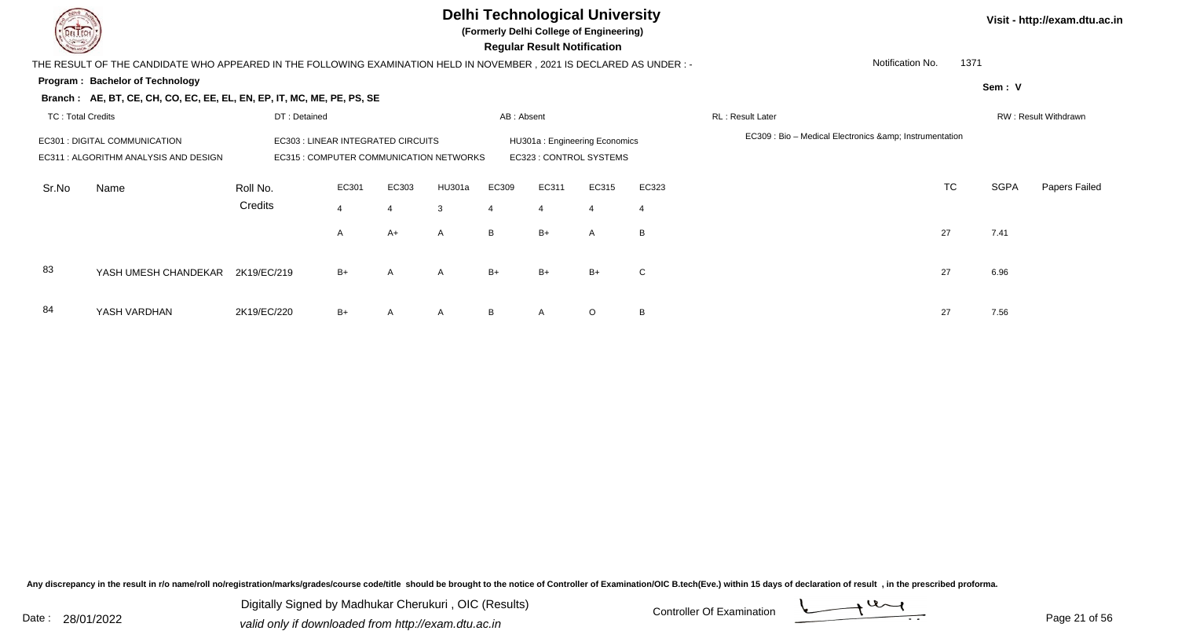

**(Formerly Delhi College of Engineering)**

 **Regular Result Notification**

| $\tilde{}$               |                                                                                                                      |              |                                                                               |       |              |            |                                                          |         |                |                                                          |           |             |                      |
|--------------------------|----------------------------------------------------------------------------------------------------------------------|--------------|-------------------------------------------------------------------------------|-------|--------------|------------|----------------------------------------------------------|---------|----------------|----------------------------------------------------------|-----------|-------------|----------------------|
|                          | THE RESULT OF THE CANDIDATE WHO APPEARED IN THE FOLLOWING EXAMINATION HELD IN NOVEMBER, 2021 IS DECLARED AS UNDER :- |              |                                                                               |       |              |            |                                                          |         |                | Notification No.                                         | 1371      |             |                      |
|                          | Program: Bachelor of Technology                                                                                      |              |                                                                               |       |              |            |                                                          |         |                |                                                          |           | Sem: V      |                      |
|                          | Branch: AE, BT, CE, CH, CO, EC, EE, EL, EN, EP, IT, MC, ME, PE, PS, SE                                               |              |                                                                               |       |              |            |                                                          |         |                |                                                          |           |             |                      |
| <b>TC: Total Credits</b> |                                                                                                                      | DT: Detained |                                                                               |       |              | AB: Absent |                                                          |         |                | RL: Result Later                                         |           |             | RW: Result Withdrawn |
|                          | EC301 : DIGITAL COMMUNICATION<br>EC311 : ALGORITHM ANALYSIS AND DESIGN                                               |              | EC303 : LINEAR INTEGRATED CIRCUITS<br>EC315 : COMPUTER COMMUNICATION NETWORKS |       |              |            | HU301a: Engineering Economics<br>EC323 : CONTROL SYSTEMS |         |                | EC309 : Bio - Medical Electronics & amp; Instrumentation |           |             |                      |
| Sr.No                    | Name                                                                                                                 | Roll No.     | EC301                                                                         | EC303 | HU301a       | EC309      | EC311                                                    | EC315   | EC323          |                                                          | <b>TC</b> | <b>SGPA</b> | Papers Failed        |
|                          |                                                                                                                      | Credits      | $\overline{4}$                                                                |       | 3            |            | $\overline{4}$                                           |         | $\overline{4}$ |                                                          |           |             |                      |
|                          |                                                                                                                      |              | $\mathsf{A}$                                                                  | A+    | $\mathsf{A}$ | B          | $B+$                                                     | A       | B              |                                                          | 27        | 7.41        |                      |
| 83                       | YASH UMESH CHANDEKAR 2K19/EC/219                                                                                     |              | $B+$                                                                          | A     | $\mathsf{A}$ | B+         | B+                                                       | $B+$    | C              |                                                          | 27        | 6.96        |                      |
| 84                       | YASH VARDHAN                                                                                                         | 2K19/EC/220  | $B+$                                                                          | A     | $\mathsf{A}$ | B          | $\mathsf{A}$                                             | $\circ$ | B              |                                                          | 27        | 7.56        |                      |

Any discrepancy in the result in r/o name/roll no/registration/marks/grades/course code/title should be brought to the notice of Controller of Examination/OIC B.tech(Eve.) within 15 days of declaration of result, in the pr

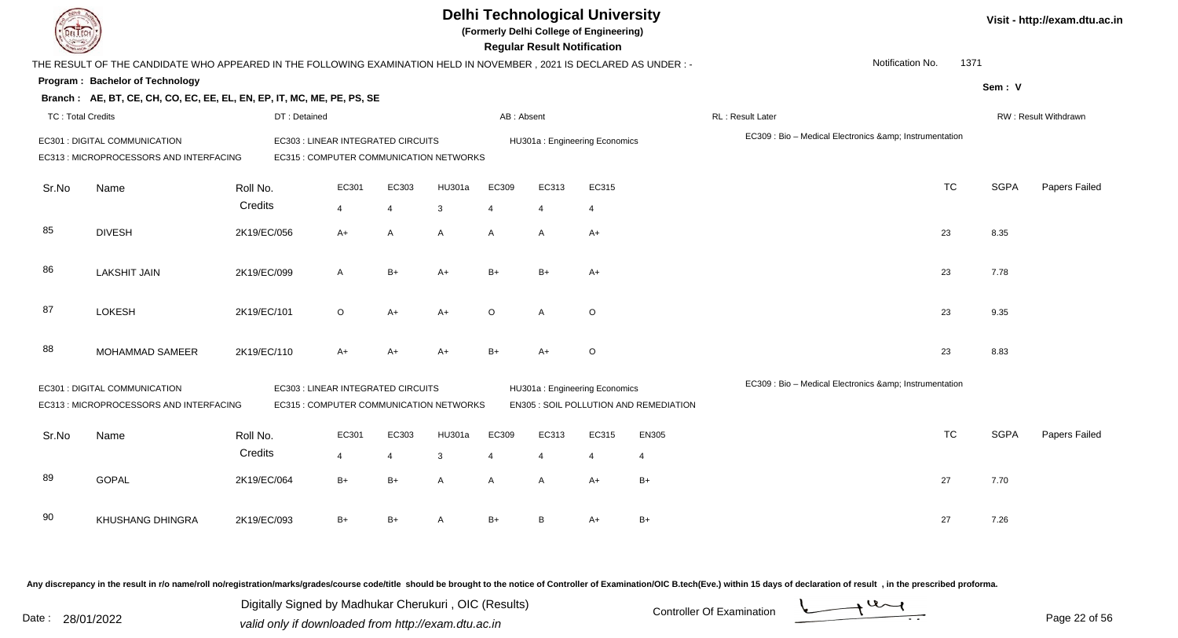| EL ECH                   |                                                                                                                      |              |                                                                               |                |                |                         | <b>Delhi Technological University</b><br>(Formerly Delhi College of Engineering)<br><b>Regular Result Notification</b> |                |                                        |                                                     |                  |             | Visit - http://exam.dtu.ac.in |
|--------------------------|----------------------------------------------------------------------------------------------------------------------|--------------|-------------------------------------------------------------------------------|----------------|----------------|-------------------------|------------------------------------------------------------------------------------------------------------------------|----------------|----------------------------------------|-----------------------------------------------------|------------------|-------------|-------------------------------|
|                          | THE RESULT OF THE CANDIDATE WHO APPEARED IN THE FOLLOWING EXAMINATION HELD IN NOVEMBER, 2021 IS DECLARED AS UNDER :- |              |                                                                               |                |                |                         |                                                                                                                        |                |                                        |                                                     | Notification No. | 1371        |                               |
|                          | Program: Bachelor of Technology                                                                                      |              |                                                                               |                |                |                         |                                                                                                                        |                |                                        |                                                     |                  | Sem: V      |                               |
|                          | Branch: AE, BT, CE, CH, CO, EC, EE, EL, EN, EP, IT, MC, ME, PE, PS, SE                                               |              |                                                                               |                |                |                         |                                                                                                                        |                |                                        |                                                     |                  |             |                               |
| <b>TC: Total Credits</b> |                                                                                                                      | DT: Detained |                                                                               |                |                | AB: Absent              |                                                                                                                        |                |                                        | <b>RL: Result Later</b>                             |                  |             | RW: Result Withdrawn          |
|                          | EC301 : DIGITAL COMMUNICATION<br>EC313 : MICROPROCESSORS AND INTERFACING                                             |              | EC303 : LINEAR INTEGRATED CIRCUITS<br>EC315 : COMPUTER COMMUNICATION NETWORKS |                |                |                         | HU301a: Engineering Economics                                                                                          |                |                                        | EC309 : Bio - Medical Electronics & Instrumentation |                  |             |                               |
| Sr.No                    | Name                                                                                                                 | Roll No.     | EC301                                                                         | EC303          | HU301a         | EC309                   | EC313                                                                                                                  | EC315          |                                        |                                                     | <b>TC</b>        | <b>SGPA</b> | Papers Failed                 |
|                          |                                                                                                                      | Credits      | $\overline{4}$                                                                | $\overline{4}$ | 3              | $\overline{\mathbf{A}}$ | $\overline{4}$                                                                                                         | $\overline{4}$ |                                        |                                                     |                  |             |                               |
| 85                       | <b>DIVESH</b>                                                                                                        | 2K19/EC/056  | $A+$                                                                          | A              | $\overline{A}$ | $\mathsf{A}$            | Α                                                                                                                      | $A+$           |                                        |                                                     | 23               | 8.35        |                               |
| 86                       | <b>LAKSHIT JAIN</b>                                                                                                  | 2K19/EC/099  | $\mathsf{A}$                                                                  | $B+$           | $A+$           | $B+$                    | $B+$                                                                                                                   | $A+$           |                                        |                                                     | 23               | 7.78        |                               |
| 87                       | <b>LOKESH</b>                                                                                                        | 2K19/EC/101  | $\circ$                                                                       | $A+$           | $A+$           | $\circ$                 | $\overline{A}$                                                                                                         | $\circ$        |                                        |                                                     | 23               | 9.35        |                               |
| 88                       | MOHAMMAD SAMEER                                                                                                      | 2K19/EC/110  | $A+$                                                                          | $A+$           | $A+$           | $B+$                    | $A+$                                                                                                                   | O              |                                        |                                                     | 23               | 8.83        |                               |
|                          | EC301 : DIGITAL COMMUNICATION<br>EC313 : MICROPROCESSORS AND INTERFACING                                             |              | EC303 : LINEAR INTEGRATED CIRCUITS<br>EC315 : COMPUTER COMMUNICATION NETWORKS |                |                |                         | HU301a: Engineering Economics                                                                                          |                | EN305 : SOIL POLLUTION AND REMEDIATION | EC309 : Bio - Medical Electronics & Instrumentation |                  |             |                               |
| Sr.No                    | Name                                                                                                                 | Roll No.     | EC301                                                                         | EC303          | HU301a         | EC309                   | EC313                                                                                                                  | EC315          | EN305                                  |                                                     | <b>TC</b>        | <b>SGPA</b> | Papers Failed                 |
|                          |                                                                                                                      | Credits      | 4                                                                             | $\overline{4}$ | 3              |                         | $\boldsymbol{\Delta}$                                                                                                  | $\overline{4}$ | $\boldsymbol{\Delta}$                  |                                                     |                  |             |                               |
| 89                       | <b>GOPAL</b>                                                                                                         | 2K19/EC/064  | $B+$                                                                          | $B+$           | A              | $\mathsf{A}$            | A                                                                                                                      | $A+$           | $B+$                                   |                                                     | 27               | 7.70        |                               |
| 90                       | KHUSHANG DHINGRA                                                                                                     | 2K19/EC/093  | $B+$                                                                          | $B+$           |                | $B+$                    | B                                                                                                                      | $A+$           | $B+$                                   |                                                     | 27               | 7.26        |                               |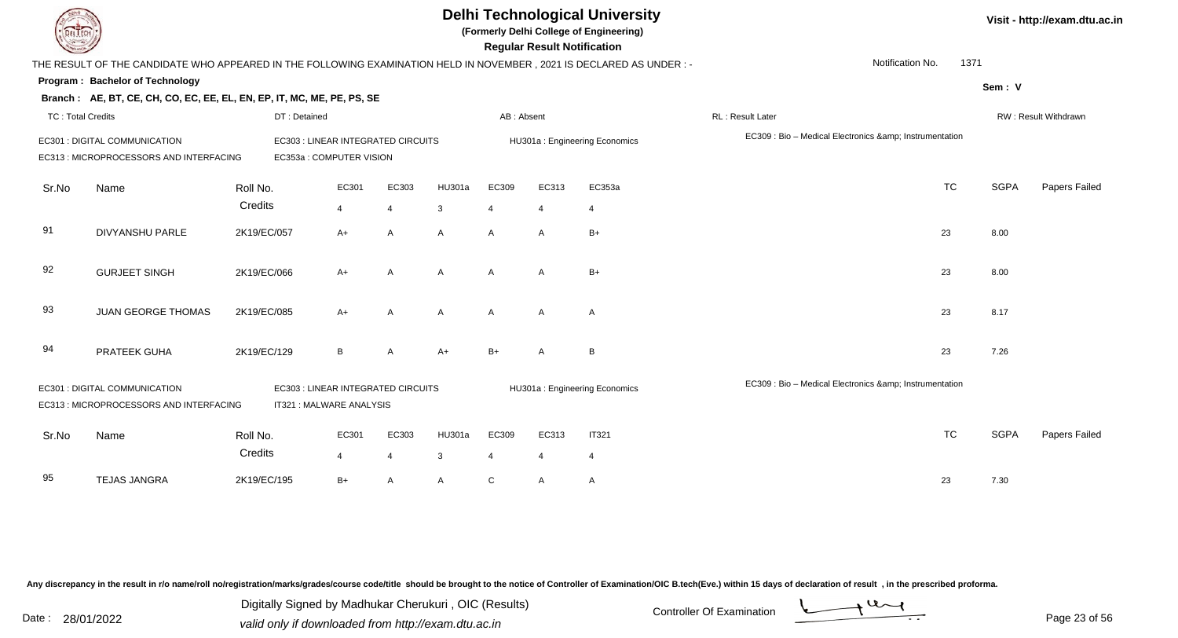**(Formerly Delhi College of Engineering)**

 **Regular Result Notification**

| $\sim$                   |                                                                                                                                                  |              |                                                               |                |               |                | ncyular ncədil nolllivation |                               |                                                     |           |             |                      |
|--------------------------|--------------------------------------------------------------------------------------------------------------------------------------------------|--------------|---------------------------------------------------------------|----------------|---------------|----------------|-----------------------------|-------------------------------|-----------------------------------------------------|-----------|-------------|----------------------|
|                          | THE RESULT OF THE CANDIDATE WHO APPEARED IN THE FOLLOWING EXAMINATION HELD IN NOVEMBER, 2021 IS DECLARED AS UNDER:-                              |              |                                                               |                |               |                |                             |                               | Notification No.                                    | 1371      |             |                      |
|                          | Program: Bachelor of Technology                                                                                                                  |              |                                                               |                |               |                |                             |                               |                                                     |           | Sem: V      |                      |
|                          | Branch: AE, BT, CE, CH, CO, EC, EE, EL, EN, EP, IT, MC, ME, PE, PS, SE                                                                           |              |                                                               |                |               |                |                             |                               |                                                     |           |             |                      |
| <b>TC: Total Credits</b> |                                                                                                                                                  | DT: Detained |                                                               |                |               | AB: Absent     |                             |                               | <b>RL: Result Later</b>                             |           |             | RW: Result Withdrawn |
|                          | EC301 : DIGITAL COMMUNICATION<br>EC313 : MICROPROCESSORS AND INTERFACING                                                                         |              | EC303 : LINEAR INTEGRATED CIRCUITS<br>EC353a: COMPUTER VISION |                |               |                |                             | HU301a: Engineering Economics | EC309 : Bio - Medical Electronics & Instrumentation |           |             |                      |
| Sr.No                    | Name                                                                                                                                             | Roll No.     | EC301                                                         | EC303          | <b>HU301a</b> | EC309          | EC313                       | EC353a                        |                                                     | <b>TC</b> | <b>SGPA</b> | Papers Failed        |
|                          |                                                                                                                                                  | Credits      | $\overline{4}$                                                | $\overline{4}$ | 3             | $\overline{4}$ | 4                           | 4                             |                                                     |           |             |                      |
| 91                       | <b>DIVYANSHU PARLE</b>                                                                                                                           | 2K19/EC/057  | $A+$                                                          | A              | A             | A              | $\overline{A}$              | $B+$                          |                                                     | 23        | 8.00        |                      |
| 92                       | <b>GURJEET SINGH</b>                                                                                                                             | 2K19/EC/066  | $A+$                                                          | A              | A             | $\mathsf{A}$   | $\mathsf{A}$                | $B+$                          |                                                     | 23        | 8.00        |                      |
| 93                       | <b>JUAN GEORGE THOMAS</b>                                                                                                                        | 2K19/EC/085  | $A+$                                                          | $\mathsf{A}$   | A             | $\mathsf{A}$   | $\overline{A}$              | A                             |                                                     | 23        | 8.17        |                      |
| 94                       | PRATEEK GUHA                                                                                                                                     | 2K19/EC/129  | B                                                             | A              | $A+$          | $B+$           | A                           | B                             |                                                     | 23        | 7.26        |                      |
|                          | <b>EC301: DIGITAL COMMUNICATION</b><br>EC303 : LINEAR INTEGRATED CIRCUITS<br>EC313 : MICROPROCESSORS AND INTERFACING<br>IT321 : MALWARE ANALYSIS |              |                                                               |                |               |                |                             | HU301a: Engineering Economics | EC309 : Bio - Medical Electronics & Instrumentation |           |             |                      |
| Sr.No                    | Name                                                                                                                                             | Roll No.     | EC301                                                         | EC303          | <b>HU301a</b> | EC309          | EC313                       | <b>IT321</b>                  |                                                     | <b>TC</b> | <b>SGPA</b> | Papers Failed        |
|                          |                                                                                                                                                  | Credits      | 4                                                             | 4              | 3             | 4              | 4                           | 4                             |                                                     |           |             |                      |
| 95                       | <b>TEJAS JANGRA</b>                                                                                                                              | 2K19/EC/195  | $B+$                                                          | A              | A             | C              | A                           | A                             |                                                     | 23        | 7.30        |                      |

Any discrepancy in the result in r/o name/roll no/registration/marks/grades/course code/title should be brought to the notice of Controller of Examination/OIC B.tech(Eve.) within 15 days of declaration of result, in the pr

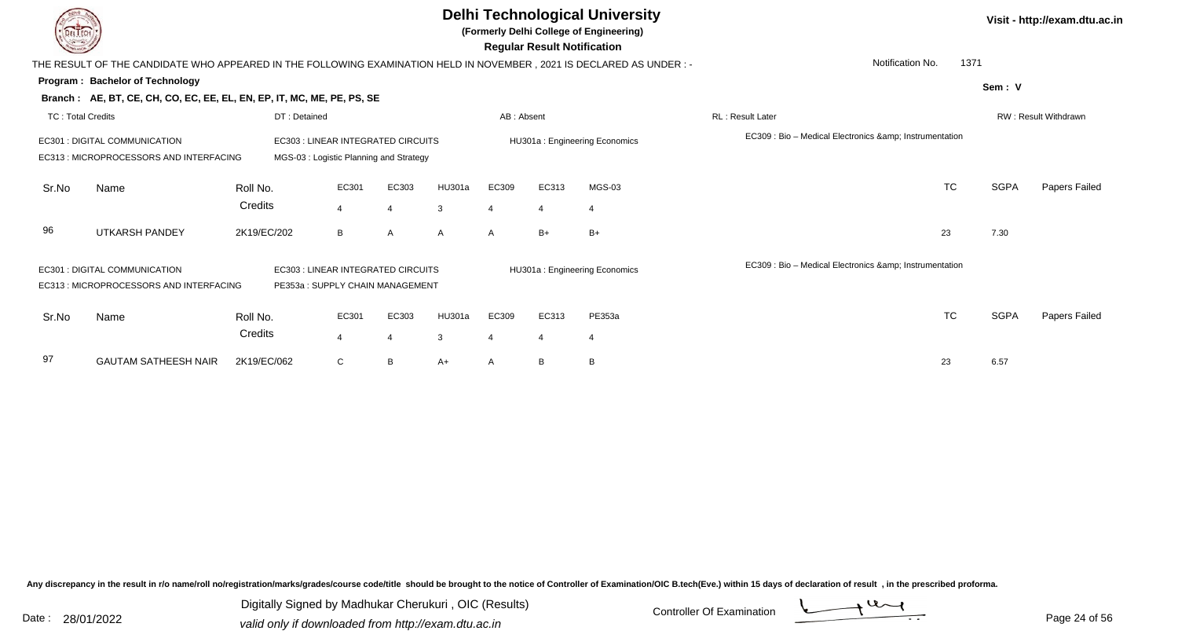|                          |                                                                                                                                                   |              |                |                                                                               |              |                       | <b>Regular Result Notification</b> | <b>Delhi Technological University</b><br>(Formerly Delhi College of Engineering) |                                                     |             | Visit - http://exam.dtu.ac.in |
|--------------------------|---------------------------------------------------------------------------------------------------------------------------------------------------|--------------|----------------|-------------------------------------------------------------------------------|--------------|-----------------------|------------------------------------|----------------------------------------------------------------------------------|-----------------------------------------------------|-------------|-------------------------------|
|                          | THE RESULT OF THE CANDIDATE WHO APPEARED IN THE FOLLOWING EXAMINATION HELD IN NOVEMBER, 2021 IS DECLARED AS UNDER :-                              |              |                |                                                                               |              |                       |                                    |                                                                                  | Notification No.                                    | 1371        |                               |
|                          | Program: Bachelor of Technology                                                                                                                   |              |                |                                                                               |              |                       |                                    |                                                                                  |                                                     | Sem: V      |                               |
|                          | Branch: AE, BT, CE, CH, CO, EC, EE, EL, EN, EP, IT, MC, ME, PE, PS, SE                                                                            |              |                |                                                                               |              |                       |                                    |                                                                                  |                                                     |             |                               |
| <b>TC: Total Credits</b> |                                                                                                                                                   | DT: Detained |                |                                                                               |              | AB: Absent            |                                    |                                                                                  | <b>RL: Result Later</b>                             |             | RW: Result Withdrawn          |
|                          | <b>EC301 : DIGITAL COMMUNICATION</b><br>EC313 : MICROPROCESSORS AND INTERFACING                                                                   |              |                | EC303 : LINEAR INTEGRATED CIRCUITS<br>MGS-03 : Logistic Planning and Strategy |              |                       |                                    | HU301a: Engineering Economics                                                    | EC309 : Bio - Medical Electronics & Instrumentation |             |                               |
| Sr.No                    | Name                                                                                                                                              | Roll No.     | EC301          | EC303                                                                         | HU301a       | EC309                 | EC313                              | $MGS-03$                                                                         | <b>TC</b>                                           | <b>SGPA</b> | <b>Papers Failed</b>          |
|                          |                                                                                                                                                   | Credits      | $\overline{4}$ | $\overline{\mathbf{A}}$                                                       | 3            | $\boldsymbol{\Delta}$ | $\overline{4}$                     | $\overline{4}$                                                                   |                                                     |             |                               |
| 96                       | <b>UTKARSH PANDEY</b>                                                                                                                             | 2K19/EC/202  | B              | $\mathsf{A}$                                                                  | $\mathsf{A}$ | $\mathsf{A}$          | $B+$                               | $B+$                                                                             | 23                                                  | 7.30        |                               |
|                          | EC301 : DIGITAL COMMUNICATION<br>EC303 : LINEAR INTEGRATED CIRCUITS<br>EC313 : MICROPROCESSORS AND INTERFACING<br>PE353a: SUPPLY CHAIN MANAGEMENT |              |                |                                                                               |              |                       |                                    | HU301a: Engineering Economics                                                    | EC309 : Bio - Medical Electronics & Instrumentation |             |                               |
| Sr.No                    | Name                                                                                                                                              | Roll No.     | EC301          | EC303                                                                         | HU301a       | EC309                 | EC313                              | PE353a                                                                           | <b>TC</b>                                           | <b>SGPA</b> | Papers Failed                 |
|                          |                                                                                                                                                   | Credits      | 4              | 4                                                                             | 3            | 4                     | $\overline{4}$                     | $\overline{4}$                                                                   |                                                     |             |                               |
| 97                       | <b>GAUTAM SATHEESH NAIR</b>                                                                                                                       | 2K19/EC/062  | C              | B                                                                             | A+           | A                     | B                                  | B                                                                                | 23                                                  | 6.57        |                               |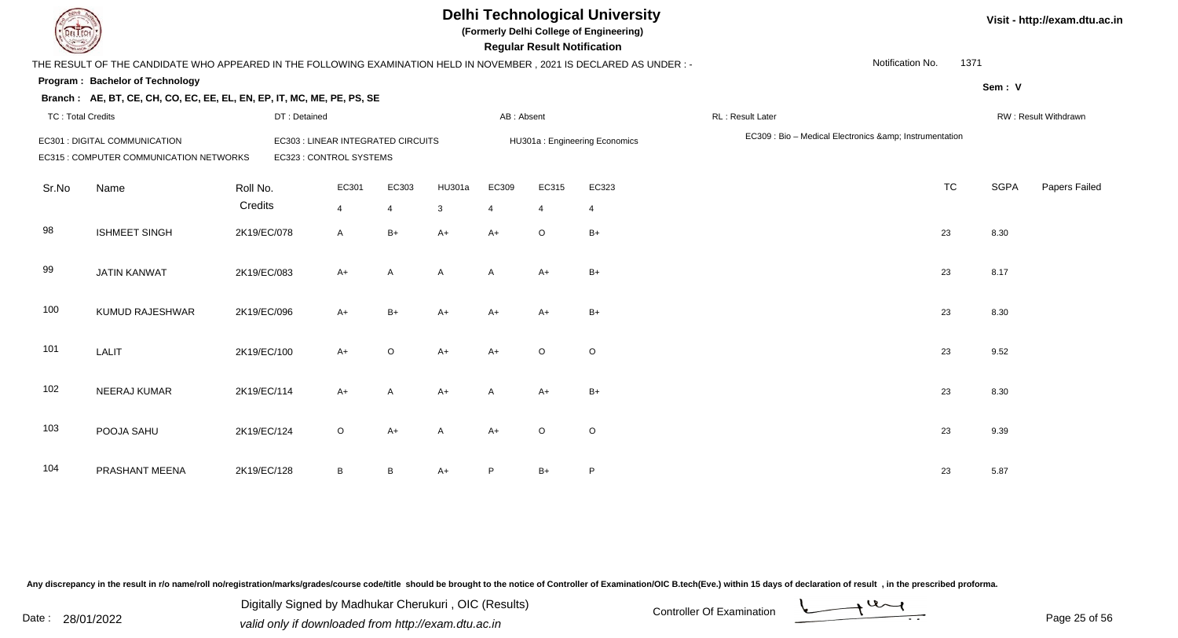**(Formerly Delhi College of Engineering)**

 **Regular Result Notification**

| $\sim$                   |                                                                                                                      |              |                                    |                |              |              | n <del>c</del> yular n <del>c</del> sult notification |                               |                   |                                                     |             |                      |
|--------------------------|----------------------------------------------------------------------------------------------------------------------|--------------|------------------------------------|----------------|--------------|--------------|-------------------------------------------------------|-------------------------------|-------------------|-----------------------------------------------------|-------------|----------------------|
|                          | THE RESULT OF THE CANDIDATE WHO APPEARED IN THE FOLLOWING EXAMINATION HELD IN NOVEMBER, 2021 IS DECLARED AS UNDER :- |              |                                    |                |              |              |                                                       |                               |                   | Notification No.                                    | 1371        |                      |
|                          | Program: Bachelor of Technology                                                                                      |              |                                    |                |              |              |                                                       |                               |                   |                                                     | Sem: V      |                      |
|                          | Branch: AE, BT, CE, CH, CO, EC, EE, EL, EN, EP, IT, MC, ME, PE, PS, SE                                               |              |                                    |                |              |              |                                                       |                               |                   |                                                     |             |                      |
| <b>TC: Total Credits</b> |                                                                                                                      | DT: Detained |                                    |                |              | AB: Absent   |                                                       |                               | RL : Result Later |                                                     |             | RW: Result Withdrawn |
|                          | EC301 : DIGITAL COMMUNICATION                                                                                        |              | EC303 : LINEAR INTEGRATED CIRCUITS |                |              |              |                                                       | HU301a: Engineering Economics |                   | EC309 : Bio - Medical Electronics & Instrumentation |             |                      |
|                          | EC315 : COMPUTER COMMUNICATION NETWORKS                                                                              |              | EC323 : CONTROL SYSTEMS            |                |              |              |                                                       |                               |                   |                                                     |             |                      |
| Sr.No                    | Name                                                                                                                 | Roll No.     | EC301                              | EC303          | HU301a       | EC309        | EC315                                                 | EC323                         |                   | <b>TC</b>                                           | <b>SGPA</b> | Papers Failed        |
|                          |                                                                                                                      | Credits      | $\overline{4}$                     | $\overline{4}$ | $\mathbf{3}$ | 4            | $\overline{4}$                                        | $\overline{4}$                |                   |                                                     |             |                      |
| 98                       | <b>ISHMEET SINGH</b>                                                                                                 | 2K19/EC/078  | $\overline{A}$                     | $B+$           | $A+$         | $A+$         | $\circ$                                               | $B+$                          |                   | 23                                                  | 8.30        |                      |
| 99                       | <b>JATIN KANWAT</b>                                                                                                  | 2K19/EC/083  | $A+$                               | $\mathsf{A}$   | $\mathsf{A}$ | $\mathsf{A}$ | $A+$                                                  | $B+$                          |                   | 23                                                  | 8.17        |                      |
| 100                      | KUMUD RAJESHWAR                                                                                                      | 2K19/EC/096  | $A+$                               | $B+$           | $A+$         | $A+$         | $A+$                                                  | $B+$                          |                   | 23                                                  | 8.30        |                      |
| 101                      | <b>LALIT</b>                                                                                                         | 2K19/EC/100  | $A+$                               | $\circ$        | $A+$         | $A+$         | $\circ$                                               | O                             |                   | 23                                                  | 9.52        |                      |
| 102                      | NEERAJ KUMAR                                                                                                         | 2K19/EC/114  | $A+$                               | A              | $A+$         | Α            | A+                                                    | $B+$                          |                   | 23                                                  | 8.30        |                      |
| 103                      | POOJA SAHU                                                                                                           | 2K19/EC/124  | $\circ$                            | $A+$           | $\mathsf{A}$ | $A+$         | $\circ$                                               | O                             |                   | 23                                                  | 9.39        |                      |
| 104                      | PRASHANT MEENA                                                                                                       | 2K19/EC/128  | $\, {\sf B}$                       | B              | $A+$         | P            | $B+$                                                  | P                             |                   | 23                                                  | 5.87        |                      |

Any discrepancy in the result in r/o name/roll no/registration/marks/grades/course code/title should be brought to the notice of Controller of Examination/OIC B.tech(Eve.) within 15 days of declaration of result, in the pr

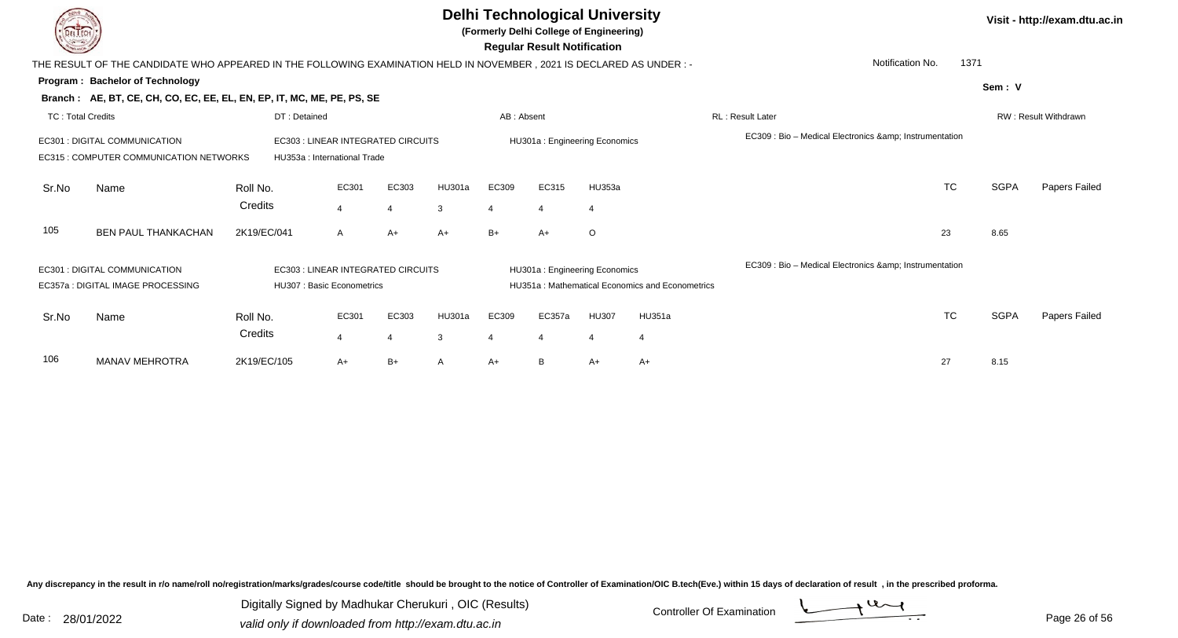|                          |                                                                                                                       |              |                                                                    |       |        |                             | <b>Delhi Technological University</b><br>(Formerly Delhi College of Engineering)<br><b>Regular Result Notification</b> |                |                                                 |                                                          |                          |             | Visit - http://exam.dtu.ac.in |
|--------------------------|-----------------------------------------------------------------------------------------------------------------------|--------------|--------------------------------------------------------------------|-------|--------|-----------------------------|------------------------------------------------------------------------------------------------------------------------|----------------|-------------------------------------------------|----------------------------------------------------------|--------------------------|-------------|-------------------------------|
|                          | THE RESULT OF THE CANDIDATE WHO APPEARED IN THE FOLLOWING EXAMINATION HELD IN NOVEMBER, 2021 IS DECLARED AS UNDER : - |              |                                                                    |       |        |                             |                                                                                                                        |                |                                                 |                                                          | Notification No.<br>1371 |             |                               |
|                          | Program: Bachelor of Technology                                                                                       |              |                                                                    |       |        |                             |                                                                                                                        |                |                                                 |                                                          |                          | Sem: V      |                               |
|                          | Branch: AE, BT, CE, CH, CO, EC, EE, EL, EN, EP, IT, MC, ME, PE, PS, SE                                                |              |                                                                    |       |        |                             |                                                                                                                        |                |                                                 |                                                          |                          |             |                               |
| <b>TC: Total Credits</b> |                                                                                                                       | DT: Detained |                                                                    |       |        | AB: Absent                  |                                                                                                                        |                |                                                 | RL: Result Later                                         |                          |             | <b>RW: Result Withdrawn</b>   |
|                          | <b>EC301 : DIGITAL COMMUNICATION</b><br>EC315 : COMPUTER COMMUNICATION NETWORKS                                       |              | EC303 : LINEAR INTEGRATED CIRCUITS<br>HU353a : International Trade |       |        |                             | HU301a: Engineering Economics                                                                                          |                |                                                 | EC309 : Bio - Medical Electronics & Instrumentation      |                          |             |                               |
| Sr.No                    | Name                                                                                                                  | Roll No.     | EC301                                                              | EC303 | HU301a | EC309                       | EC315                                                                                                                  | HU353a         |                                                 |                                                          | TC                       | <b>SGPA</b> | Papers Failed                 |
|                          |                                                                                                                       | Credits      | $\overline{\mathbf{4}}$                                            |       | 3      | 4                           |                                                                                                                        | $\overline{4}$ |                                                 |                                                          |                          |             |                               |
| 105                      | <b>BEN PAUL THANKACHAN</b>                                                                                            | 2K19/EC/041  | A                                                                  | $A+$  | A+     | $B+$                        | $A+$                                                                                                                   | $\circ$        |                                                 |                                                          | 23                       | 8.65        |                               |
|                          | <b>EC301 : DIGITAL COMMUNICATION</b><br>EC357a : DIGITAL IMAGE PROCESSING                                             |              | EC303 : LINEAR INTEGRATED CIRCUITS<br>HU307 : Basic Econometrics   |       |        |                             | HU301a: Engineering Economics                                                                                          |                | HU351a: Mathematical Economics and Econometrics | EC309 : Bio - Medical Electronics & amp; Instrumentation |                          |             |                               |
|                          |                                                                                                                       |              |                                                                    |       |        |                             |                                                                                                                        |                |                                                 |                                                          |                          |             |                               |
| Sr.No                    | Name                                                                                                                  | Roll No.     | EC301                                                              | EC303 | HU301a | EC309                       | EC357a                                                                                                                 | <b>HU307</b>   | HU351a                                          |                                                          | <b>TC</b>                | <b>SGPA</b> | <b>Papers Failed</b>          |
|                          |                                                                                                                       | Credits      | $\overline{4}$                                                     |       | 3      | $\boldsymbol{\vartriangle}$ | 4                                                                                                                      | $\overline{4}$ | $\overline{4}$                                  |                                                          |                          |             |                               |
| 106                      | <b>MANAV MEHROTRA</b>                                                                                                 | 2K19/EC/105  | A+                                                                 | B+    |        | $A+$                        | B                                                                                                                      | A+             | A+                                              |                                                          | 27                       | 8.15        |                               |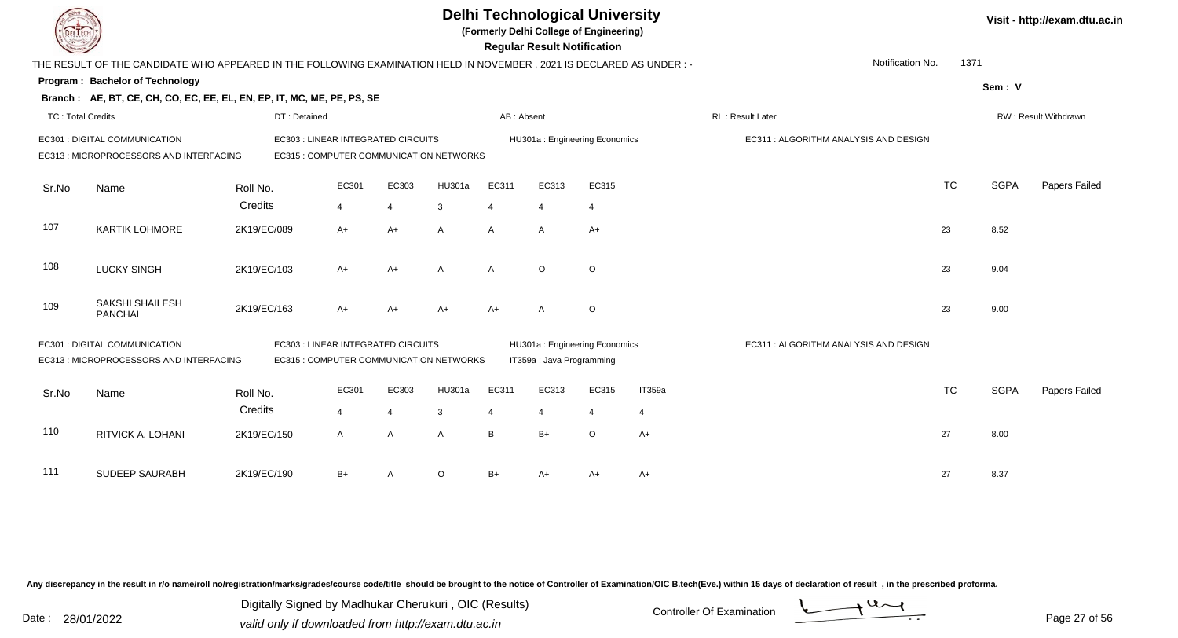| EL I ECH                 |                                                                                                                      |              |                                    |                |                                         |                         | <b>Regular Result Notification</b> | <b>Delhi Technological University</b><br>(Formerly Delhi College of Engineering) |                |                                       |           |             | Visit - http://exam.dtu.ac.in |
|--------------------------|----------------------------------------------------------------------------------------------------------------------|--------------|------------------------------------|----------------|-----------------------------------------|-------------------------|------------------------------------|----------------------------------------------------------------------------------|----------------|---------------------------------------|-----------|-------------|-------------------------------|
|                          | THE RESULT OF THE CANDIDATE WHO APPEARED IN THE FOLLOWING EXAMINATION HELD IN NOVEMBER, 2021 IS DECLARED AS UNDER :- |              |                                    |                |                                         |                         |                                    |                                                                                  |                | Notification No.                      | 1371      |             |                               |
|                          | Program: Bachelor of Technology                                                                                      |              |                                    |                |                                         |                         |                                    |                                                                                  |                |                                       |           | Sem: V      |                               |
|                          | Branch: AE, BT, CE, CH, CO, EC, EE, EL, EN, EP, IT, MC, ME, PE, PS, SE                                               |              |                                    |                |                                         |                         |                                    |                                                                                  |                |                                       |           |             |                               |
| <b>TC: Total Credits</b> |                                                                                                                      | DT: Detained |                                    |                |                                         | AB: Absent              |                                    |                                                                                  |                | RL: Result Later                      |           |             | RW: Result Withdrawn          |
|                          | EC301 : DIGITAL COMMUNICATION<br>EC313 : MICROPROCESSORS AND INTERFACING                                             |              | EC303 : LINEAR INTEGRATED CIRCUITS |                | EC315 : COMPUTER COMMUNICATION NETWORKS |                         |                                    | HU301a: Engineering Economics                                                    |                | EC311 : ALGORITHM ANALYSIS AND DESIGN |           |             |                               |
| Sr.No                    | Name                                                                                                                 | Roll No.     | EC301                              | EC303          | <b>HU301a</b>                           | EC311                   | EC313                              | EC315                                                                            |                |                                       | <b>TC</b> | <b>SGPA</b> | Papers Failed                 |
|                          |                                                                                                                      | Credits      | 4                                  | $\overline{4}$ | 3                                       | $\overline{4}$          | $\overline{4}$                     | $\overline{4}$                                                                   |                |                                       |           |             |                               |
| 107                      | <b>KARTIK LOHMORE</b>                                                                                                | 2K19/EC/089  | $A+$                               | $A+$           | A                                       | $\mathsf{A}$            | $\mathsf{A}$                       | $A+$                                                                             |                |                                       | 23        | 8.52        |                               |
| 108                      | <b>LUCKY SINGH</b>                                                                                                   | 2K19/EC/103  | $A+$                               | $A+$           | A                                       | $\mathsf{A}$            | $\circ$                            | $\circ$                                                                          |                |                                       | 23        | 9.04        |                               |
| 109                      | <b>SAKSHI SHAILESH</b><br><b>PANCHAL</b>                                                                             | 2K19/EC/163  | $A+$                               | $A+$           | $A+$                                    | $A+$                    | A                                  | $\circ$                                                                          |                |                                       | 23        | 9.00        |                               |
|                          | EC301 : DIGITAL COMMUNICATION<br>EC313 : MICROPROCESSORS AND INTERFACING                                             |              | EC303 : LINEAR INTEGRATED CIRCUITS |                | EC315 : COMPUTER COMMUNICATION NETWORKS |                         | IT359a : Java Programming          | HU301a: Engineering Economics                                                    |                | EC311: ALGORITHM ANALYSIS AND DESIGN  |           |             |                               |
|                          |                                                                                                                      | Roll No.     | EC301                              | EC303          | <b>HU301a</b>                           | EC311                   | EC313                              | EC315                                                                            | IT359a         |                                       | <b>TC</b> | <b>SGPA</b> | Papers Failed                 |
| Sr.No                    | Name                                                                                                                 | Credits      | $\overline{4}$                     | $\overline{4}$ | 3                                       | $\overline{\mathbf{A}}$ | $\boldsymbol{\Delta}$              | $\overline{4}$                                                                   | $\overline{4}$ |                                       |           |             |                               |
| 110                      | RITVICK A. LOHANI                                                                                                    | 2K19/EC/150  | $\mathsf{A}$                       | $\overline{A}$ | $\mathsf{A}$                            | B                       | $B+$                               | $\circ$                                                                          | $A+$           |                                       | 27        | 8.00        |                               |
| 111                      | <b>SUDEEP SAURABH</b>                                                                                                | 2K19/EC/190  | B+                                 | $\overline{A}$ | $\Omega$                                | $B+$                    | A+                                 | $A+$                                                                             | A+             |                                       | 27        | 8.37        |                               |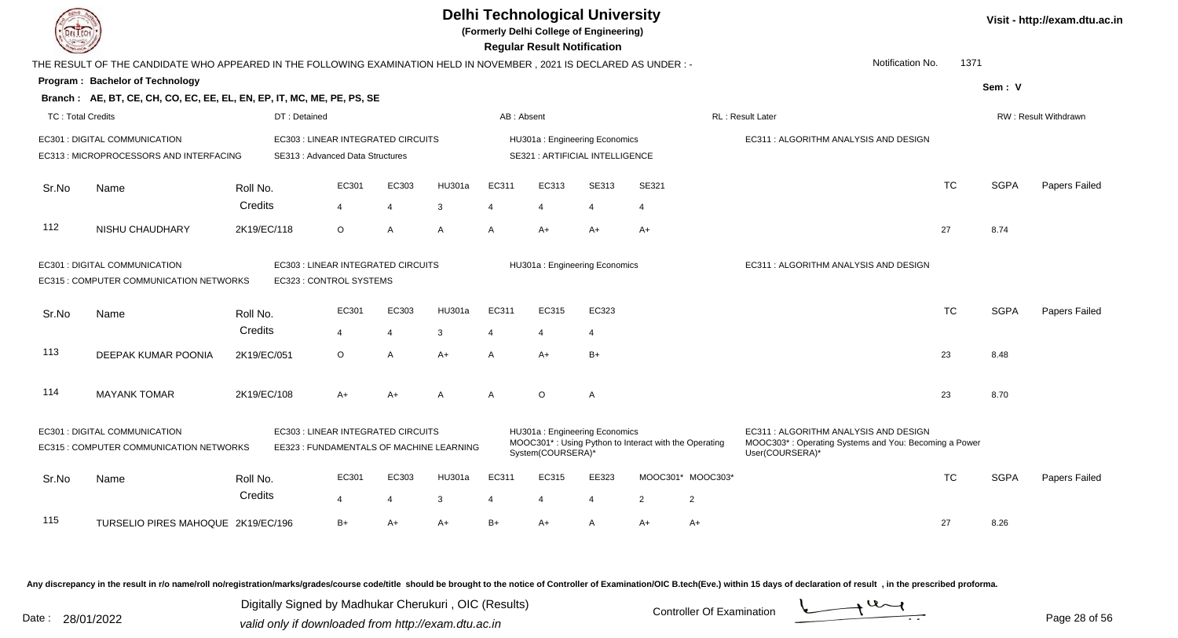| DEL ECH                  |                                                                                                                     |                        |                                                                                |                         |             |                            | <b>Delhi Technological University</b><br>(Formerly Delhi College of Engineering)<br><b>Regular Result Notification</b> |                         |                                                       |                   |                                                                                                                  |           |             | Visit - http://exam.dtu.ac.in |
|--------------------------|---------------------------------------------------------------------------------------------------------------------|------------------------|--------------------------------------------------------------------------------|-------------------------|-------------|----------------------------|------------------------------------------------------------------------------------------------------------------------|-------------------------|-------------------------------------------------------|-------------------|------------------------------------------------------------------------------------------------------------------|-----------|-------------|-------------------------------|
|                          | THE RESULT OF THE CANDIDATE WHO APPEARED IN THE FOLLOWING EXAMINATION HELD IN NOVEMBER, 2021 IS DECLARED AS UNDER:- |                        |                                                                                |                         |             |                            |                                                                                                                        |                         |                                                       |                   | Notification No.                                                                                                 | 1371      |             |                               |
|                          | Program: Bachelor of Technology                                                                                     |                        |                                                                                |                         |             |                            |                                                                                                                        |                         |                                                       |                   |                                                                                                                  |           | Sem: V      |                               |
|                          | Branch: AE, BT, CE, CH, CO, EC, EE, EL, EN, EP, IT, MC, ME, PE, PS, SE                                              |                        |                                                                                |                         |             |                            |                                                                                                                        |                         |                                                       |                   |                                                                                                                  |           |             |                               |
| <b>TC: Total Credits</b> |                                                                                                                     |                        | DT: Detained                                                                   |                         |             | AB: Absent                 |                                                                                                                        |                         |                                                       |                   | RL: Result Later                                                                                                 |           |             | RW: Result Withdrawn          |
|                          | EC301 : DIGITAL COMMUNICATION<br>EC313 : MICROPROCESSORS AND INTERFACING                                            |                        | EC303 : LINEAR INTEGRATED CIRCUITS<br>SE313: Advanced Data Structures          |                         |             |                            | HU301a: Engineering Economics<br><b>SE321: ARTIFICIAL INTELLIGENCE</b>                                                 |                         |                                                       |                   | EC311: ALGORITHM ANALYSIS AND DESIGN                                                                             |           |             |                               |
| Sr.No                    | Name                                                                                                                | Roll No.               | EC301                                                                          | EC303                   | HU301a      | EC311                      | EC313                                                                                                                  | SE313                   | SE321                                                 |                   |                                                                                                                  | <b>TC</b> | <b>SGPA</b> | Papers Failed                 |
| 112                      | NISHU CHAUDHARY                                                                                                     | Credits<br>2K19/EC/118 | $\overline{\mathbf{4}}$<br>$\circ$                                             | $\overline{4}$<br>A     | 3<br>A      | $\boldsymbol{\Delta}$<br>A | $\overline{4}$<br>$A+$                                                                                                 | $\overline{4}$<br>$A+$  | $\overline{4}$<br>$A+$                                |                   |                                                                                                                  | 27        | 8.74        |                               |
|                          | EC301 : DIGITAL COMMUNICATION<br>EC315 : COMPUTER COMMUNICATION NETWORKS                                            |                        | EC303 : LINEAR INTEGRATED CIRCUITS<br>EC323 : CONTROL SYSTEMS                  |                         |             |                            | HU301a: Engineering Economics                                                                                          |                         |                                                       |                   | EC311 : ALGORITHM ANALYSIS AND DESIGN                                                                            |           |             |                               |
| Sr.No                    | Name                                                                                                                | Roll No.<br>Credits    | EC301<br>$\overline{4}$                                                        | EC303<br>$\overline{4}$ | HU301a<br>3 | EC311<br>$\overline{4}$    | EC315<br>$\overline{4}$                                                                                                | EC323<br>$\overline{4}$ |                                                       |                   |                                                                                                                  | <b>TC</b> | <b>SGPA</b> | Papers Failed                 |
| 113                      | DEEPAK KUMAR POONIA                                                                                                 | 2K19/EC/051            | $\circ$                                                                        | A                       | $A+$        | A                          | A+                                                                                                                     | $B+$                    |                                                       |                   |                                                                                                                  | 23        | 8.48        |                               |
| 114                      | <b>MAYANK TOMAR</b>                                                                                                 | 2K19/EC/108            | $A+$                                                                           | A+                      | A           | A                          | $\circ$                                                                                                                | A                       |                                                       |                   |                                                                                                                  | 23        | 8.70        |                               |
|                          | EC301 : DIGITAL COMMUNICATION<br>EC315 : COMPUTER COMMUNICATION NETWORKS                                            |                        | EC303 : LINEAR INTEGRATED CIRCUITS<br>EE323 : FUNDAMENTALS OF MACHINE LEARNING |                         |             |                            | HU301a: Engineering Economics<br>System(COURSERA)*                                                                     |                         | MOOC301*: Using Python to Interact with the Operating |                   | EC311: ALGORITHM ANALYSIS AND DESIGN<br>MOOC303*: Operating Systems and You: Becoming a Power<br>User(COURSERA)* |           |             |                               |
| Sr.No                    | Name                                                                                                                | Roll No.<br>Credits    | EC301<br>$\overline{\mathbf{4}}$                                               | EC303                   | HU301a<br>3 | EC311                      | EC315                                                                                                                  | EE323                   |                                                       | MOOC301* MOOC303* |                                                                                                                  | <b>TC</b> | <b>SGPA</b> | Papers Failed                 |
| 115                      | TURSELIO PIRES MAHOQUE 2K19/EC/196                                                                                  |                        | $B+$                                                                           | 4<br>$A+$               | $A+$        | $B+$                       | 4<br>$A+$                                                                                                              | $\overline{4}$<br>A     | $\overline{2}$<br>$A+$                                | 2<br>A+           |                                                                                                                  | 27        | 8.26        |                               |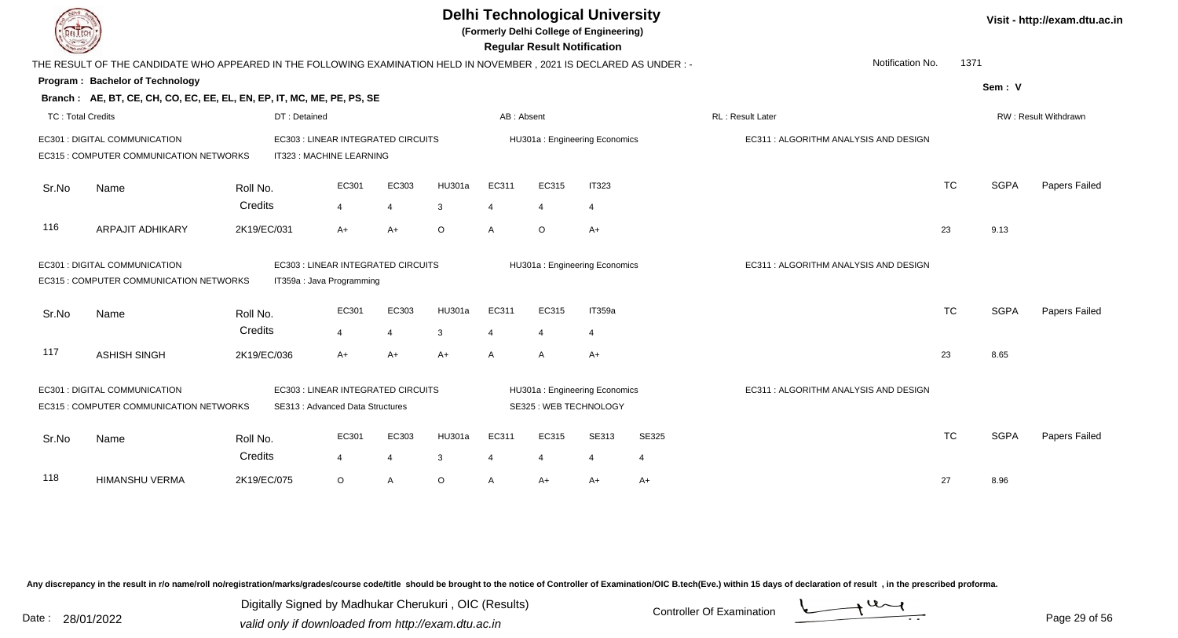| LI ECH                   |                                                                                                                      |              |                                    |                |               |                |                | <b>Delhi Technological University</b><br>(Formerly Delhi College of Engineering)<br><b>Regular Result Notification</b> |                |                                       |           |             | Visit - http://exam.dtu.ac.in |
|--------------------------|----------------------------------------------------------------------------------------------------------------------|--------------|------------------------------------|----------------|---------------|----------------|----------------|------------------------------------------------------------------------------------------------------------------------|----------------|---------------------------------------|-----------|-------------|-------------------------------|
|                          | THE RESULT OF THE CANDIDATE WHO APPEARED IN THE FOLLOWING EXAMINATION HELD IN NOVEMBER, 2021 IS DECLARED AS UNDER :- |              |                                    |                |               |                |                |                                                                                                                        |                | Notification No.                      | 1371      |             |                               |
|                          | Program: Bachelor of Technology                                                                                      |              |                                    |                |               |                |                |                                                                                                                        |                |                                       |           | Sem: V      |                               |
|                          | Branch: AE, BT, CE, CH, CO, EC, EE, EL, EN, EP, IT, MC, ME, PE, PS, SE                                               |              |                                    |                |               |                |                |                                                                                                                        |                |                                       |           |             |                               |
| <b>TC: Total Credits</b> |                                                                                                                      | DT: Detained |                                    |                |               | AB: Absent     |                |                                                                                                                        |                | RL: Result Later                      |           |             | RW: Result Withdrawn          |
|                          | EC301 : DIGITAL COMMUNICATION                                                                                        |              | EC303 : LINEAR INTEGRATED CIRCUITS |                |               |                |                | HU301a: Engineering Economics                                                                                          |                | EC311 : ALGORITHM ANALYSIS AND DESIGN |           |             |                               |
|                          | EC315 : COMPUTER COMMUNICATION NETWORKS                                                                              |              | IT323 : MACHINE LEARNING           |                |               |                |                |                                                                                                                        |                |                                       |           |             |                               |
| Sr.No                    | Name                                                                                                                 | Roll No.     | EC301                              | EC303          | <b>HU301a</b> | EC311          | EC315          | <b>IT323</b>                                                                                                           |                |                                       | <b>TC</b> | <b>SGPA</b> | Papers Failed                 |
|                          |                                                                                                                      | Credits      | $\overline{4}$                     | $\overline{4}$ | 3             | $\overline{4}$ | $\overline{4}$ | $\overline{4}$                                                                                                         |                |                                       |           |             |                               |
| 116                      | <b>ARPAJIT ADHIKARY</b>                                                                                              | 2K19/EC/031  | $A+$                               | $A+$           | $\circ$       | $\mathsf{A}$   | $\circ$        | $A+$                                                                                                                   |                |                                       | 23        | 9.13        |                               |
|                          | EC301 : DIGITAL COMMUNICATION                                                                                        |              | EC303 : LINEAR INTEGRATED CIRCUITS |                |               |                |                | HU301a: Engineering Economics                                                                                          |                | EC311: ALGORITHM ANALYSIS AND DESIGN  |           |             |                               |
|                          | EC315 : COMPUTER COMMUNICATION NETWORKS                                                                              |              | IT359a : Java Programming          |                |               |                |                |                                                                                                                        |                |                                       |           |             |                               |
| Sr.No                    | Name                                                                                                                 | Roll No.     | EC301                              | EC303          | <b>HU301a</b> | EC311          | EC315          | IT359a                                                                                                                 |                |                                       | <b>TC</b> | <b>SGPA</b> | Papers Failed                 |
|                          |                                                                                                                      | Credits      | $\overline{4}$                     | $\overline{4}$ | 3             | 4              | $\overline{4}$ | $\overline{4}$                                                                                                         |                |                                       |           |             |                               |
| 117                      | <b>ASHISH SINGH</b>                                                                                                  | 2K19/EC/036  | $A+$                               | $A+$           | $A+$          | $\mathsf{A}$   | A              | $A+$                                                                                                                   |                |                                       | 23        | 8.65        |                               |
|                          | EC301 : DIGITAL COMMUNICATION                                                                                        |              | EC303 : LINEAR INTEGRATED CIRCUITS |                |               |                |                | HU301a: Engineering Economics                                                                                          |                | EC311 : ALGORITHM ANALYSIS AND DESIGN |           |             |                               |
|                          | EC315 : COMPUTER COMMUNICATION NETWORKS                                                                              |              | SE313 : Advanced Data Structures   |                |               |                |                | SE325: WEB TECHNOLOGY                                                                                                  |                |                                       |           |             |                               |
| Sr.No                    | Name                                                                                                                 | Roll No.     | EC301                              | EC303          | HU301a        | EC311          | EC315          | SE313                                                                                                                  | SE325          |                                       | <b>TC</b> | <b>SGPA</b> | Papers Failed                 |
|                          |                                                                                                                      | Credits      | 4                                  | $\overline{4}$ | 3             | $\overline{4}$ | 4              | $\overline{4}$                                                                                                         | $\overline{4}$ |                                       |           |             |                               |
| 118                      | <b>HIMANSHU VERMA</b>                                                                                                | 2K19/EC/075  | $\circ$                            | $\overline{A}$ | $\circ$       | A              | A+             | $A+$                                                                                                                   | $A+$           |                                       | 27        | 8.96        |                               |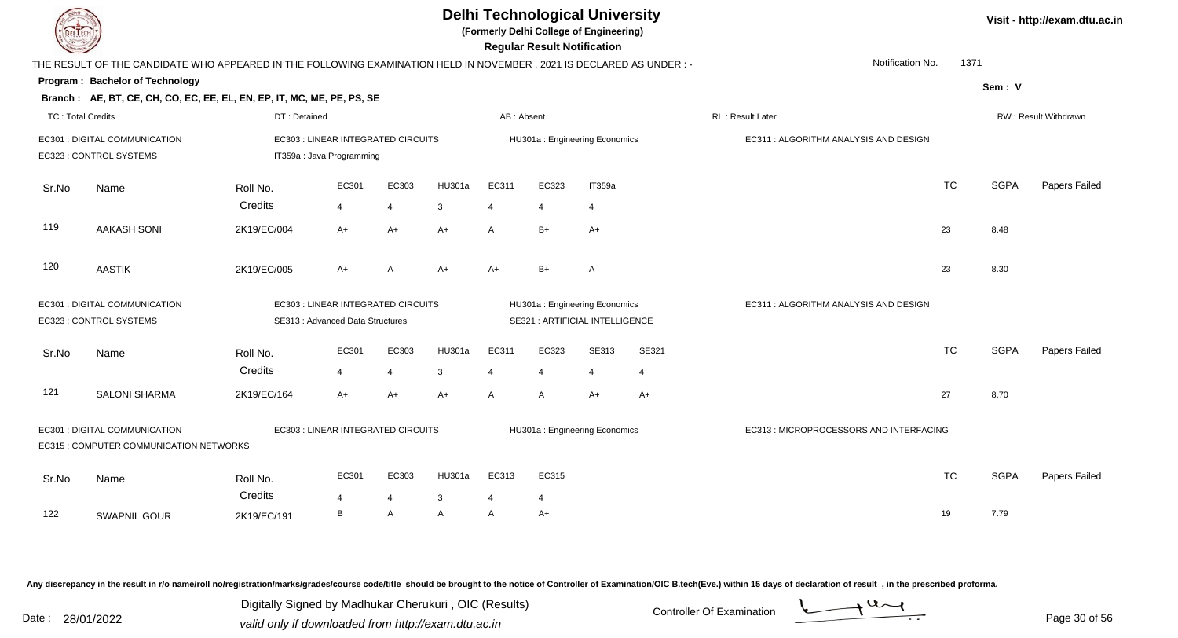

**(Formerly Delhi College of Engineering)**

 **Regular Result Notification**

| $\sim$                   |                                                                                                                        |                     |                                                                 |                         |             |                         | <b>Regular Result Notification</b> |                                 |            |                                        |           |             |                      |
|--------------------------|------------------------------------------------------------------------------------------------------------------------|---------------------|-----------------------------------------------------------------|-------------------------|-------------|-------------------------|------------------------------------|---------------------------------|------------|----------------------------------------|-----------|-------------|----------------------|
|                          | THE RESULT OF THE CANDIDATE WHO APPEARED IN THE FOLLOWING EXAMINATION HELD IN NOVEMBER , 2021 IS DECLARED AS UNDER : - |                     |                                                                 |                         |             |                         |                                    |                                 |            | Notification No.                       | 1371      |             |                      |
|                          | <b>Program: Bachelor of Technology</b>                                                                                 |                     |                                                                 |                         |             |                         |                                    |                                 |            |                                        |           | Sem: V      |                      |
|                          | Branch: AE, BT, CE, CH, CO, EC, EE, EL, EN, EP, IT, MC, ME, PE, PS, SE                                                 |                     |                                                                 |                         |             |                         |                                    |                                 |            |                                        |           |             |                      |
| <b>TC: Total Credits</b> |                                                                                                                        | DT: Detained        |                                                                 |                         |             | AB: Absent              |                                    |                                 |            | RL: Result Later                       |           |             | RW: Result Withdrawn |
|                          | EC301 : DIGITAL COMMUNICATION<br>EC323 : CONTROL SYSTEMS                                                               |                     | EC303 : LINEAR INTEGRATED CIRCUITS<br>IT359a : Java Programming |                         |             |                         |                                    | HU301a: Engineering Economics   |            | EC311 : ALGORITHM ANALYSIS AND DESIGN  |           |             |                      |
| Sr.No                    | Name                                                                                                                   | Roll No.<br>Credits | EC301<br>$\overline{4}$                                         | EC303<br>$\overline{4}$ | HU301a<br>3 | EC311<br>$\overline{4}$ | EC323<br>4                         | IT359a<br>4                     |            |                                        | <b>TC</b> | <b>SGPA</b> | Papers Failed        |
| 119                      | <b>AAKASH SONI</b>                                                                                                     | 2K19/EC/004         | $A+$                                                            | A+                      | $A+$        | A                       | $B+$                               | A+                              |            |                                        | 23        | 8.48        |                      |
| 120                      | <b>AASTIK</b>                                                                                                          | 2K19/EC/005         | $A+$                                                            | A                       | $A+$        | $A+$                    | $B+$                               | $\mathsf{A}$                    |            |                                        | 23        | 8.30        |                      |
|                          | EC301 : DIGITAL COMMUNICATION                                                                                          |                     | EC303 : LINEAR INTEGRATED CIRCUITS                              |                         |             |                         |                                    | HU301a: Engineering Economics   |            | EC311 : ALGORITHM ANALYSIS AND DESIGN  |           |             |                      |
|                          | EC323 : CONTROL SYSTEMS                                                                                                |                     | SE313: Advanced Data Structures                                 |                         |             |                         |                                    | SE321 : ARTIFICIAL INTELLIGENCE |            |                                        |           |             |                      |
| Sr.No                    | Name                                                                                                                   | Roll No.<br>Credits | EC301<br>$\overline{4}$                                         | EC303<br>$\overline{4}$ | HU301a<br>3 | EC311<br>4              | EC323<br>$\overline{4}$            | SE313<br>4                      | SE321<br>4 |                                        | <b>TC</b> | <b>SGPA</b> | Papers Failed        |
| 121                      | <b>SALONI SHARMA</b>                                                                                                   | 2K19/EC/164         | $A+$                                                            | A+                      | $A+$        | $\mathsf{A}$            | A                                  | $A+$                            | $A+$       |                                        | 27        | 8.70        |                      |
|                          | EC301 : DIGITAL COMMUNICATION<br>EC315 : COMPUTER COMMUNICATION NETWORKS                                               |                     | EC303 : LINEAR INTEGRATED CIRCUITS                              |                         |             |                         |                                    | HU301a: Engineering Economics   |            | EC313: MICROPROCESSORS AND INTERFACING |           |             |                      |
| Sr.No                    | Name                                                                                                                   | Roll No.<br>Credits | EC301<br>$\boldsymbol{\Delta}$                                  | EC303<br>$\overline{4}$ | HU301a<br>3 | EC313<br>4              | EC315<br>$\overline{4}$            |                                 |            |                                        | <b>TC</b> | <b>SGPA</b> | Papers Failed        |
| 122                      | SWAPNIL GOUR                                                                                                           | 2K19/EC/191         | B                                                               | A                       | A           | A                       | $A+$                               |                                 |            |                                        | 19        | 7.79        |                      |

Any discrepancy in the result in r/o name/roll no/registration/marks/grades/course code/title should be brought to the notice of Controller of Examination/OIC B.tech(Eve.) within 15 days of declaration of result, in the pr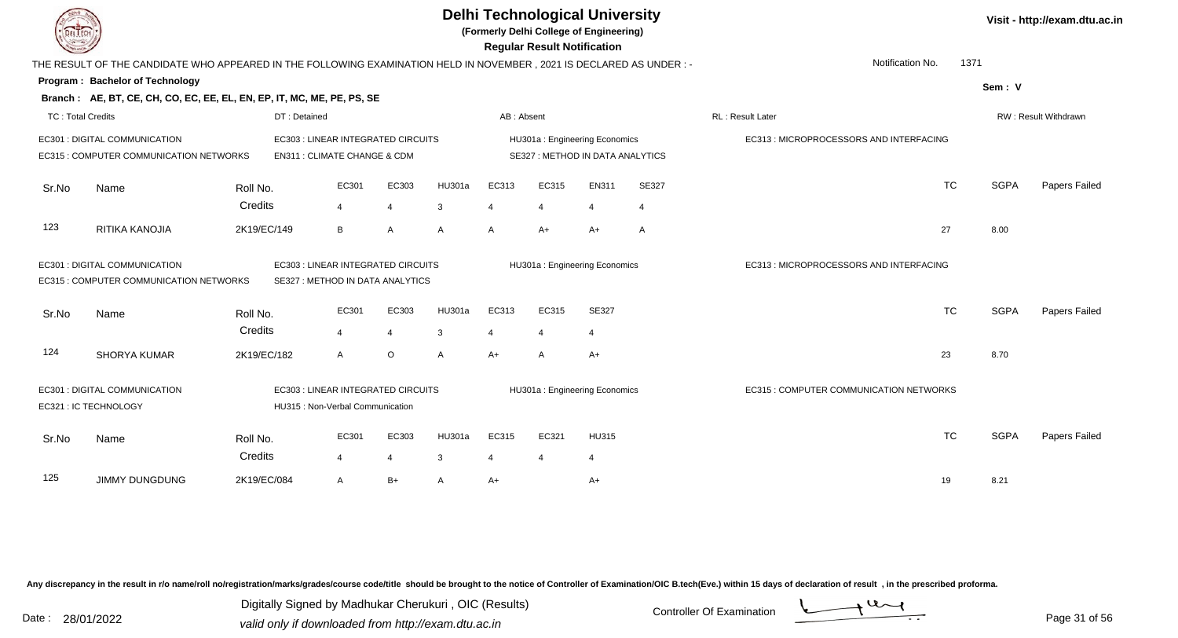|                          |                                                                                                                        |                        |                                                                        |                         |                    |                                | <b>Regular Result Notification</b> | <b>Delhi Technological University</b><br>(Formerly Delhi College of Engineering) |                         |                                         |             | Visit - http://exam.dtu.ac.in |
|--------------------------|------------------------------------------------------------------------------------------------------------------------|------------------------|------------------------------------------------------------------------|-------------------------|--------------------|--------------------------------|------------------------------------|----------------------------------------------------------------------------------|-------------------------|-----------------------------------------|-------------|-------------------------------|
|                          | THE RESULT OF THE CANDIDATE WHO APPEARED IN THE FOLLOWING EXAMINATION HELD IN NOVEMBER , 2021 IS DECLARED AS UNDER : - |                        |                                                                        |                         |                    |                                |                                    |                                                                                  |                         | Notification No.<br>1371                |             |                               |
|                          | Program: Bachelor of Technology                                                                                        |                        |                                                                        |                         |                    |                                |                                    |                                                                                  |                         |                                         | Sem: V      |                               |
|                          | Branch: AE, BT, CE, CH, CO, EC, EE, EL, EN, EP, IT, MC, ME, PE, PS, SE                                                 |                        |                                                                        |                         |                    |                                |                                    |                                                                                  |                         |                                         |             |                               |
| <b>TC: Total Credits</b> |                                                                                                                        |                        | DT: Detained                                                           |                         |                    | AB: Absent                     |                                    |                                                                                  |                         | RL: Result Later                        |             | RW: Result Withdrawn          |
|                          | EC301 : DIGITAL COMMUNICATION<br>EC315 : COMPUTER COMMUNICATION NETWORKS                                               |                        | EC303 : LINEAR INTEGRATED CIRCUITS<br>EN311 : CLIMATE CHANGE & CDM     |                         |                    |                                |                                    | HU301a: Engineering Economics<br>SE327 : METHOD IN DATA ANALYTICS                |                         | EC313 : MICROPROCESSORS AND INTERFACING |             |                               |
| Sr.No                    | Name                                                                                                                   | Roll No.<br>Credits    | EC301<br>$\overline{4}$                                                | EC303<br>$\overline{4}$ | <b>HU301a</b><br>3 | EC313<br>4                     | EC315                              | EN311<br>$\overline{4}$                                                          | SE327<br>$\overline{4}$ | <b>TC</b>                               | <b>SGPA</b> | Papers Failed                 |
| 123                      | RITIKA KANOJIA                                                                                                         | 2K19/EC/149            | B                                                                      | A                       | A                  | $\overline{A}$                 | $A+$                               | $A+$                                                                             | A                       | 27                                      | 8.00        |                               |
|                          | EC301 : DIGITAL COMMUNICATION<br>EC315 : COMPUTER COMMUNICATION NETWORKS                                               |                        | EC303 : LINEAR INTEGRATED CIRCUITS<br>SE327 : METHOD IN DATA ANALYTICS |                         |                    |                                |                                    | HU301a: Engineering Economics                                                    |                         | EC313 : MICROPROCESSORS AND INTERFACING |             |                               |
| Sr.No                    | Name                                                                                                                   | Roll No.               | EC301                                                                  | EC303                   | <b>HU301a</b>      | EC313                          | EC315                              | SE327                                                                            |                         | <b>TC</b>                               | <b>SGPA</b> | Papers Failed                 |
| 124                      | <b>SHORYA KUMAR</b>                                                                                                    | Credits<br>2K19/EC/182 | $\overline{4}$<br>A                                                    | $\overline{4}$<br>O     | 3<br>A             | $\overline{4}$<br>$A+$         | $\overline{4}$<br>$\mathsf{A}$     | 4<br>$A+$                                                                        |                         | 23                                      | 8.70        |                               |
|                          | EC301 : DIGITAL COMMUNICATION<br>EC321 : IC TECHNOLOGY                                                                 |                        | EC303 : LINEAR INTEGRATED CIRCUITS<br>HU315 : Non-Verbal Communication |                         |                    |                                |                                    | HU301a: Engineering Economics                                                    |                         | EC315 : COMPUTER COMMUNICATION NETWORKS |             |                               |
| Sr.No                    | Name                                                                                                                   | Roll No.<br>Credits    | EC301<br>4                                                             | EC303<br>$\overline{4}$ | <b>HU301a</b><br>3 | EC315<br>$\boldsymbol{\Delta}$ | EC321                              | <b>HU315</b><br>$\overline{4}$                                                   |                         | <b>TC</b>                               | <b>SGPA</b> | Papers Failed                 |
| 125                      | <b>JIMMY DUNGDUNG</b>                                                                                                  | 2K19/EC/084            | A                                                                      | $B+$                    | A                  | $A+$                           |                                    | $A+$                                                                             |                         | 19                                      | 8.21        |                               |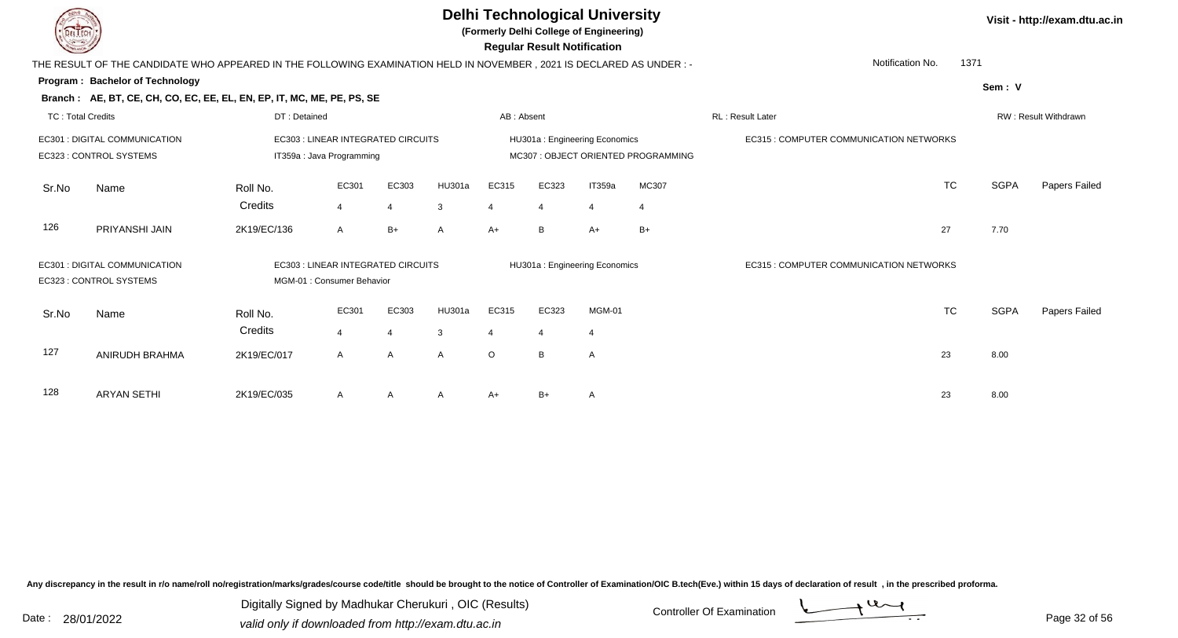**(Formerly Delhi College of Engineering)**

 **Regular Result Notification**

|  | Visit - http://exam.dtu.ac.in |  |
|--|-------------------------------|--|
|--|-------------------------------|--|

|                          | THE RESULT OF THE CANDIDATE WHO APPEARED IN THE FOLLOWING EXAMINATION HELD IN NOVEMBER, 2021 IS DECLARED AS UNDER:- |                                    |                |                |              |                |                |                               |                                    | Notification No.                        | 1371      |             |                      |
|--------------------------|---------------------------------------------------------------------------------------------------------------------|------------------------------------|----------------|----------------|--------------|----------------|----------------|-------------------------------|------------------------------------|-----------------------------------------|-----------|-------------|----------------------|
|                          | Program: Bachelor of Technology                                                                                     |                                    |                |                |              |                |                |                               |                                    |                                         |           | Sem: V      |                      |
|                          | Branch: AE, BT, CE, CH, CO, EC, EE, EL, EN, EP, IT, MC, ME, PE, PS, SE                                              |                                    |                |                |              |                |                |                               |                                    |                                         |           |             |                      |
| <b>TC: Total Credits</b> |                                                                                                                     | DT: Detained                       |                |                |              | AB: Absent     |                |                               |                                    | RL: Result Later                        |           |             | RW: Result Withdrawn |
|                          | EC301 : DIGITAL COMMUNICATION                                                                                       | EC303 : LINEAR INTEGRATED CIRCUITS |                |                |              |                |                | HU301a: Engineering Economics |                                    | EC315 : COMPUTER COMMUNICATION NETWORKS |           |             |                      |
|                          | EC323 : CONTROL SYSTEMS                                                                                             | IT359a : Java Programming          |                |                |              |                |                |                               | MC307: OBJECT ORIENTED PROGRAMMING |                                         |           |             |                      |
| Sr.No                    | Name                                                                                                                | Roll No.                           | EC301          | EC303          | HU301a       | EC315          | EC323          | IT359a                        | MC307                              |                                         | <b>TC</b> | SGPA        | Papers Failed        |
|                          |                                                                                                                     | Credits                            | $\overline{4}$ | $\overline{4}$ | 3            | $\overline{4}$ | $\overline{4}$ | $\overline{4}$                | $\overline{4}$                     |                                         |           |             |                      |
| 126                      | PRIYANSHI JAIN                                                                                                      | 2K19/EC/136                        | A              | $B+$           | $\mathsf{A}$ | $A+$           | B              | $A+$                          | $B+$                               |                                         | 27        | 7.70        |                      |
|                          |                                                                                                                     |                                    |                |                |              |                |                |                               |                                    |                                         |           |             |                      |
|                          | EC301 : DIGITAL COMMUNICATION                                                                                       | EC303 : LINEAR INTEGRATED CIRCUITS |                |                |              |                |                | HU301a: Engineering Economics |                                    | EC315 : COMPUTER COMMUNICATION NETWORKS |           |             |                      |
|                          | EC323 : CONTROL SYSTEMS                                                                                             | MGM-01 : Consumer Behavior         |                |                |              |                |                |                               |                                    |                                         |           |             |                      |
| Sr.No                    | Name                                                                                                                | Roll No.                           | EC301          | EC303          | HU301a       | EC315          | EC323          | MGM-01                        |                                    |                                         | <b>TC</b> | <b>SGPA</b> | Papers Failed        |
|                          |                                                                                                                     | Credits                            | $\overline{4}$ | $\overline{4}$ | 3            | 4              | $\overline{4}$ | -4                            |                                    |                                         |           |             |                      |
|                          |                                                                                                                     |                                    |                |                |              |                |                |                               |                                    |                                         |           |             |                      |
| 127                      | ANIRUDH BRAHMA                                                                                                      | 2K19/EC/017                        | $\mathsf{A}$   | $\mathsf{A}$   | $\mathsf{A}$ | $\circ$        | $\mathsf{B}$   | $\mathsf{A}$                  |                                    |                                         | 23        | 8.00        |                      |
|                          |                                                                                                                     |                                    |                |                |              |                |                |                               |                                    |                                         |           |             |                      |
| 128                      | <b>ARYAN SETHI</b>                                                                                                  | 2K19/EC/035                        | A              | A              | A            | A+             | $B+$           | A                             |                                    |                                         | 23        | 8.00        |                      |

Any discrepancy in the result in r/o name/roll no/registration/marks/grades/course code/title should be brought to the notice of Controller of Examination/OIC B.tech(Eve.) within 15 days of declaration of result, in the pr

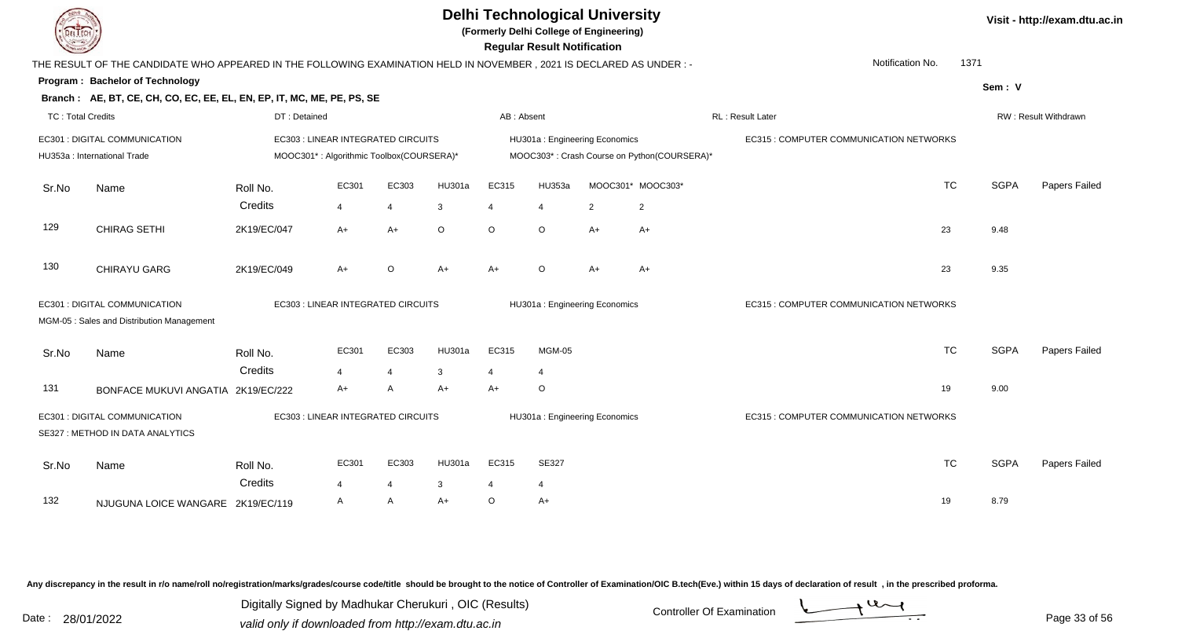**(Formerly Delhi College of Engineering)**

 **Regular Result Notification**

|                          |                                                                                                                      |                     |                                          |                       |               |            | <b>11098181 1109811 11011110811011</b> |      |                                             |                                         |           |             |                      |
|--------------------------|----------------------------------------------------------------------------------------------------------------------|---------------------|------------------------------------------|-----------------------|---------------|------------|----------------------------------------|------|---------------------------------------------|-----------------------------------------|-----------|-------------|----------------------|
|                          | THE RESULT OF THE CANDIDATE WHO APPEARED IN THE FOLLOWING EXAMINATION HELD IN NOVEMBER, 2021 IS DECLARED AS UNDER :- |                     |                                          |                       |               |            |                                        |      |                                             | Notification No.                        |           | 1371        |                      |
|                          | Program: Bachelor of Technology                                                                                      |                     |                                          |                       |               |            |                                        |      |                                             |                                         |           | Sem: V      |                      |
|                          | Branch: AE, BT, CE, CH, CO, EC, EE, EL, EN, EP, IT, MC, ME, PE, PS, SE                                               |                     |                                          |                       |               |            |                                        |      |                                             |                                         |           |             |                      |
| <b>TC: Total Credits</b> |                                                                                                                      | DT: Detained        |                                          |                       |               | AB: Absent |                                        |      |                                             | RL: Result Later                        |           |             | RW: Result Withdrawn |
|                          | EC301 : DIGITAL COMMUNICATION                                                                                        |                     | EC303 : LINEAR INTEGRATED CIRCUITS       |                       |               |            | HU301a: Engineering Economics          |      |                                             | EC315 : COMPUTER COMMUNICATION NETWORKS |           |             |                      |
|                          | HU353a : International Trade                                                                                         |                     | MOOC301*: Algorithmic Toolbox(COURSERA)* |                       |               |            |                                        |      | MOOC303*: Crash Course on Python(COURSERA)* |                                         |           |             |                      |
| Sr.No                    | Name                                                                                                                 | Roll No.            | EC301                                    | EC303                 | HU301a        | EC315      | HU353a                                 |      | MOOC301* MOOC303*                           |                                         | <b>TC</b> | <b>SGPA</b> | Papers Failed        |
|                          |                                                                                                                      | Credits             | 4                                        | $\boldsymbol{\Delta}$ | 3             |            | 4                                      | 2    | $\overline{c}$                              |                                         |           |             |                      |
| 129                      | <b>CHIRAG SETHI</b>                                                                                                  | 2K19/EC/047         | $A+$                                     | $A+$                  | $\circ$       | $\circ$    | $\circ$                                | $A+$ | $A+$                                        |                                         | 23        | 9.48        |                      |
| 130                      | <b>CHIRAYU GARG</b>                                                                                                  | 2K19/EC/049         | $A+$                                     | $\circ$               | A+            | $A+$       | $\circ$                                | $A+$ | $A+$                                        |                                         | 23        | 9.35        |                      |
|                          | EC301 : DIGITAL COMMUNICATION<br>MGM-05 : Sales and Distribution Management                                          |                     | EC303 : LINEAR INTEGRATED CIRCUITS       |                       |               |            | HU301a: Engineering Economics          |      |                                             | EC315 : COMPUTER COMMUNICATION NETWORKS |           |             |                      |
| Sr.No                    | Name                                                                                                                 | Roll No.            | EC301                                    | EC303                 | <b>HU301a</b> | EC315      | MGM-05                                 |      |                                             |                                         | <b>TC</b> | <b>SGPA</b> | Papers Failed        |
|                          |                                                                                                                      | Credits             | 4                                        | 4                     | 3             | 4          | 4                                      |      |                                             |                                         |           |             |                      |
| 131                      | BONFACE MUKUVI ANGATIA 2K19/EC/222                                                                                   |                     | $A+$                                     | A                     | A+            | A+         | O                                      |      |                                             |                                         | 19        | 9.00        |                      |
|                          | EC301 : DIGITAL COMMUNICATION<br>SE327 : METHOD IN DATA ANALYTICS                                                    |                     | EC303 : LINEAR INTEGRATED CIRCUITS       |                       |               |            | HU301a: Engineering Economics          |      |                                             | EC315 : COMPUTER COMMUNICATION NETWORKS |           |             |                      |
| Sr.No                    | Name                                                                                                                 | Roll No.<br>Credits | EC301                                    | EC303                 | HU301a        | EC315      | SE327                                  |      |                                             |                                         | <b>TC</b> | <b>SGPA</b> | Papers Failed        |
| 132                      | NJUGUNA LOICE WANGARE 2K19/EC/119                                                                                    |                     | 4<br>A                                   | 4<br>A                | 3<br>$A+$     | $\circ$    | 4<br>$A+$                              |      |                                             |                                         | 19        | 8.79        |                      |
|                          |                                                                                                                      |                     |                                          |                       |               |            |                                        |      |                                             |                                         |           |             |                      |

Any discrepancy in the result in r/o name/roll no/registration/marks/grades/course code/title should be brought to the notice of Controller of Examination/OIC B.tech(Eve.) within 15 days of declaration of result, in the pr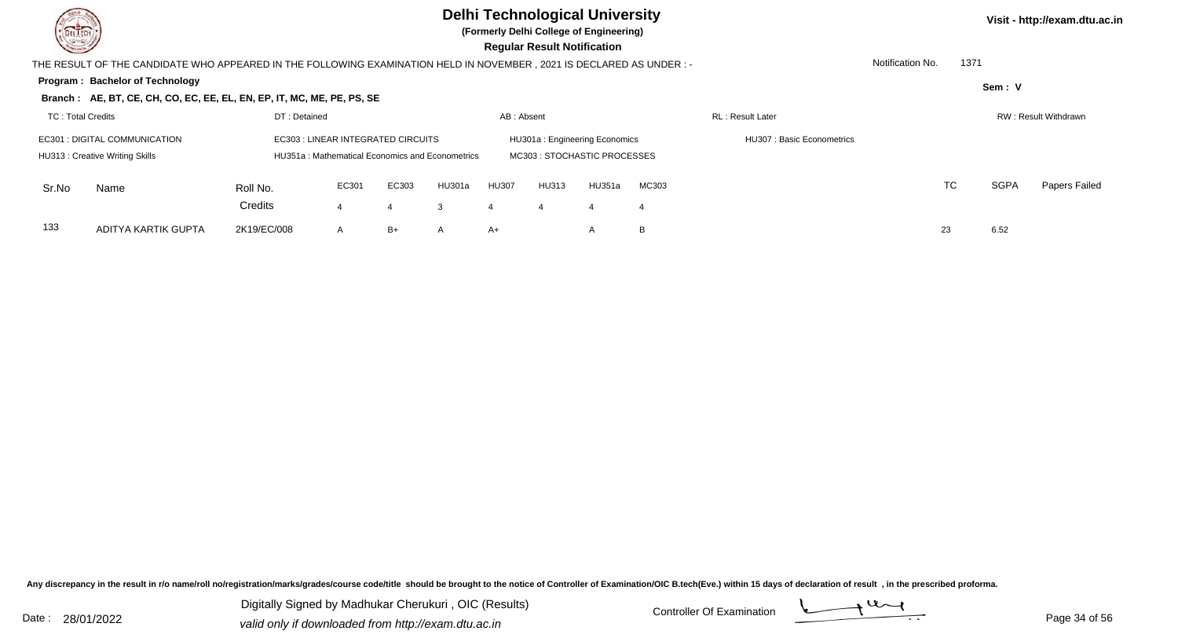

**(Formerly Delhi College of Engineering)**

| <b>Courses of</b> |                                                                                                                       |              |                                                 |       |              |              | <b>Regular Result Notification</b> |                               |       |                           |                  |      |             |                      |
|-------------------|-----------------------------------------------------------------------------------------------------------------------|--------------|-------------------------------------------------|-------|--------------|--------------|------------------------------------|-------------------------------|-------|---------------------------|------------------|------|-------------|----------------------|
|                   | THE RESULT OF THE CANDIDATE WHO APPEARED IN THE FOLLOWING EXAMINATION HELD IN NOVEMBER , 2021 IS DECLARED AS UNDER :- |              |                                                 |       |              |              |                                    |                               |       |                           | Notification No. | 1371 |             |                      |
|                   | <b>Program: Bachelor of Technology</b>                                                                                |              |                                                 |       |              |              |                                    |                               |       |                           |                  |      | Sem: V      |                      |
|                   | Branch: AE, BT, CE, CH, CO, EC, EE, EL, EN, EP, IT, MC, ME, PE, PS, SE                                                |              |                                                 |       |              |              |                                    |                               |       |                           |                  |      |             |                      |
| TC: Total Credits |                                                                                                                       | DT: Detained |                                                 |       |              | AB: Absent   |                                    |                               |       | <b>RL: Result Later</b>   |                  |      |             | RW: Result Withdrawn |
|                   | EC301 : DIGITAL COMMUNICATION                                                                                         |              | EC303 : LINEAR INTEGRATED CIRCUITS              |       |              |              |                                    | HU301a: Engineering Economics |       | HU307: Basic Econometrics |                  |      |             |                      |
|                   | HU313: Creative Writing Skills                                                                                        |              | HU351a: Mathematical Economics and Econometrics |       |              |              |                                    | MC303 : STOCHASTIC PROCESSES  |       |                           |                  |      |             |                      |
| Sr.No             | Name                                                                                                                  | Roll No.     | EC301                                           | EC303 | HU301a       | <b>HU307</b> | HU313                              | HU351a                        | MC303 |                           |                  | TC   | <b>SGPA</b> | Papers Failed        |
|                   |                                                                                                                       | Credits      |                                                 |       | 3            |              |                                    | -4                            | -4    |                           |                  |      |             |                      |
| 133               | ADITYA KARTIK GUPTA                                                                                                   | 2K19/EC/008  | A                                               | B+    | $\mathsf{A}$ | A+           |                                    | $\overline{A}$                | B     |                           |                  | 23   | 6.52        |                      |

Any discrepancy in the result in r/o name/roll no/registration/marks/grades/course code/title should be brought to the notice of Controller of Examination/OIC B.tech(Eve.) within 15 days of declaration of result, in the pr

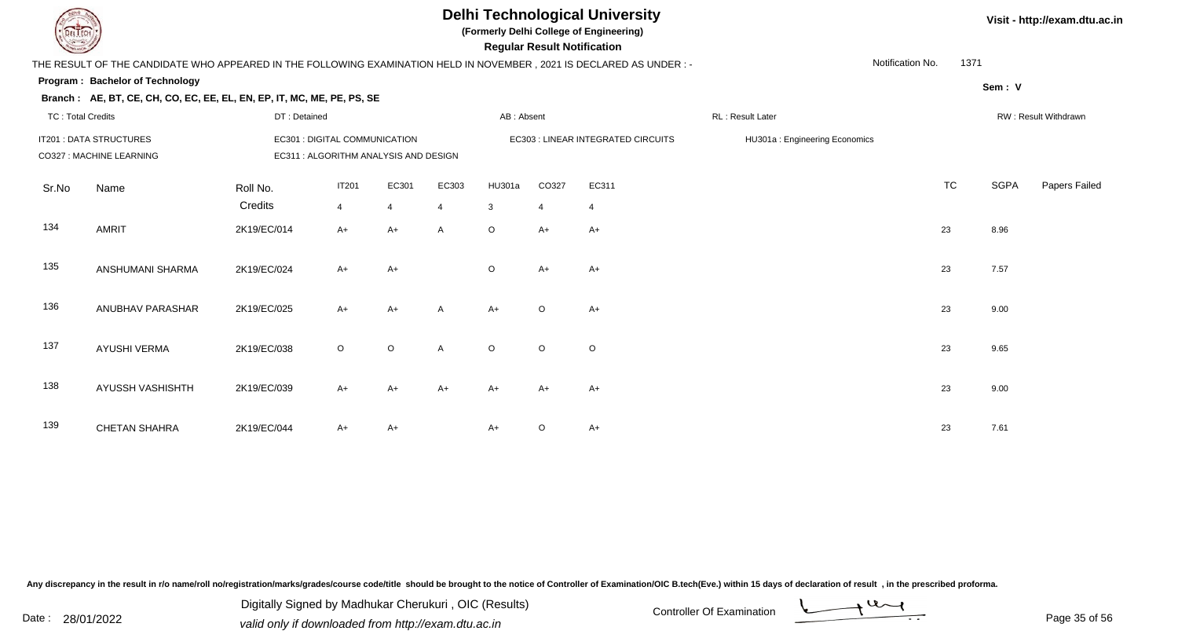**(Formerly Delhi College of Engineering)**

 **Regular Result Notification**

| <b>Course Line</b> |                                                                                                                     |              |                               |                                       |                |            | Regular Result Notification |                                    |                               |                  |           |             |                      |
|--------------------|---------------------------------------------------------------------------------------------------------------------|--------------|-------------------------------|---------------------------------------|----------------|------------|-----------------------------|------------------------------------|-------------------------------|------------------|-----------|-------------|----------------------|
|                    | THE RESULT OF THE CANDIDATE WHO APPEARED IN THE FOLLOWING EXAMINATION HELD IN NOVEMBER, 2021 IS DECLARED AS UNDER:- |              |                               |                                       |                |            |                             |                                    |                               | Notification No. | 1371      |             |                      |
|                    | Program: Bachelor of Technology                                                                                     |              |                               |                                       |                |            |                             |                                    |                               |                  |           | Sem: V      |                      |
|                    | Branch: AE, BT, CE, CH, CO, EC, EE, EL, EN, EP, IT, MC, ME, PE, PS, SE                                              |              |                               |                                       |                |            |                             |                                    |                               |                  |           |             |                      |
| TC: Total Credits  |                                                                                                                     | DT: Detained |                               |                                       |                | AB: Absent |                             |                                    | RL: Result Later              |                  |           |             | RW: Result Withdrawn |
|                    | IT201 : DATA STRUCTURES<br>CO327 : MACHINE LEARNING                                                                 |              | EC301 : DIGITAL COMMUNICATION | EC311 : ALGORITHM ANALYSIS AND DESIGN |                |            |                             | EC303 : LINEAR INTEGRATED CIRCUITS | HU301a: Engineering Economics |                  |           |             |                      |
| Sr.No              | Name                                                                                                                | Roll No.     | <b>IT201</b>                  | EC301                                 | EC303          | HU301a     | CO327                       | EC311                              |                               |                  | <b>TC</b> | <b>SGPA</b> | Papers Failed        |
|                    |                                                                                                                     | Credits      | $\overline{4}$                | 4                                     | $\overline{4}$ | 3          | $\overline{4}$              | $\overline{4}$                     |                               |                  |           |             |                      |
| 134                | AMRIT                                                                                                               | 2K19/EC/014  | $A+$                          | A+                                    | A              | $\circ$    | $A+$                        | $A+$                               |                               |                  | 23        | 8.96        |                      |
| 135                | ANSHUMANI SHARMA                                                                                                    | 2K19/EC/024  | $A+$                          | $A+$                                  |                | $\circ$    | $A+$                        | $A+$                               |                               |                  | 23        | 7.57        |                      |
| 136                | ANUBHAV PARASHAR                                                                                                    | 2K19/EC/025  | $A+$                          | $A+$                                  | $\mathsf{A}$   | $A+$       | $\circ$                     | $A+$                               |                               |                  | 23        | 9.00        |                      |
| 137                | <b>AYUSHI VERMA</b>                                                                                                 | 2K19/EC/038  | $\circ$                       | $\circ$                               | A              | $\circ$    | $\circ$                     | $\circ$                            |                               |                  | 23        | 9.65        |                      |
| 138                | AYUSSH VASHISHTH                                                                                                    | 2K19/EC/039  | $A+$                          | A+                                    | $A+$           | $A+$       | $A+$                        | $A+$                               |                               |                  | 23        | 9.00        |                      |
| 139                | <b>CHETAN SHAHRA</b>                                                                                                | 2K19/EC/044  | $A+$                          | A+                                    |                | $A+$       | O                           | $A+$                               |                               |                  | 23        | 7.61        |                      |

Any discrepancy in the result in r/o name/roll no/registration/marks/grades/course code/title should be brought to the notice of Controller of Examination/OIC B.tech(Eve.) within 15 days of declaration of result, in the pr

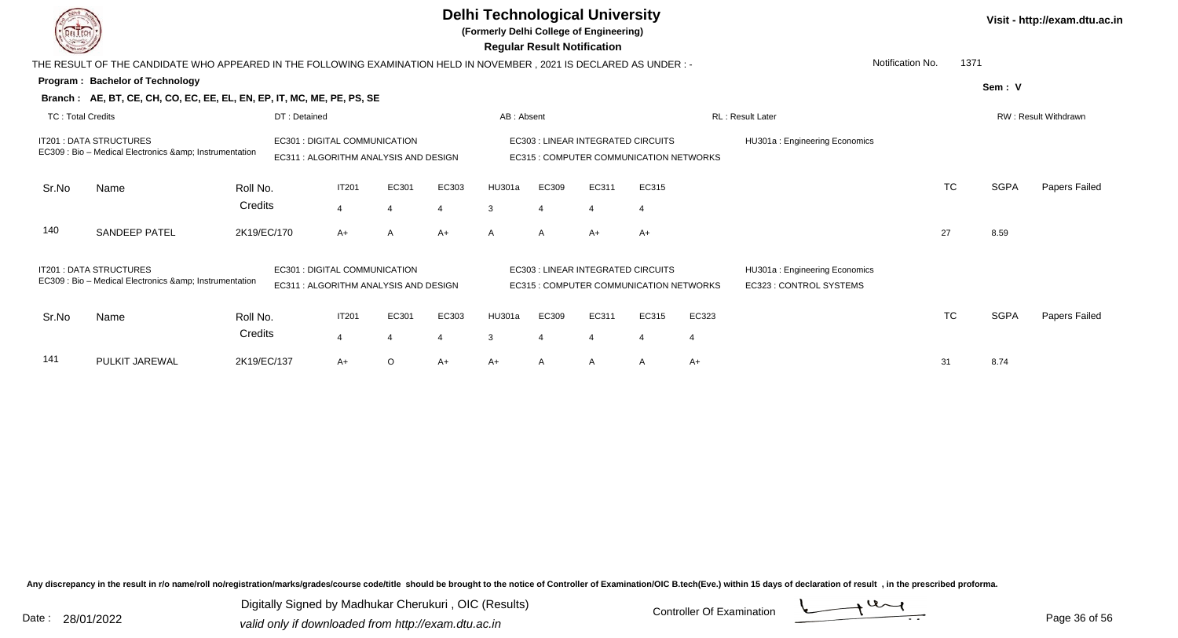|                          |                                                                                                                     |             |                                     |                |                                       |       | <b>Delhi Technological University</b><br>(Formerly Delhi College of Engineering) | <b>Regular Result Notification</b> |                                                                                     |       |       |                                                          |                  |           |             | Visit - http://exam.dtu.ac.in |
|--------------------------|---------------------------------------------------------------------------------------------------------------------|-------------|-------------------------------------|----------------|---------------------------------------|-------|----------------------------------------------------------------------------------|------------------------------------|-------------------------------------------------------------------------------------|-------|-------|----------------------------------------------------------|------------------|-----------|-------------|-------------------------------|
|                          | THE RESULT OF THE CANDIDATE WHO APPEARED IN THE FOLLOWING EXAMINATION HELD IN NOVEMBER, 2021 IS DECLARED AS UNDER:- |             |                                     |                |                                       |       |                                                                                  |                                    |                                                                                     |       |       |                                                          | Notification No. | 1371      |             |                               |
|                          | Program: Bachelor of Technology                                                                                     |             |                                     |                |                                       |       |                                                                                  |                                    |                                                                                     |       |       |                                                          |                  |           | Sem: V      |                               |
|                          | Branch: AE, BT, CE, CH, CO, EC, EE, EL, EN, EP, IT, MC, ME, PE, PS, SE                                              |             |                                     |                |                                       |       |                                                                                  |                                    |                                                                                     |       |       |                                                          |                  |           |             |                               |
| <b>TC: Total Credits</b> |                                                                                                                     |             | DT: Detained                        |                |                                       |       | AB: Absent                                                                       |                                    |                                                                                     |       |       | RL: Result Later                                         |                  |           |             | RW: Result Withdrawn          |
|                          | <b>IT201: DATA STRUCTURES</b><br>EC309 : Bio - Medical Electronics & amp; Instrumentation                           |             | EC301 : DIGITAL COMMUNICATION       |                | EC311 : ALGORITHM ANALYSIS AND DESIGN |       |                                                                                  |                                    | <b>EC303: LINEAR INTEGRATED CIRCUITS</b><br>EC315 : COMPUTER COMMUNICATION NETWORKS |       |       | HU301a: Engineering Economics                            |                  |           |             |                               |
| Sr.No                    | Name                                                                                                                | Roll No.    |                                     | <b>IT201</b>   | EC301                                 | EC303 | HU301a                                                                           | EC309                              | EC311                                                                               | EC315 |       |                                                          |                  | <b>TC</b> | <b>SGPA</b> | Papers Failed                 |
|                          |                                                                                                                     | Credits     |                                     | $\overline{4}$ |                                       |       | 3                                                                                | 4                                  | $\overline{4}$                                                                      |       |       |                                                          |                  |           |             |                               |
| 140                      | <b>SANDEEP PATEL</b>                                                                                                | 2K19/EC/170 |                                     | A+             | A                                     | A+    | $\mathsf{A}$                                                                     | $\overline{A}$                     | $A+$                                                                                | A+    |       |                                                          |                  | 27        | 8.59        |                               |
|                          | <b>IT201: DATA STRUCTURES</b><br>EC309 : Bio - Medical Electronics & Instrumentation                                |             | <b>EC301: DIGITAL COMMUNICATION</b> |                | EC311 : ALGORITHM ANALYSIS AND DESIGN |       |                                                                                  |                                    | <b>EC303: LINEAR INTEGRATED CIRCUITS</b><br>EC315 : COMPUTER COMMUNICATION NETWORKS |       |       | HU301a: Engineering Economics<br>EC323 : CONTROL SYSTEMS |                  |           |             |                               |
| Sr.No                    | Name                                                                                                                | Roll No.    |                                     | <b>IT201</b>   | EC301                                 | EC303 | HU301a                                                                           | EC309                              | EC311                                                                               | EC315 | EC323 |                                                          |                  | <b>TC</b> | <b>SGPA</b> | Papers Failed                 |
|                          |                                                                                                                     | Credits     |                                     | $\overline{4}$ |                                       |       | 3                                                                                | 4                                  | $\overline{4}$                                                                      | 4     | -4    |                                                          |                  |           |             |                               |
| 141                      | PULKIT JAREWAL                                                                                                      | 2K19/EC/137 |                                     | A+             | O                                     | $A+$  | $A+$                                                                             | $\mathsf{A}$                       | A                                                                                   | A     | $A+$  |                                                          |                  | 31        | 8.74        |                               |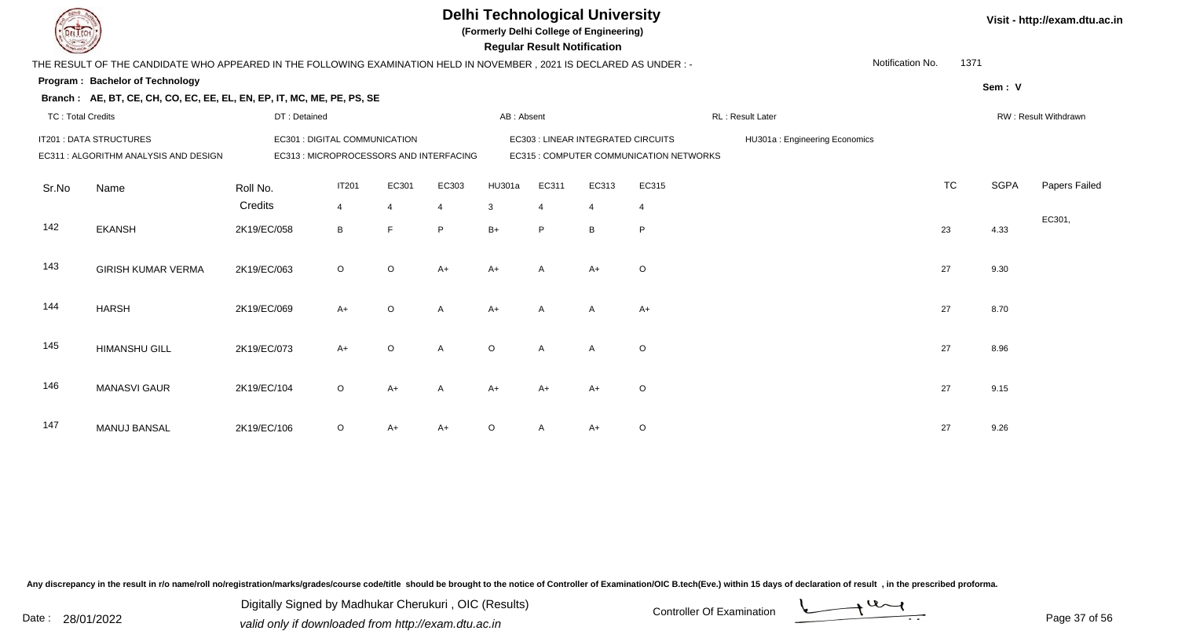**(Formerly Delhi College of Engineering)**

 **Regular Result Notification**

|  | Visit - http://exam.dtu.ac.in |  |
|--|-------------------------------|--|
|--|-------------------------------|--|

| $\sim$                   |                                                                                                                     |              |                               |                |                                         |            | n <del>c</del> yular n <del>c</del> sult notification |                                    |                                         |                               |                  |           |             |                      |
|--------------------------|---------------------------------------------------------------------------------------------------------------------|--------------|-------------------------------|----------------|-----------------------------------------|------------|-------------------------------------------------------|------------------------------------|-----------------------------------------|-------------------------------|------------------|-----------|-------------|----------------------|
|                          | THE RESULT OF THE CANDIDATE WHO APPEARED IN THE FOLLOWING EXAMINATION HELD IN NOVEMBER, 2021 IS DECLARED AS UNDER:- |              |                               |                |                                         |            |                                                       |                                    |                                         |                               | Notification No. | 1371      |             |                      |
|                          | Program: Bachelor of Technology                                                                                     |              |                               |                |                                         |            |                                                       |                                    |                                         |                               |                  |           | Sem: V      |                      |
|                          | Branch: AE, BT, CE, CH, CO, EC, EE, EL, EN, EP, IT, MC, ME, PE, PS, SE                                              |              |                               |                |                                         |            |                                                       |                                    |                                         |                               |                  |           |             |                      |
| <b>TC: Total Credits</b> |                                                                                                                     | DT: Detained |                               |                |                                         | AB: Absent |                                                       |                                    |                                         | RL: Result Later              |                  |           |             | RW: Result Withdrawn |
|                          | IT201 : DATA STRUCTURES                                                                                             |              | EC301 : DIGITAL COMMUNICATION |                |                                         |            |                                                       | EC303 : LINEAR INTEGRATED CIRCUITS |                                         | HU301a: Engineering Economics |                  |           |             |                      |
|                          | EC311 : ALGORITHM ANALYSIS AND DESIGN                                                                               |              |                               |                | EC313 : MICROPROCESSORS AND INTERFACING |            |                                                       |                                    | EC315 : COMPUTER COMMUNICATION NETWORKS |                               |                  |           |             |                      |
| Sr.No                    | Name                                                                                                                | Roll No.     | <b>IT201</b>                  | EC301          | EC303                                   | HU301a     | EC311                                                 | EC313                              | EC315                                   |                               |                  | <b>TC</b> | <b>SGPA</b> | Papers Failed        |
|                          |                                                                                                                     | Credits      | $\overline{4}$                | $\overline{4}$ | $\overline{4}$                          | 3          | $\overline{4}$                                        | $\overline{4}$                     | 4                                       |                               |                  |           |             |                      |
| 142                      | <b>EKANSH</b>                                                                                                       | 2K19/EC/058  | B                             | E              | P                                       | $B+$       | P                                                     | B                                  | P                                       |                               |                  | 23        | 4.33        | EC301,               |
| 143                      | <b>GIRISH KUMAR VERMA</b>                                                                                           | 2K19/EC/063  | $\circ$                       | $\circ$        | $A+$                                    | $A+$       | $\overline{A}$                                        | $A+$                               | $\circ$                                 |                               |                  | 27        | 9.30        |                      |
| 144                      | <b>HARSH</b>                                                                                                        | 2K19/EC/069  | $A+$                          | $\circ$        | $\overline{A}$                          | $A+$       | $\overline{A}$                                        | $\overline{A}$                     | $A+$                                    |                               |                  | 27        | 8.70        |                      |
| 145                      | <b>HIMANSHU GILL</b>                                                                                                | 2K19/EC/073  | $A+$                          | $\circ$        | $\mathsf{A}$                            | $\circ$    | $\overline{A}$                                        | $\mathsf{A}$                       | $\circ$                                 |                               |                  | 27        | 8.96        |                      |
| 146                      | <b>MANASVI GAUR</b>                                                                                                 | 2K19/EC/104  | $\circ$                       | A+             | $\overline{A}$                          | $A+$       | $A+$                                                  | $A+$                               | $\circ$                                 |                               |                  | 27        | 9.15        |                      |
| 147                      | <b>MANUJ BANSAL</b>                                                                                                 | 2K19/EC/106  | $\circ$                       | A+             | $A+$                                    | $\circ$    | A                                                     | $A+$                               | $\mathsf O$                             |                               |                  | 27        | 9.26        |                      |

Any discrepancy in the result in r/o name/roll no/registration/marks/grades/course code/title should be brought to the notice of Controller of Examination/OIC B.tech(Eve.) within 15 days of declaration of result, in the pr

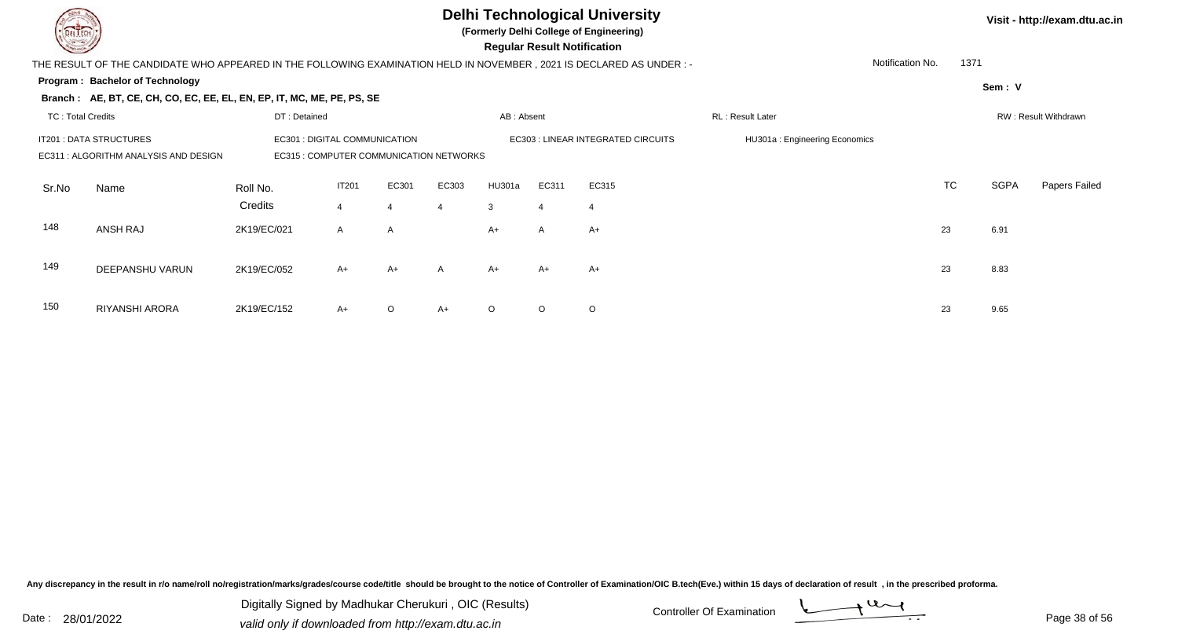

**(Formerly Delhi College of Engineering)**

 **Regular Result Notification**

| $\overline{\phantom{0}}$                                                         |                                                                                                                      |                               |                  |         |                |            | $\ldots$ gaian $\ldots$ contribution of $\ldots$ |                                    |                               |    |           |        |                      |
|----------------------------------------------------------------------------------|----------------------------------------------------------------------------------------------------------------------|-------------------------------|------------------|---------|----------------|------------|--------------------------------------------------|------------------------------------|-------------------------------|----|-----------|--------|----------------------|
|                                                                                  | THE RESULT OF THE CANDIDATE WHO APPEARED IN THE FOLLOWING EXAMINATION HELD IN NOVEMBER, 2021 IS DECLARED AS UNDER :- |                               | Notification No. | 1371    |                |            |                                                  |                                    |                               |    |           |        |                      |
|                                                                                  | Program: Bachelor of Technology                                                                                      |                               |                  |         |                |            |                                                  |                                    |                               |    |           | Sem: V |                      |
|                                                                                  | Branch: AE, BT, CE, CH, CO, EC, EE, EL, EN, EP, IT, MC, ME, PE, PS, SE                                               |                               |                  |         |                |            |                                                  |                                    |                               |    |           |        |                      |
| TC: Total Credits                                                                |                                                                                                                      | DT: Detained                  |                  |         |                | AB: Absent |                                                  |                                    | <b>RL: Result Later</b>       |    |           |        | RW: Result Withdrawn |
|                                                                                  | IT201 : DATA STRUCTURES                                                                                              | EC301 : DIGITAL COMMUNICATION |                  |         |                |            |                                                  | EC303 : LINEAR INTEGRATED CIRCUITS | HU301a: Engineering Economics |    |           |        |                      |
| EC315 : COMPUTER COMMUNICATION NETWORKS<br>EC311 : ALGORITHM ANALYSIS AND DESIGN |                                                                                                                      |                               |                  |         |                |            |                                                  |                                    |                               |    |           |        |                      |
| Sr.No                                                                            | Name                                                                                                                 | Roll No.                      | <b>IT201</b>     | EC301   | EC303          | HU301a     | EC311                                            | EC315                              |                               |    | <b>TC</b> | SGPA   | Papers Failed        |
|                                                                                  |                                                                                                                      | Credits                       | $\overline{4}$   |         | $\overline{4}$ | 3          | 4                                                | 4                                  |                               |    |           |        |                      |
| 148                                                                              | ANSH RAJ                                                                                                             | 2K19/EC/021                   | $\mathsf{A}$     | A       |                | $A+$       | $\mathsf{A}$                                     | $A+$                               |                               | 23 |           | 6.91   |                      |
|                                                                                  |                                                                                                                      |                               |                  |         |                |            |                                                  |                                    |                               |    |           |        |                      |
| 149                                                                              | DEEPANSHU VARUN                                                                                                      | 2K19/EC/052                   | $A+$             | $A+$    | $\mathsf{A}$   | $A+$       | $A+$                                             | A+                                 |                               | 23 |           | 8.83   |                      |
|                                                                                  |                                                                                                                      |                               |                  |         |                |            |                                                  |                                    |                               |    |           |        |                      |
| 150                                                                              | RIYANSHI ARORA                                                                                                       | 2K19/EC/152                   | $A+$             | $\circ$ | $A+$           | $\circ$    | $\circ$                                          | $\circ$                            |                               | 23 |           | 9.65   |                      |

Any discrepancy in the result in r/o name/roll no/registration/marks/grades/course code/title should be brought to the notice of Controller of Examination/OIC B.tech(Eve.) within 15 days of declaration of result, in the pr

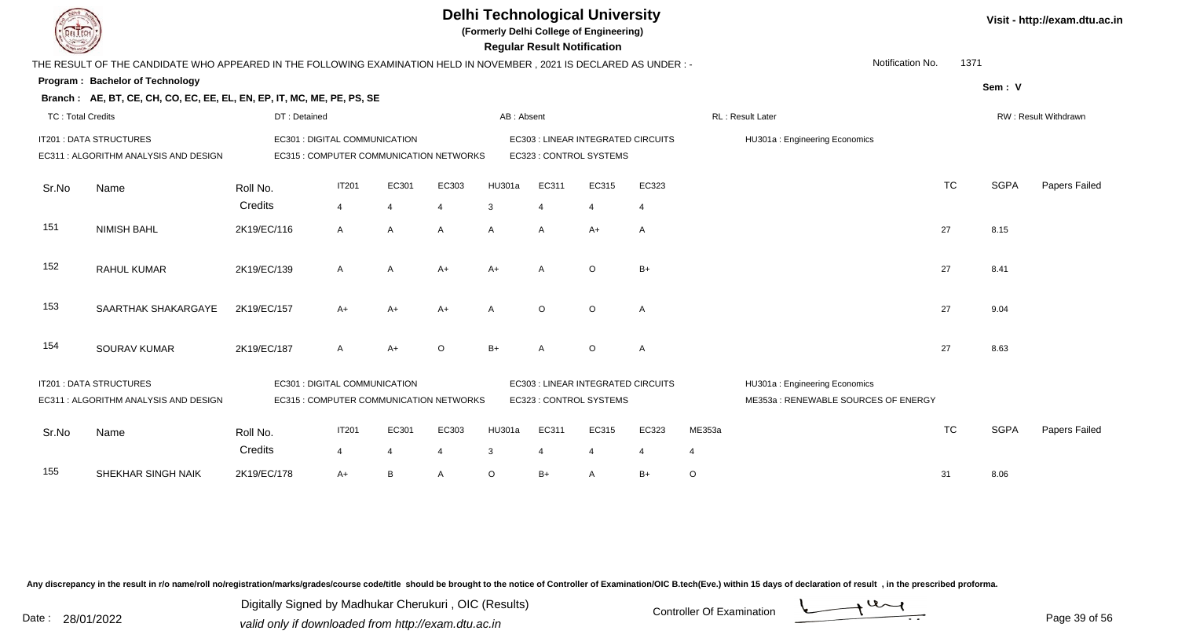**(Formerly Delhi College of Engineering)**

 **Regular Result Notification**

| $\sim$                   |                                                                                                                      |                                                                          |                |                |                |            | neyular nesult notihlatibil |                                    |                |                |                                                                      |           |             |                      |
|--------------------------|----------------------------------------------------------------------------------------------------------------------|--------------------------------------------------------------------------|----------------|----------------|----------------|------------|-----------------------------|------------------------------------|----------------|----------------|----------------------------------------------------------------------|-----------|-------------|----------------------|
|                          | THE RESULT OF THE CANDIDATE WHO APPEARED IN THE FOLLOWING EXAMINATION HELD IN NOVEMBER, 2021 IS DECLARED AS UNDER :- |                                                                          |                |                |                |            |                             |                                    |                |                | Notification No.                                                     | 1371      |             |                      |
|                          | Program: Bachelor of Technology                                                                                      |                                                                          |                |                |                |            |                             |                                    |                |                |                                                                      |           | Sem: V      |                      |
|                          | Branch: AE, BT, CE, CH, CO, EC, EE, EL, EN, EP, IT, MC, ME, PE, PS, SE                                               |                                                                          |                |                |                |            |                             |                                    |                |                |                                                                      |           |             |                      |
| <b>TC: Total Credits</b> |                                                                                                                      | DT: Detained                                                             |                |                |                | AB: Absent |                             |                                    |                |                | RL: Result Later                                                     |           |             | RW: Result Withdrawn |
|                          | IT201 : DATA STRUCTURES                                                                                              | EC301 : DIGITAL COMMUNICATION                                            |                |                |                |            |                             | EC303 : LINEAR INTEGRATED CIRCUITS |                |                | HU301a: Engineering Economics                                        |           |             |                      |
|                          | EC311 : ALGORITHM ANALYSIS AND DESIGN                                                                                | EC315 : COMPUTER COMMUNICATION NETWORKS                                  |                |                |                |            | EC323 : CONTROL SYSTEMS     |                                    |                |                |                                                                      |           |             |                      |
| Sr.No                    | Name                                                                                                                 | Roll No.                                                                 | <b>IT201</b>   | EC301          | EC303          | HU301a     | EC311                       | EC315                              | EC323          |                |                                                                      | <b>TC</b> | <b>SGPA</b> | Papers Failed        |
|                          |                                                                                                                      | Credits                                                                  | $\overline{4}$ | $\overline{4}$ | $\overline{4}$ | 3          | $\overline{4}$              | 4                                  | $\overline{4}$ |                |                                                                      |           |             |                      |
| 151                      | <b>NIMISH BAHL</b>                                                                                                   | 2K19/EC/116                                                              | A              | A              | A              | A          | A                           | A+                                 | A              |                |                                                                      | 27        | 8.15        |                      |
| 152                      | <b>RAHUL KUMAR</b>                                                                                                   | 2K19/EC/139                                                              | A              | A              | $A+$           | $A+$       | A                           | $\circ$                            | $B+$           |                |                                                                      | 27        | 8.41        |                      |
| 153                      | SAARTHAK SHAKARGAYE                                                                                                  | 2K19/EC/157                                                              | $A+$           | A+             | A+             | A          | $\Omega$                    | $\Omega$                           | A              |                |                                                                      | 27        | 9.04        |                      |
| 154                      | SOURAV KUMAR                                                                                                         | 2K19/EC/187                                                              | $\mathsf{A}$   | $A+$           | $\circ$        | $B+$       | $\overline{A}$              | $\circ$                            | $\mathsf{A}$   |                |                                                                      | 27        | 8.63        |                      |
|                          | IT201 : DATA STRUCTURES<br>EC311 : ALGORITHM ANALYSIS AND DESIGN                                                     | EC301 : DIGITAL COMMUNICATION<br>EC315 : COMPUTER COMMUNICATION NETWORKS |                |                |                |            | EC323 : CONTROL SYSTEMS     | EC303 : LINEAR INTEGRATED CIRCUITS |                |                | HU301a: Engineering Economics<br>ME353a: RENEWABLE SOURCES OF ENERGY |           |             |                      |
|                          |                                                                                                                      |                                                                          |                |                |                |            |                             |                                    |                |                |                                                                      |           |             |                      |
| Sr.No                    | Name                                                                                                                 | Roll No.                                                                 | <b>IT201</b>   | EC301          | EC303          | HU301a     | EC311                       | EC315                              | EC323          | ME353a         |                                                                      | <b>TC</b> | <b>SGPA</b> | Papers Failed        |
|                          |                                                                                                                      | Credits                                                                  | $\overline{4}$ | $\overline{4}$ | $\overline{4}$ | 3          | $\overline{4}$              | $\overline{4}$                     | $\overline{4}$ | $\overline{4}$ |                                                                      |           |             |                      |
| 155                      | SHEKHAR SINGH NAIK                                                                                                   | 2K19/EC/178                                                              | $A+$           | B              | A              | $\circ$    | $B+$                        | A                                  | $B+$           | $\circ$        |                                                                      | 31        | 8.06        |                      |

Any discrepancy in the result in r/o name/roll no/registration/marks/grades/course code/title should be brought to the notice of Controller of Examination/OIC B.tech(Eve.) within 15 days of declaration of result, in the pr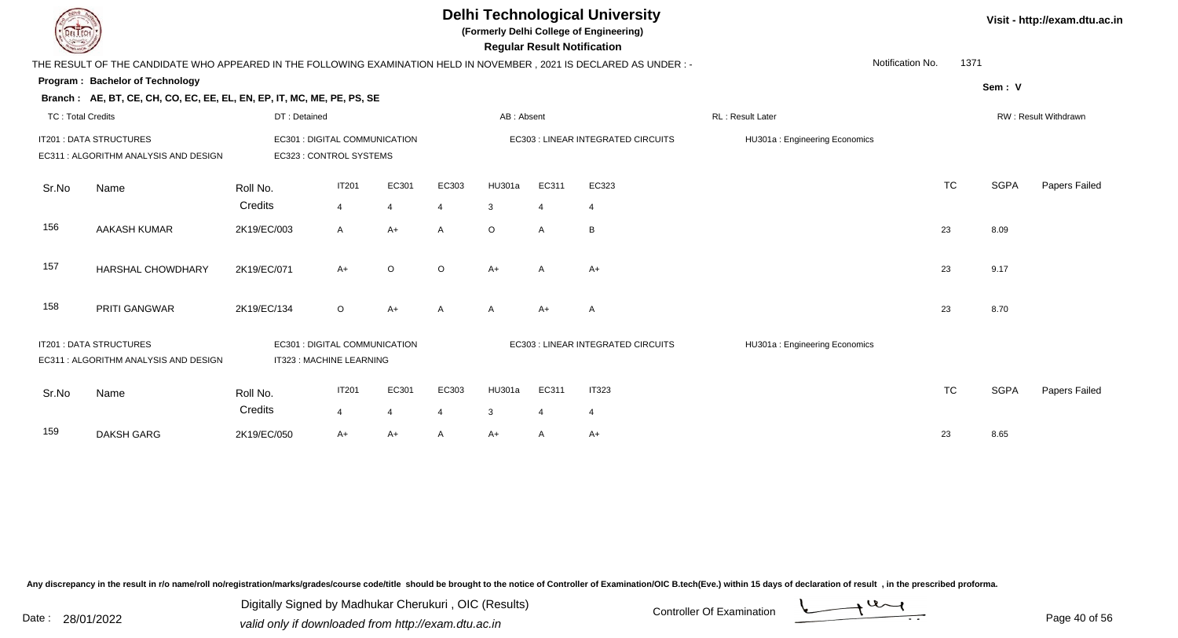| <b>DELTECH</b>           |                                                                                                                     |                               |                |                |         | <b>Delhi Technological University</b><br>(Formerly Delhi College of Engineering)<br><b>Regular Result Notification</b> |                               |                                    | Visit - http://exam.dtu.ac.in |                      |             |               |  |
|--------------------------|---------------------------------------------------------------------------------------------------------------------|-------------------------------|----------------|----------------|---------|------------------------------------------------------------------------------------------------------------------------|-------------------------------|------------------------------------|-------------------------------|----------------------|-------------|---------------|--|
|                          | THE RESULT OF THE CANDIDATE WHO APPEARED IN THE FOLLOWING EXAMINATION HELD IN NOVEMBER, 2021 IS DECLARED AS UNDER:- |                               |                |                |         |                                                                                                                        |                               |                                    |                               | Notification No.     | 1371        |               |  |
|                          | Program: Bachelor of Technology                                                                                     |                               |                |                |         |                                                                                                                        |                               |                                    |                               |                      | Sem: V      |               |  |
|                          | Branch: AE, BT, CE, CH, CO, EC, EE, EL, EN, EP, IT, MC, ME, PE, PS, SE                                              |                               |                |                |         |                                                                                                                        |                               |                                    |                               |                      |             |               |  |
| <b>TC: Total Credits</b> |                                                                                                                     | DT: Detained                  |                |                |         | AB: Absent                                                                                                             |                               |                                    | <b>RL: Result Later</b>       | RW: Result Withdrawn |             |               |  |
|                          | IT201 : DATA STRUCTURES                                                                                             | EC301 : DIGITAL COMMUNICATION |                |                |         | EC303 : LINEAR INTEGRATED CIRCUITS                                                                                     | HU301a: Engineering Economics |                                    |                               |                      |             |               |  |
|                          | EC311 : ALGORITHM ANALYSIS AND DESIGN                                                                               | EC323 : CONTROL SYSTEMS       |                |                |         |                                                                                                                        |                               |                                    |                               |                      |             |               |  |
|                          |                                                                                                                     |                               |                |                |         |                                                                                                                        |                               |                                    |                               |                      |             |               |  |
| Sr.No                    | Name                                                                                                                | Roll No.                      | <b>IT201</b>   | EC301          | EC303   | HU301a                                                                                                                 | EC311                         | EC323                              |                               | <b>TC</b>            | <b>SGPA</b> | Papers Failed |  |
|                          |                                                                                                                     | Credits                       | $\overline{4}$ | $\overline{4}$ | 4       | 3                                                                                                                      | $\overline{4}$                | $\overline{4}$                     |                               |                      |             |               |  |
| 156                      | <b>AAKASH KUMAR</b>                                                                                                 | 2K19/EC/003                   | $\mathsf{A}$   | $A+$           | A       | $\circ$                                                                                                                | $\overline{A}$                | B                                  |                               | 23                   | 8.09        |               |  |
|                          |                                                                                                                     |                               |                |                |         |                                                                                                                        |                               |                                    |                               |                      |             |               |  |
| 157                      | HARSHAL CHOWDHARY                                                                                                   | 2K19/EC/071                   | $A+$           | $\circ$        | $\circ$ | $A+$                                                                                                                   | A                             | $A+$                               |                               | 23                   | 9.17        |               |  |
|                          |                                                                                                                     |                               |                |                |         |                                                                                                                        |                               |                                    |                               |                      |             |               |  |
| 158                      | PRITI GANGWAR                                                                                                       | 2K19/EC/134                   | $\circ$        | A+             | A       | $\mathsf{A}$                                                                                                           | $A+$                          | A                                  |                               | 23                   | 8.70        |               |  |
|                          |                                                                                                                     |                               |                |                |         |                                                                                                                        |                               |                                    |                               |                      |             |               |  |
|                          | IT201 : DATA STRUCTURES                                                                                             | EC301 : DIGITAL COMMUNICATION |                |                |         |                                                                                                                        |                               | EC303 : LINEAR INTEGRATED CIRCUITS | HU301a: Engineering Economics |                      |             |               |  |
|                          | EC311 : ALGORITHM ANALYSIS AND DESIGN                                                                               | IT323 : MACHINE LEARNING      |                |                |         |                                                                                                                        |                               |                                    |                               |                      |             |               |  |
|                          |                                                                                                                     |                               |                |                |         |                                                                                                                        |                               |                                    |                               |                      |             |               |  |
| Sr.No                    | Name                                                                                                                | Roll No.                      | <b>IT201</b>   | EC301          | EC303   | HU301a                                                                                                                 | EC311                         | <b>IT323</b>                       |                               | <b>TC</b>            | <b>SGPA</b> | Papers Failed |  |
|                          |                                                                                                                     | Credits                       | $\overline{4}$ | $\overline{4}$ | 4       | $\mathbf{3}$                                                                                                           | $\overline{4}$                | $\overline{4}$                     |                               |                      |             |               |  |
| 159                      | <b>DAKSH GARG</b>                                                                                                   | 2K19/EC/050                   | $A+$           | $A+$           | A       | $A+$                                                                                                                   | A                             | $A+$                               |                               | 23                   | 8.65        |               |  |
|                          |                                                                                                                     |                               |                |                |         |                                                                                                                        |                               |                                    |                               |                      |             |               |  |

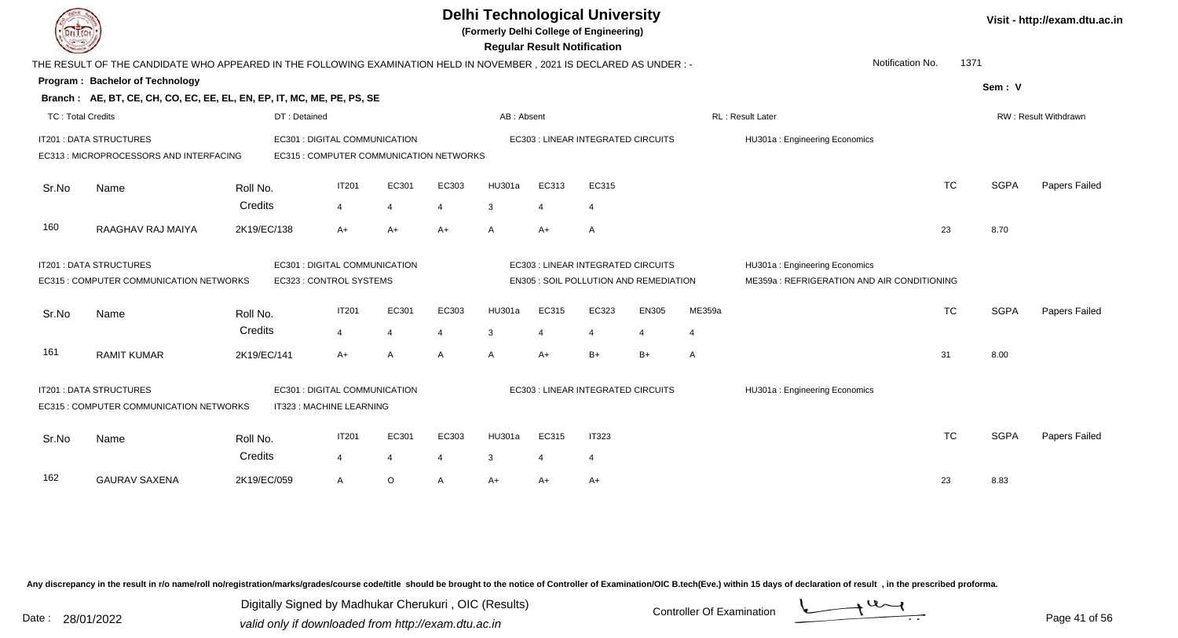|                          |                                                                                                                      |             |                                         |                         | <b>Regular Result Notification</b> | <b>Delhi Technological University</b><br>(Formerly Delhi College of Engineering) |              |                       |                                    | Visit - http://exam.dtu.ac.in          |                |                                             |           |             |                      |
|--------------------------|----------------------------------------------------------------------------------------------------------------------|-------------|-----------------------------------------|-------------------------|------------------------------------|----------------------------------------------------------------------------------|--------------|-----------------------|------------------------------------|----------------------------------------|----------------|---------------------------------------------|-----------|-------------|----------------------|
|                          | THE RESULT OF THE CANDIDATE WHO APPEARED IN THE FOLLOWING EXAMINATION HELD IN NOVEMBER, 2021 IS DECLARED AS UNDER :- |             |                                         |                         |                                    |                                                                                  |              |                       |                                    |                                        |                | Notification No.                            | 1371      |             |                      |
|                          | Program: Bachelor of Technology                                                                                      |             |                                         |                         |                                    |                                                                                  |              |                       |                                    |                                        |                |                                             |           | Sem: V      |                      |
|                          | Branch: AE, BT, CE, CH, CO, EC, EE, EL, EN, EP, IT, MC, ME, PE, PS, SE                                               |             |                                         |                         |                                    |                                                                                  |              |                       |                                    |                                        |                |                                             |           |             |                      |
| <b>TC: Total Credits</b> |                                                                                                                      |             | DT: Detained                            |                         |                                    |                                                                                  | AB: Absent   |                       |                                    |                                        |                | RL: Result Later                            |           |             | RW: Result Withdrawn |
|                          | IT201 : DATA STRUCTURES                                                                                              |             | EC301 : DIGITAL COMMUNICATION           |                         |                                    |                                                                                  |              |                       | EC303 : LINEAR INTEGRATED CIRCUITS |                                        |                | HU301a: Engineering Economics               |           |             |                      |
|                          | EC313 : MICROPROCESSORS AND INTERFACING                                                                              |             | EC315 : COMPUTER COMMUNICATION NETWORKS |                         |                                    |                                                                                  |              |                       |                                    |                                        |                |                                             |           |             |                      |
| Sr.No                    | Name                                                                                                                 | Roll No.    |                                         | IT201                   | EC301                              | EC303                                                                            | HU301a       | EC313                 | EC315                              |                                        |                |                                             | <b>TC</b> | <b>SGPA</b> | Papers Failed        |
|                          |                                                                                                                      | Credits     |                                         | $\overline{4}$          | $\overline{4}$                     | 4                                                                                | 3            | $\overline{4}$        | $\overline{4}$                     |                                        |                |                                             |           |             |                      |
| 160                      | RAAGHAV RAJ MAIYA                                                                                                    | 2K19/EC/138 |                                         | $A+$                    | $A+$                               | $A+$                                                                             | $\mathsf{A}$ | $A+$                  | Α                                  |                                        |                |                                             | 23        | 8.70        |                      |
|                          | IT201 : DATA STRUCTURES<br>EC301 : DIGITAL COMMUNICATION                                                             |             |                                         |                         |                                    |                                                                                  |              |                       | EC303 : LINEAR INTEGRATED CIRCUITS |                                        |                | HU301a: Engineering Economics               |           |             |                      |
|                          | EC315 : COMPUTER COMMUNICATION NETWORKS                                                                              |             | EC323 : CONTROL SYSTEMS                 |                         |                                    |                                                                                  |              |                       |                                    | EN305 : SOIL POLLUTION AND REMEDIATION |                | ME359a : REFRIGERATION AND AIR CONDITIONING |           |             |                      |
| Sr.No                    | Name                                                                                                                 | Roll No.    |                                         | <b>IT201</b>            | EC301                              | EC303                                                                            | HU301a       | EC315                 | EC323                              | EN305                                  | ME359a         |                                             | <b>TC</b> | <b>SGPA</b> | Papers Failed        |
|                          |                                                                                                                      | Credits     |                                         | $\overline{4}$          | $\overline{4}$                     | 4                                                                                | 3            | $\overline{4}$        | $\overline{4}$                     | $\overline{4}$                         | $\overline{4}$ |                                             |           |             |                      |
| 161                      | <b>RAMIT KUMAR</b>                                                                                                   | 2K19/EC/141 |                                         | A+                      | $\overline{A}$                     | A                                                                                | $\mathsf{A}$ | $A+$                  | $B+$                               | $B+$                                   | A              |                                             | 31        | 8.00        |                      |
|                          | IT201 : DATA STRUCTURES                                                                                              |             | EC301 : DIGITAL COMMUNICATION           |                         |                                    |                                                                                  |              |                       | EC303 : LINEAR INTEGRATED CIRCUITS |                                        |                | HU301a: Engineering Economics               |           |             |                      |
|                          | EC315 : COMPUTER COMMUNICATION NETWORKS                                                                              |             | IT323 : MACHINE LEARNING                |                         |                                    |                                                                                  |              |                       |                                    |                                        |                |                                             |           |             |                      |
| Sr.No                    | Name                                                                                                                 | Roll No.    |                                         | <b>IT201</b>            | EC301                              | EC303                                                                            | HU301a       | EC315                 | <b>IT323</b>                       |                                        |                |                                             | <b>TC</b> | <b>SGPA</b> | Papers Failed        |
|                          |                                                                                                                      | Credits     |                                         | $\overline{\mathbf{A}}$ | $\overline{4}$                     |                                                                                  | 3            | $\boldsymbol{\Delta}$ | $\overline{4}$                     |                                        |                |                                             |           |             |                      |
| 162                      | <b>GAURAV SAXENA</b>                                                                                                 | 2K19/EC/059 |                                         | A                       | $\circ$                            | $\mathsf{A}$                                                                     | $A+$         | A+                    | $A+$                               |                                        |                |                                             | 23        | 8.83        |                      |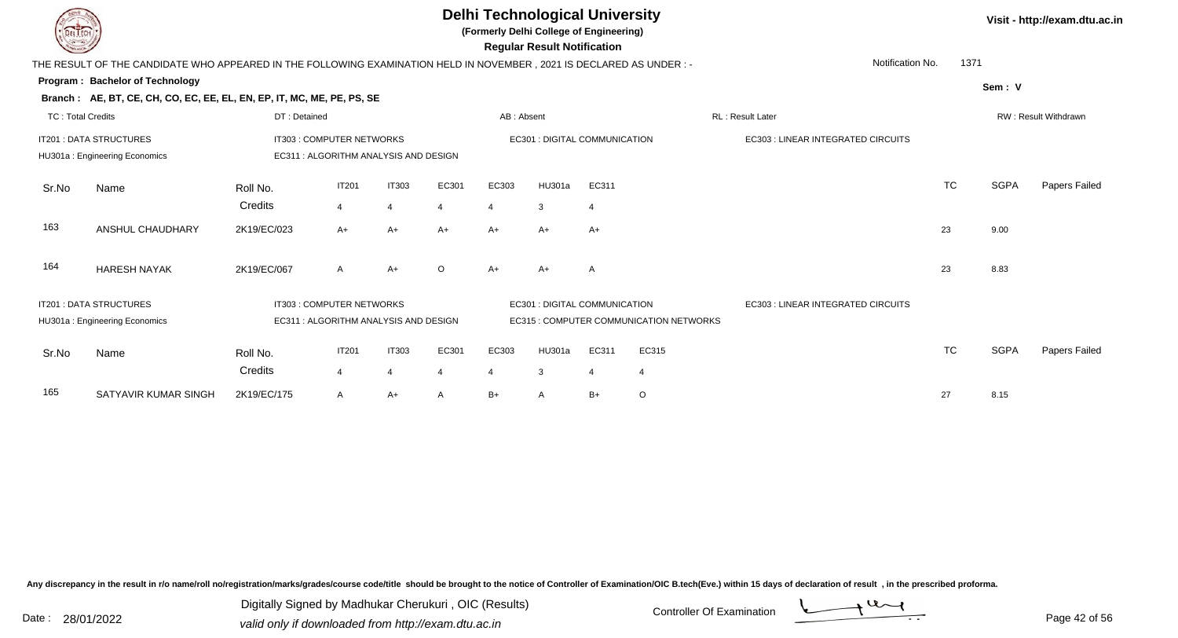| <b>DELTECH</b>           |                                                                                                                                |                           |                                |                                       |                         |            | <b>Delhi Technological University</b><br>(Formerly Delhi College of Engineering)<br><b>Regular Result Notification</b> |                         |                                         |                                    |                  |      |             | Visit - http://exam.dtu.ac.in |
|--------------------------|--------------------------------------------------------------------------------------------------------------------------------|---------------------------|--------------------------------|---------------------------------------|-------------------------|------------|------------------------------------------------------------------------------------------------------------------------|-------------------------|-----------------------------------------|------------------------------------|------------------|------|-------------|-------------------------------|
|                          | THE RESULT OF THE CANDIDATE WHO APPEARED IN THE FOLLOWING EXAMINATION HELD IN NOVEMBER, 2021 IS DECLARED AS UNDER :-           |                           |                                |                                       |                         |            |                                                                                                                        |                         |                                         |                                    | Notification No. | 1371 |             |                               |
|                          | <b>Program: Bachelor of Technology</b>                                                                                         |                           |                                |                                       |                         |            |                                                                                                                        |                         |                                         |                                    |                  |      | Sem: V      |                               |
|                          | Branch: AE, BT, CE, CH, CO, EC, EE, EL, EN, EP, IT, MC, ME, PE, PS, SE                                                         |                           |                                |                                       |                         |            |                                                                                                                        |                         |                                         |                                    |                  |      |             |                               |
| <b>TC: Total Credits</b> |                                                                                                                                | DT: Detained              |                                |                                       |                         | AB: Absent |                                                                                                                        |                         |                                         | RL: Result Later                   |                  |      |             | RW: Result Withdrawn          |
|                          | IT201 : DATA STRUCTURES<br>IT303 : COMPUTER NETWORKS<br>EC311 : ALGORITHM ANALYSIS AND DESIGN<br>HU301a: Engineering Economics |                           |                                |                                       |                         |            | EC301 : DIGITAL COMMUNICATION                                                                                          |                         |                                         | EC303 : LINEAR INTEGRATED CIRCUITS |                  |      |             |                               |
| Sr.No                    | Name                                                                                                                           | Roll No.<br>Credits       | <b>IT201</b><br>$\overline{4}$ | <b>IT303</b><br>$\overline{4}$        | EC301<br>4              | EC303      | HU301a<br>3                                                                                                            | EC311<br>$\overline{4}$ |                                         |                                    | <b>TC</b>        |      | <b>SGPA</b> | Papers Failed                 |
| 163                      | ANSHUL CHAUDHARY                                                                                                               | 2K19/EC/023               | $A+$                           | $A+$                                  | $A+$                    | $A+$       | $A+$                                                                                                                   | $A+$                    |                                         |                                    | 23               |      | 9.00        |                               |
| 164                      | <b>HARESH NAYAK</b>                                                                                                            | 2K19/EC/067               | $\mathsf{A}$                   | $A+$                                  | $\circ$                 | $A+$       | $A+$                                                                                                                   | A                       |                                         |                                    | 23               |      | 8.83        |                               |
|                          | IT201 : DATA STRUCTURES<br>HU301a: Engineering Economics                                                                       | IT303 : COMPUTER NETWORKS |                                | EC311 : ALGORITHM ANALYSIS AND DESIGN |                         |            | EC301 : DIGITAL COMMUNICATION                                                                                          |                         | EC315 : COMPUTER COMMUNICATION NETWORKS | EC303 : LINEAR INTEGRATED CIRCUITS |                  |      |             |                               |
| Sr.No                    | Name                                                                                                                           | Roll No.<br>Credits       | IT201<br>$\overline{4}$        | <b>IT303</b><br>$\overline{4}$        | EC301<br>$\overline{4}$ | EC303<br>4 | <b>HU301a</b><br>3                                                                                                     | EC311<br>$\overline{4}$ | EC315<br>4                              |                                    | <b>TC</b>        |      | <b>SGPA</b> | Papers Failed                 |
| 165                      | SATYAVIR KUMAR SINGH                                                                                                           | 2K19/EC/175               | $\mathsf{A}$                   | $A+$                                  | A                       | $B+$       |                                                                                                                        | $B+$                    | $\circ$                                 |                                    | 27               |      | 8.15        |                               |

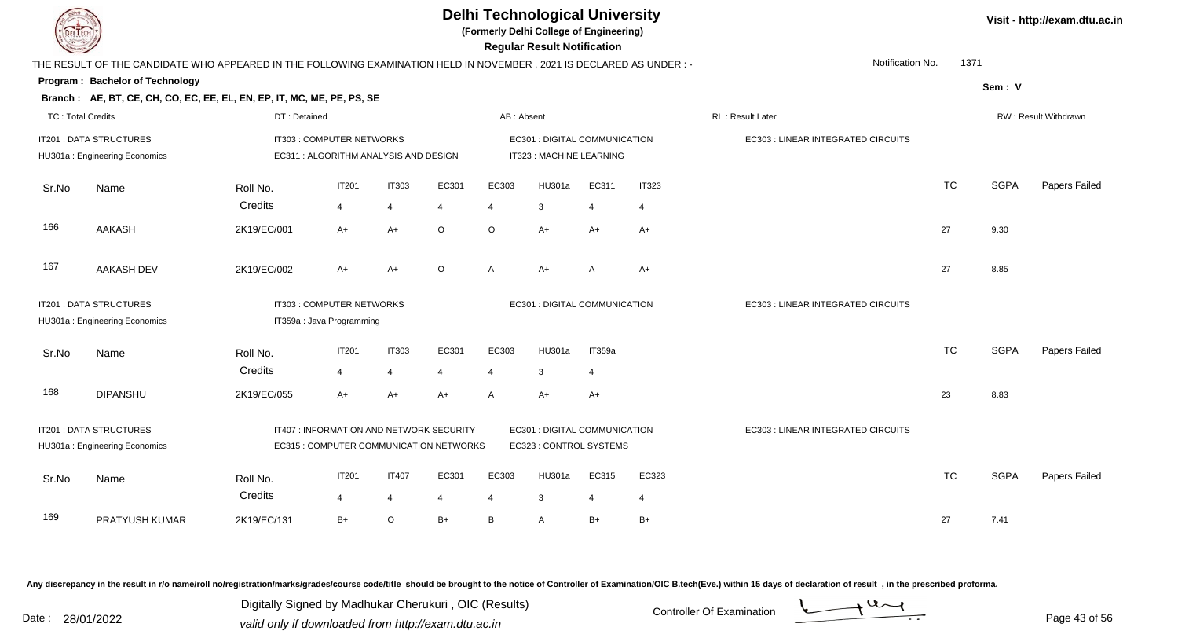**(Formerly Delhi College of Engineering)**

 **Regular Result Notification**

|                          | THE RESULT OF THE CANDIDATE WHO APPEARED IN THE FOLLOWING EXAMINATION HELD IN NOVEMBER, 2021 IS DECLARED AS UNDER :- |              |                                                                    |                |                | Notification No.<br>1371 |                                                           |                |              |                                    |           |             |                      |
|--------------------------|----------------------------------------------------------------------------------------------------------------------|--------------|--------------------------------------------------------------------|----------------|----------------|--------------------------|-----------------------------------------------------------|----------------|--------------|------------------------------------|-----------|-------------|----------------------|
|                          | Program: Bachelor of Technology<br>Branch: AE, BT, CE, CH, CO, EC, EE, EL, EN, EP, IT, MC, ME, PE, PS, SE            |              |                                                                    |                |                |                          |                                                           |                |              |                                    |           | Sem: V      |                      |
| <b>TC: Total Credits</b> |                                                                                                                      | DT: Detained |                                                                    |                |                | AB: Absent               |                                                           |                |              | <b>RL: Result Later</b>            |           |             | RW: Result Withdrawn |
|                          | <b>IT201: DATA STRUCTURES</b><br>HU301a: Engineering Economics                                                       |              | IT303 : COMPUTER NETWORKS<br>EC311 : ALGORITHM ANALYSIS AND DESIGN |                |                |                          | EC301 : DIGITAL COMMUNICATION<br>IT323 : MACHINE LEARNING |                |              | EC303 : LINEAR INTEGRATED CIRCUITS |           |             |                      |
| Sr.No                    | Name                                                                                                                 | Roll No.     | <b>IT201</b>                                                       | <b>IT303</b>   | EC301          | EC303                    | HU301a                                                    | EC311          | <b>IT323</b> |                                    | <b>TC</b> | <b>SGPA</b> | Papers Failed        |
|                          |                                                                                                                      | Credits      | $\overline{4}$                                                     | $\overline{4}$ | $\overline{4}$ | 4                        | 3                                                         | $\overline{4}$ | 4            |                                    |           |             |                      |
| 166                      | <b>AAKASH</b>                                                                                                        | 2K19/EC/001  | $A+$                                                               | $A+$           | $\circ$        | $\circ$                  | $A+$                                                      | A+             | A+           |                                    | 27        | 9.30        |                      |
| 167                      | AAKASH DEV                                                                                                           | 2K19/EC/002  | A+                                                                 | A+             | $\circ$        | A                        | $A+$                                                      | A              | $A+$         |                                    | 27        | 8.85        |                      |
|                          | IT201 : DATA STRUCTURES                                                                                              |              | IT303 : COMPUTER NETWORKS                                          |                |                |                          | EC301 : DIGITAL COMMUNICATION                             |                |              | EC303 : LINEAR INTEGRATED CIRCUITS |           |             |                      |
|                          | HU301a: Engineering Economics                                                                                        |              | IT359a : Java Programming                                          |                |                |                          |                                                           |                |              |                                    |           |             |                      |
| Sr.No                    | Name                                                                                                                 | Roll No.     | <b>IT201</b>                                                       | <b>IT303</b>   | EC301          | EC303                    | HU301a                                                    | IT359a         |              |                                    | <b>TC</b> | <b>SGPA</b> | Papers Failed        |
|                          |                                                                                                                      | Credits      | $\overline{4}$                                                     | $\overline{4}$ | $\overline{4}$ | 4                        | 3                                                         | $\overline{4}$ |              |                                    |           |             |                      |
| 168                      | <b>DIPANSHU</b>                                                                                                      | 2K19/EC/055  | $A+$                                                               | A+             | $A+$           | A                        | $A+$                                                      | A+             |              |                                    | 23        | 8.83        |                      |
|                          | IT201 : DATA STRUCTURES                                                                                              |              | IT407 : INFORMATION AND NETWORK SECURITY                           |                |                |                          | EC301 : DIGITAL COMMUNICATION                             |                |              | EC303 : LINEAR INTEGRATED CIRCUITS |           |             |                      |
|                          | HU301a: Engineering Economics                                                                                        |              | EC315 : COMPUTER COMMUNICATION NETWORKS                            |                |                |                          | EC323 : CONTROL SYSTEMS                                   |                |              |                                    |           |             |                      |
| Sr.No                    | Name                                                                                                                 | Roll No.     | <b>IT201</b>                                                       | <b>IT407</b>   | EC301          | EC303                    | HU301a                                                    | EC315          | EC323        |                                    | <b>TC</b> | <b>SGPA</b> | Papers Failed        |
|                          |                                                                                                                      | Credits      | $\overline{4}$                                                     | $\overline{4}$ | 4              | 4                        | 3                                                         | 4              | 4            |                                    |           |             |                      |
| 169                      | PRATYUSH KUMAR                                                                                                       | 2K19/EC/131  | $B+$                                                               | $\circ$        | $B+$           | B                        | A                                                         | $B+$           | B+           |                                    | 27        | 7.41        |                      |

Any discrepancy in the result in r/o name/roll no/registration/marks/grades/course code/title should be brought to the notice of Controller of Examination/OIC B.tech(Eve.) within 15 days of declaration of result, in the pr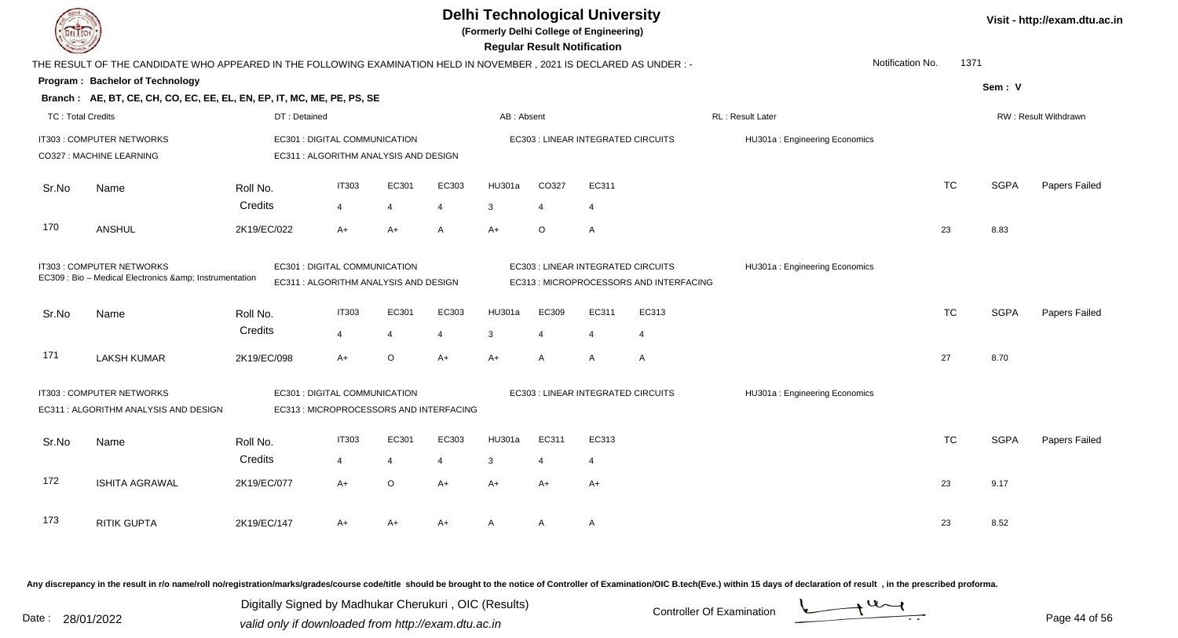| <b>DELTECH</b>                                                                                                                                             |                                                                                                                      |                     | <b>Delhi Technological University</b><br>(Formerly Delhi College of Engineering) |                | <b>Regular Result Notification</b> | Visit - http://exam.dtu.ac.in |                |                                                                               |                                    |                               |                          |             |                      |
|------------------------------------------------------------------------------------------------------------------------------------------------------------|----------------------------------------------------------------------------------------------------------------------|---------------------|----------------------------------------------------------------------------------|----------------|------------------------------------|-------------------------------|----------------|-------------------------------------------------------------------------------|------------------------------------|-------------------------------|--------------------------|-------------|----------------------|
|                                                                                                                                                            | THE RESULT OF THE CANDIDATE WHO APPEARED IN THE FOLLOWING EXAMINATION HELD IN NOVEMBER, 2021 IS DECLARED AS UNDER :- |                     |                                                                                  |                |                                    |                               |                |                                                                               |                                    |                               | Notification No.<br>1371 |             |                      |
|                                                                                                                                                            | Program: Bachelor of Technology                                                                                      |                     |                                                                                  |                |                                    |                               |                |                                                                               |                                    |                               |                          | Sem: V      |                      |
|                                                                                                                                                            | Branch: AE, BT, CE, CH, CO, EC, EE, EL, EN, EP, IT, MC, ME, PE, PS, SE                                               |                     |                                                                                  |                |                                    |                               |                |                                                                               |                                    |                               |                          |             |                      |
| <b>TC: Total Credits</b>                                                                                                                                   |                                                                                                                      | DT: Detained        |                                                                                  |                |                                    | AB: Absent                    |                |                                                                               |                                    | RL : Result Later             |                          |             | RW: Result Withdrawn |
|                                                                                                                                                            | IT303 : COMPUTER NETWORKS<br>CO327 : MACHINE LEARNING                                                                |                     | EC301 : DIGITAL COMMUNICATION<br>EC311 : ALGORITHM ANALYSIS AND DESIGN           |                |                                    |                               |                |                                                                               | EC303 : LINEAR INTEGRATED CIRCUITS | HU301a: Engineering Economics |                          |             |                      |
| Sr.No                                                                                                                                                      | Name                                                                                                                 | Roll No.            | <b>IT303</b>                                                                     | EC301          | EC303                              | HU301a                        | CO327          | EC311                                                                         |                                    |                               | <b>TC</b>                | <b>SGPA</b> | Papers Failed        |
|                                                                                                                                                            |                                                                                                                      | Credits             | $\overline{4}$                                                                   | $\overline{4}$ | $\overline{4}$                     | 3                             | $\overline{4}$ | $\overline{4}$                                                                |                                    |                               |                          |             |                      |
| 170                                                                                                                                                        | <b>ANSHUL</b>                                                                                                        | 2K19/EC/022         | $A+$                                                                             | $A+$           | A                                  | $A+$                          | O              | A                                                                             |                                    |                               | 23                       | 8.83        |                      |
| IT303 : COMPUTER NETWORKS<br>EC301 : DIGITAL COMMUNICATION<br>EC309 : Bio - Medical Electronics & Instrumentation<br>EC311 : ALGORITHM ANALYSIS AND DESIGN |                                                                                                                      |                     |                                                                                  |                |                                    |                               |                | EC303 : LINEAR INTEGRATED CIRCUITS<br>EC313 : MICROPROCESSORS AND INTERFACING | HU301a: Engineering Economics      |                               |                          |             |                      |
| Sr.No                                                                                                                                                      | Name                                                                                                                 | Roll No.            | <b>IT303</b>                                                                     | EC301          | EC303                              | HU301a                        | EC309          | EC311                                                                         | EC313                              |                               | <b>TC</b>                | <b>SGPA</b> | Papers Failed        |
|                                                                                                                                                            |                                                                                                                      | Credits             | $\overline{4}$                                                                   | $\overline{4}$ | $\overline{4}$                     | 3                             | $\overline{4}$ | $\overline{4}$                                                                | 4                                  |                               |                          |             |                      |
| 171                                                                                                                                                        | <b>LAKSH KUMAR</b>                                                                                                   | 2K19/EC/098         | $A+$                                                                             | $\circ$        | $A+$                               | $A+$                          | A              | $\mathsf{A}$                                                                  | $\overline{A}$                     |                               | 27                       | 8.70        |                      |
|                                                                                                                                                            | IT303 : COMPUTER NETWORKS<br>EC311 : ALGORITHM ANALYSIS AND DESIGN                                                   |                     | EC301 : DIGITAL COMMUNICATION<br>EC313 : MICROPROCESSORS AND INTERFACING         |                |                                    |                               |                |                                                                               | EC303 : LINEAR INTEGRATED CIRCUITS | HU301a: Engineering Economics |                          |             |                      |
|                                                                                                                                                            |                                                                                                                      |                     | <b>IT303</b>                                                                     | EC301          | EC303                              | HU301a                        | EC311          | EC313                                                                         |                                    |                               | <b>TC</b>                | <b>SGPA</b> | Papers Failed        |
| Sr.No                                                                                                                                                      | Name                                                                                                                 | Roll No.<br>Credits | $\overline{4}$                                                                   | $\overline{4}$ | $\overline{4}$                     |                               | $\overline{4}$ | 4                                                                             |                                    |                               |                          |             |                      |
|                                                                                                                                                            |                                                                                                                      |                     |                                                                                  |                |                                    | 3                             |                |                                                                               |                                    |                               |                          |             |                      |
| 172                                                                                                                                                        | <b>ISHITA AGRAWAL</b>                                                                                                | 2K19/EC/077         | $A+$                                                                             | $\circ$        | $A+$                               | $A+$                          | $A+$           | $A+$                                                                          |                                    |                               | 23                       | 9.17        |                      |
| 173                                                                                                                                                        | <b>RITIK GUPTA</b>                                                                                                   | 2K19/EC/147         | A+                                                                               | $A+$           | $A+$                               | A                             | A              | $\mathsf{A}$                                                                  |                                    |                               | 23                       | 8.52        |                      |
|                                                                                                                                                            |                                                                                                                      |                     |                                                                                  |                |                                    |                               |                |                                                                               |                                    |                               |                          |             |                      |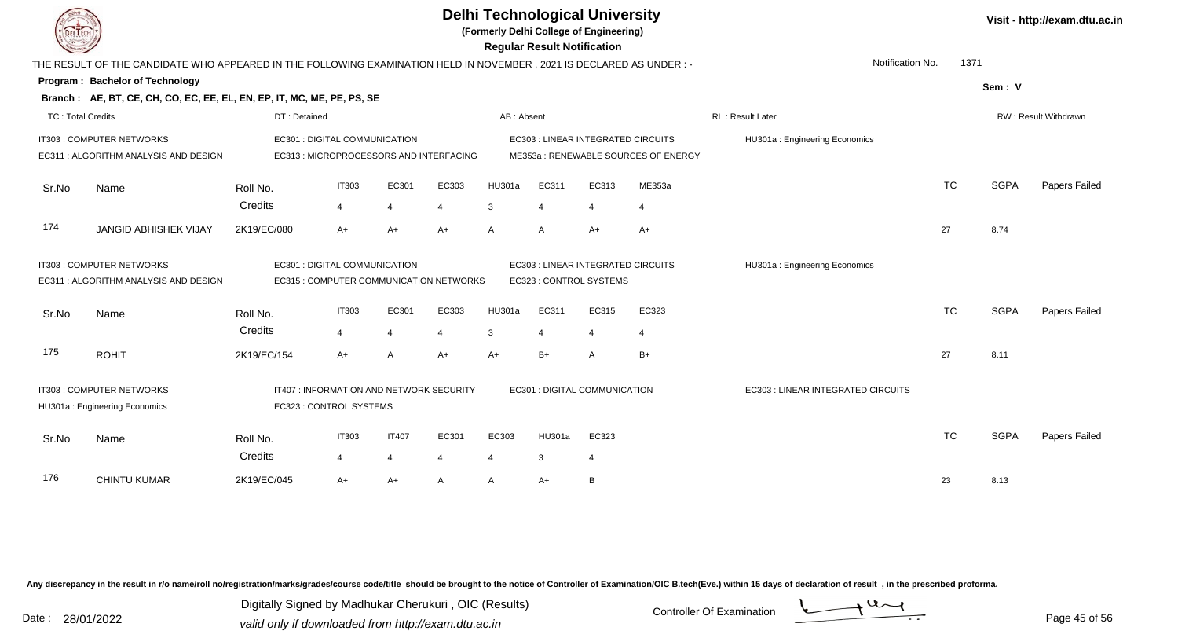**(Formerly Delhi College of Engineering)**

 **Regular Result Notification**

|                          | THE RESULT OF THE CANDIDATE WHO APPEARED IN THE FOLLOWING EXAMINATION HELD IN NOVEMBER , 2021 IS DECLARED AS UNDER : - |              |                                          |                |                                         |            |                                    |       |                                     | Notification No.                   |           | 1371        |                      |
|--------------------------|------------------------------------------------------------------------------------------------------------------------|--------------|------------------------------------------|----------------|-----------------------------------------|------------|------------------------------------|-------|-------------------------------------|------------------------------------|-----------|-------------|----------------------|
|                          | Program: Bachelor of Technology                                                                                        |              |                                          |                |                                         |            |                                    |       |                                     |                                    |           | Sem: V      |                      |
|                          | Branch: AE, BT, CE, CH, CO, EC, EE, EL, EN, EP, IT, MC, ME, PE, PS, SE                                                 |              |                                          |                |                                         |            |                                    |       |                                     |                                    |           |             |                      |
| <b>TC: Total Credits</b> |                                                                                                                        | DT: Detained |                                          |                |                                         | AB: Absent |                                    |       |                                     | <b>RL: Result Later</b>            |           |             | RW: Result Withdrawn |
|                          | IT303 : COMPUTER NETWORKS                                                                                              |              | EC301 : DIGITAL COMMUNICATION            |                |                                         |            | EC303 : LINEAR INTEGRATED CIRCUITS |       |                                     | HU301a: Engineering Economics      |           |             |                      |
|                          | EC311 : ALGORITHM ANALYSIS AND DESIGN                                                                                  |              | EC313 : MICROPROCESSORS AND INTERFACING  |                |                                         |            |                                    |       | ME353a: RENEWABLE SOURCES OF ENERGY |                                    |           |             |                      |
| Sr.No                    | Name                                                                                                                   | Roll No.     | <b>IT303</b>                             | EC301          | EC303                                   | HU301a     | EC311                              | EC313 | ME353a                              |                                    | <b>TC</b> | <b>SGPA</b> | Papers Failed        |
|                          |                                                                                                                        | Credits      | $\overline{4}$                           |                | $\overline{4}$                          | 3          | $\overline{4}$                     | 4     | 4                                   |                                    |           |             |                      |
| 174                      | <b>JANGID ABHISHEK VIJAY</b>                                                                                           | 2K19/EC/080  | $A+$                                     | $A+$           | $A+$                                    | A          | A                                  | $A+$  | $A+$                                |                                    | 27        | 8.74        |                      |
|                          | IT303 : COMPUTER NETWORKS                                                                                              |              | EC301 : DIGITAL COMMUNICATION            |                |                                         |            | EC303 : LINEAR INTEGRATED CIRCUITS |       |                                     | HU301a: Engineering Economics      |           |             |                      |
|                          | EC311 : ALGORITHM ANALYSIS AND DESIGN                                                                                  |              |                                          |                | EC315 : COMPUTER COMMUNICATION NETWORKS |            | EC323 : CONTROL SYSTEMS            |       |                                     |                                    |           |             |                      |
| Sr.No                    | Name                                                                                                                   | Roll No.     | <b>IT303</b>                             | EC301          | EC303                                   | HU301a     | EC311                              | EC315 | EC323                               |                                    | <b>TC</b> | <b>SGPA</b> | Papers Failed        |
|                          |                                                                                                                        | Credits      | $\overline{4}$                           |                | $\overline{4}$                          | 3          | 4                                  |       | $\overline{4}$                      |                                    |           |             |                      |
| 175                      | <b>ROHIT</b>                                                                                                           | 2K19/EC/154  | $A+$                                     | A              | $A+$                                    | $A+$       | $B+$                               | A     | $B+$                                |                                    | 27        | 8.11        |                      |
|                          | IT303 : COMPUTER NETWORKS                                                                                              |              | IT407 : INFORMATION AND NETWORK SECURITY |                |                                         |            | EC301 : DIGITAL COMMUNICATION      |       |                                     | EC303 : LINEAR INTEGRATED CIRCUITS |           |             |                      |
|                          | HU301a: Engineering Economics                                                                                          |              | EC323 : CONTROL SYSTEMS                  |                |                                         |            |                                    |       |                                     |                                    |           |             |                      |
| Sr.No                    | Name                                                                                                                   | Roll No.     | <b>IT303</b>                             | <b>IT407</b>   | EC301                                   | EC303      | HU301a                             | EC323 |                                     |                                    | <b>TC</b> | <b>SGPA</b> | Papers Failed        |
|                          |                                                                                                                        | Credits      | $\overline{4}$                           | $\overline{4}$ | $\overline{4}$                          | 4          | $\mathbf{3}$                       | 4     |                                     |                                    |           |             |                      |
| 176                      | CHINTU KUMAR                                                                                                           | 2K19/EC/045  | $A+$                                     | A+             | $\mathsf{A}$                            | A          | $A+$                               | B     |                                     |                                    | 23        | 8.13        |                      |

Any discrepancy in the result in r/o name/roll no/registration/marks/grades/course code/title should be brought to the notice of Controller of Examination/OIC B.tech(Eve.) within 15 days of declaration of result, in the pr

Date : 28/01/2022 Valid only if downloaded from http://exam.dtu.ac.in<br>valid only if downloaded from http://exam.dtu.ac.in Digitally Signed by Madhukar Cherukuri , OIC (Results)

**Visit - http://exam.dtu.ac.in**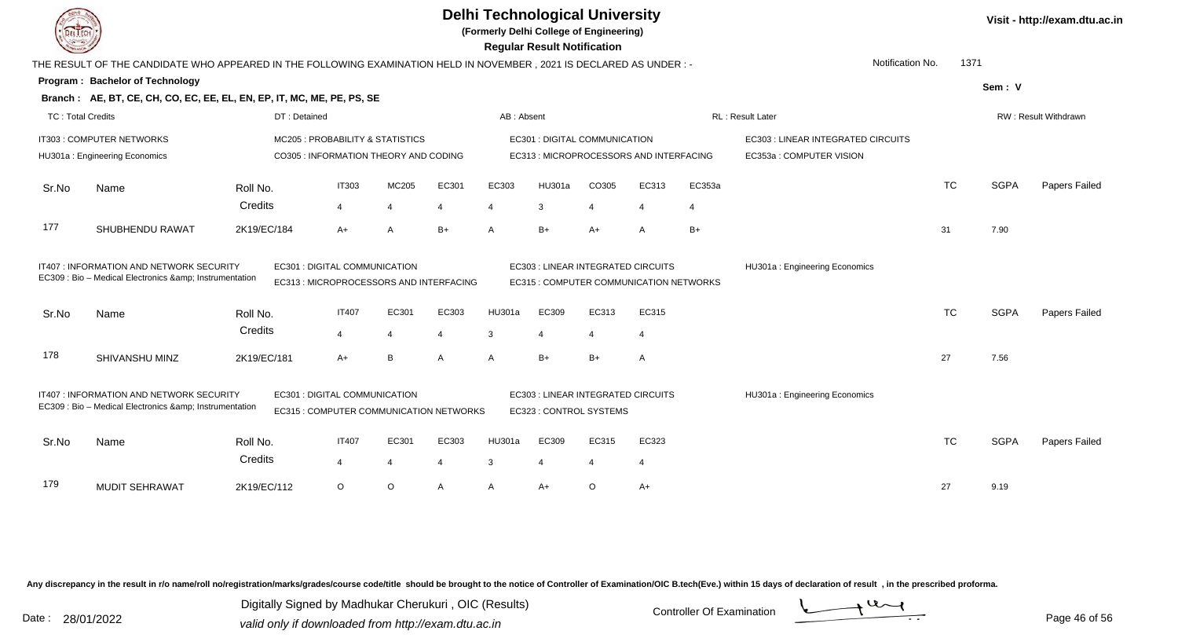**(Formerly Delhi College of Engineering)**

 **Regular Result Notification**

|                          | THE RESULT OF THE CANDIDATE WHO APPEARED IN THE FOLLOWING EXAMINATION HELD IN NOVEMBER , 2021 IS DECLARED AS UNDER : - |                     |                                                                          |                |                          |              |                                                                                 |         |                |             | Notification No.                                               | 1371      |             |                      |
|--------------------------|------------------------------------------------------------------------------------------------------------------------|---------------------|--------------------------------------------------------------------------|----------------|--------------------------|--------------|---------------------------------------------------------------------------------|---------|----------------|-------------|----------------------------------------------------------------|-----------|-------------|----------------------|
|                          | Program: Bachelor of Technology<br>Branch: AE, BT, CE, CH, CO, EC, EE, EL, EN, EP, IT, MC, ME, PE, PS, SE              |                     |                                                                          |                |                          |              |                                                                                 |         |                |             |                                                                |           | Sem: V      |                      |
| <b>TC: Total Credits</b> |                                                                                                                        | DT: Detained        |                                                                          |                |                          | AB: Absent   |                                                                                 |         |                |             | RL: Result Later                                               |           |             | RW: Result Withdrawn |
|                          | IT303 : COMPUTER NETWORKS<br>HU301a: Engineering Economics                                                             |                     | MC205: PROBABILITY & STATISTICS<br>CO305 : INFORMATION THEORY AND CODING |                |                          |              | <b>EC301 : DIGITAL COMMUNICATION</b><br>EC313 : MICROPROCESSORS AND INTERFACING |         |                |             | EC303 : LINEAR INTEGRATED CIRCUITS<br>EC353a : COMPUTER VISION |           |             |                      |
| Sr.No                    | Name                                                                                                                   | Roll No.<br>Credits | <b>IT303</b><br>4                                                        | MC205          | EC301<br>4               | EC303        | HU301a<br>3                                                                     | CO305   | EC313          | EC353a<br>4 |                                                                | <b>TC</b> | <b>SGPA</b> | Papers Failed        |
| 177                      | SHUBHENDU RAWAT                                                                                                        | 2K19/EC/184         | $A+$                                                                     | A              | $B+$                     | A            | $B+$                                                                            | A+      | A              | $B+$        |                                                                | 31        | 7.90        |                      |
|                          | IT407 : INFORMATION AND NETWORK SECURITY<br>EC309 : Bio - Medical Electronics & Instrumentation                        |                     | EC301 : DIGITAL COMMUNICATION<br>EC313 : MICROPROCESSORS AND INTERFACING |                |                          |              | EC303 : LINEAR INTEGRATED CIRCUITS<br>EC315 : COMPUTER COMMUNICATION NETWORKS   |         |                |             | HU301a: Engineering Economics                                  |           |             |                      |
| Sr.No                    | Name                                                                                                                   | Roll No.            | <b>IT407</b>                                                             | EC301          | EC303                    | HU301a       | EC309                                                                           | EC313   | EC315          |             |                                                                | <b>TC</b> | <b>SGPA</b> | Papers Failed        |
|                          |                                                                                                                        | Credits             | $\overline{4}$                                                           | $\Delta$       | $\boldsymbol{\varDelta}$ | 3            | $\boldsymbol{\Delta}$                                                           |         | $\overline{4}$ |             |                                                                |           |             |                      |
| 178                      | SHIVANSHU MINZ                                                                                                         | 2K19/EC/181         | $A+$                                                                     | B              | A                        | A            | $B+$                                                                            | $B+$    | A              |             |                                                                | 27        | 7.56        |                      |
|                          | IT407: INFORMATION AND NETWORK SECURITY<br>EC309 : Bio - Medical Electronics & Instrumentation                         |                     | EC301 : DIGITAL COMMUNICATION<br>EC315 : COMPUTER COMMUNICATION NETWORKS |                |                          |              | EC303 : LINEAR INTEGRATED CIRCUITS<br>EC323 : CONTROL SYSTEMS                   |         |                |             | HU301a: Engineering Economics                                  |           |             |                      |
| Sr.No                    | Name                                                                                                                   | Roll No.            | <b>IT407</b>                                                             | EC301          | EC303                    | HU301a       | EC309                                                                           | EC315   | EC323          |             |                                                                | <b>TC</b> | <b>SGPA</b> | Papers Failed        |
|                          |                                                                                                                        | Credits             | 4                                                                        | $\overline{4}$ | 4                        | 3            | 4                                                                               |         | $\overline{4}$ |             |                                                                |           |             |                      |
| 179                      | <b>MUDIT SEHRAWAT</b>                                                                                                  | 2K19/EC/112         | $\circ$                                                                  | $\circ$        | Α                        | $\mathsf{A}$ | $A+$                                                                            | $\circ$ | $A+$           |             |                                                                | 27        | 9.19        |                      |

Any discrepancy in the result in r/o name/roll no/registration/marks/grades/course code/title should be brought to the notice of Controller of Examination/OIC B.tech(Eve.) within 15 days of declaration of result, in the pr

Date : 28/01/2022 Valid only if downloaded from http://exam.dtu.ac.in<br>valid only if downloaded from http://exam.dtu.ac.in Digitally Signed by Madhukar Cherukuri , OIC (Results)

**Visit - http://exam.dtu.ac.in**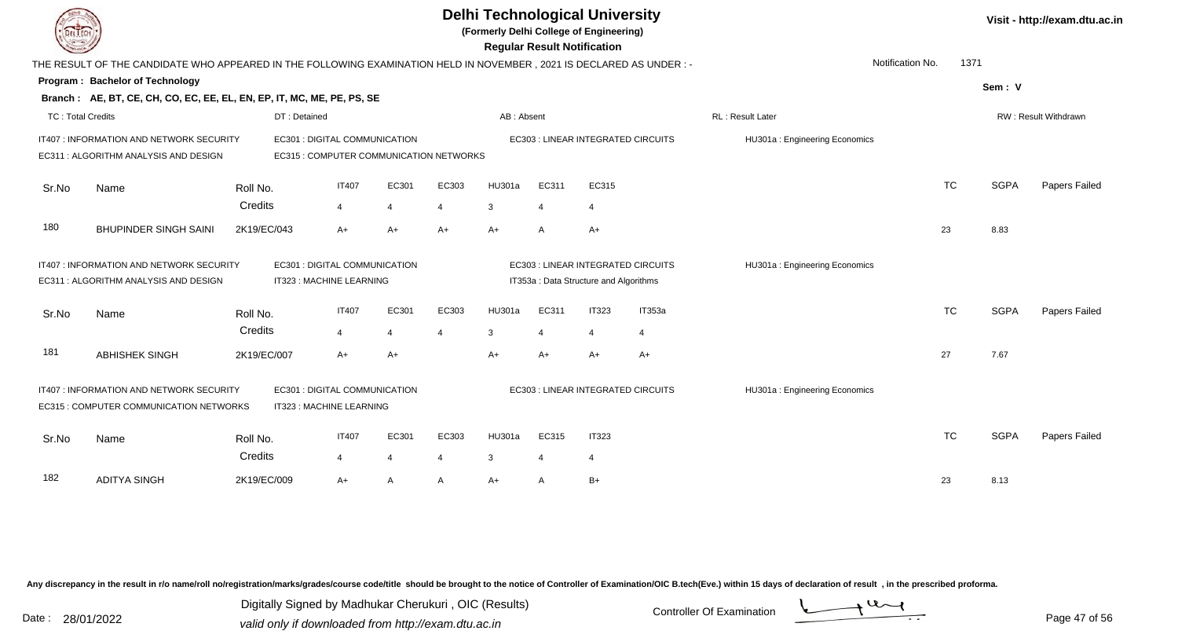|                                                                                                                                                  |                                                                                                                     |                     |                                         |                |       | <b>Delhi Technological University</b><br>(Formerly Delhi College of Engineering) |                | <b>Regular Result Notification</b>     |                                    | Visit - http://exam.dtu.ac.in |           |             |                      |
|--------------------------------------------------------------------------------------------------------------------------------------------------|---------------------------------------------------------------------------------------------------------------------|---------------------|-----------------------------------------|----------------|-------|----------------------------------------------------------------------------------|----------------|----------------------------------------|------------------------------------|-------------------------------|-----------|-------------|----------------------|
|                                                                                                                                                  | THE RESULT OF THE CANDIDATE WHO APPEARED IN THE FOLLOWING EXAMINATION HELD IN NOVEMBER, 2021 IS DECLARED AS UNDER:- |                     |                                         |                |       |                                                                                  |                |                                        |                                    | Notification No.              | 1371      |             |                      |
|                                                                                                                                                  | Program: Bachelor of Technology                                                                                     |                     |                                         |                |       |                                                                                  |                |                                        |                                    |                               |           | Sem: V      |                      |
|                                                                                                                                                  | Branch: AE, BT, CE, CH, CO, EC, EE, EL, EN, EP, IT, MC, ME, PE, PS, SE                                              |                     |                                         |                |       |                                                                                  |                |                                        |                                    |                               |           |             |                      |
| <b>TC: Total Credits</b>                                                                                                                         |                                                                                                                     |                     | DT: Detained                            |                |       | AB: Absent                                                                       |                |                                        |                                    | RL: Result Later              |           |             | RW: Result Withdrawn |
|                                                                                                                                                  | IT407 : INFORMATION AND NETWORK SECURITY                                                                            |                     | EC301 : DIGITAL COMMUNICATION           |                |       |                                                                                  |                |                                        | EC303 : LINEAR INTEGRATED CIRCUITS | HU301a: Engineering Economics |           |             |                      |
|                                                                                                                                                  | EC311 : ALGORITHM ANALYSIS AND DESIGN                                                                               |                     | EC315 : COMPUTER COMMUNICATION NETWORKS |                |       |                                                                                  |                |                                        |                                    |                               |           |             |                      |
| Sr.No                                                                                                                                            | Name                                                                                                                | Roll No.            | <b>IT407</b>                            | EC301          | EC303 | HU301a                                                                           | EC311          | EC315                                  |                                    |                               | <b>TC</b> | <b>SGPA</b> | Papers Failed        |
|                                                                                                                                                  |                                                                                                                     | Credits             | 4                                       | $\overline{4}$ | 4     | 3                                                                                | $\overline{4}$ | $\overline{4}$                         |                                    |                               |           |             |                      |
| 180                                                                                                                                              | <b>BHUPINDER SINGH SAINI</b>                                                                                        | 2K19/EC/043         | A+                                      | $A+$           | $A+$  | $A+$                                                                             | A              | A+                                     |                                    |                               | 23        | 8.83        |                      |
|                                                                                                                                                  | EC301 : DIGITAL COMMUNICATION<br>IT407 : INFORMATION AND NETWORK SECURITY                                           |                     |                                         |                |       |                                                                                  |                |                                        | EC303 : LINEAR INTEGRATED CIRCUITS | HU301a: Engineering Economics |           |             |                      |
|                                                                                                                                                  | EC311: ALGORITHM ANALYSIS AND DESIGN                                                                                |                     | IT323 : MACHINE LEARNING                |                |       |                                                                                  |                | IT353a : Data Structure and Algorithms |                                    |                               |           |             |                      |
| Sr.No                                                                                                                                            | Name                                                                                                                | Roll No.            | <b>IT407</b>                            | EC301          | EC303 | HU301a                                                                           | EC311          | <b>IT323</b>                           | IT353a                             |                               | <b>TC</b> | <b>SGPA</b> | Papers Failed        |
|                                                                                                                                                  |                                                                                                                     | Credits             | 4                                       | 4              | 4     | 3                                                                                | 4              | $\overline{4}$                         | 4                                  |                               |           |             |                      |
| 181                                                                                                                                              | <b>ABHISHEK SINGH</b>                                                                                               | 2K19/EC/007         | $A+$                                    | $A+$           |       | $A+$                                                                             | $A+$           | $A+$                                   | A+                                 |                               | 27        | 7.67        |                      |
| EC301 : DIGITAL COMMUNICATION<br>IT407 : INFORMATION AND NETWORK SECURITY<br>IT323 : MACHINE LEARNING<br>EC315 : COMPUTER COMMUNICATION NETWORKS |                                                                                                                     |                     |                                         |                |       |                                                                                  |                |                                        | EC303 : LINEAR INTEGRATED CIRCUITS | HU301a: Engineering Economics |           |             |                      |
|                                                                                                                                                  |                                                                                                                     |                     | <b>IT407</b>                            | EC301          | EC303 | HU301a                                                                           | EC315          | <b>IT323</b>                           |                                    |                               | <b>TC</b> | <b>SGPA</b> | Papers Failed        |
| Sr.No                                                                                                                                            | Name                                                                                                                | Roll No.<br>Credits | $\overline{4}$                          | 4              | 4     | 3                                                                                | $\overline{4}$ | $\overline{4}$                         |                                    |                               |           |             |                      |
| 182                                                                                                                                              | <b>ADITYA SINGH</b>                                                                                                 | 2K19/EC/009         | A+                                      | A              | A     | $A+$                                                                             | A              | $B+$                                   |                                    |                               | 23        | 8.13        |                      |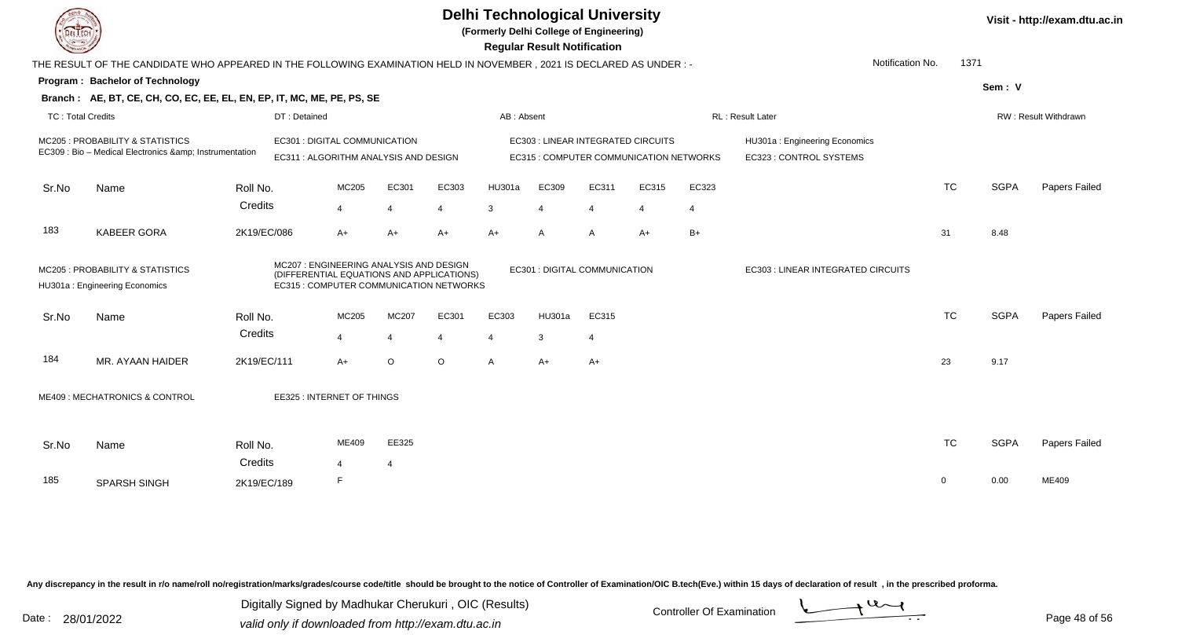|                          | <b>Delhi Technological University</b><br>(Formerly Delhi College of Engineering)<br><b>Regular Result Notification</b> |                     |                                                                                                                                |                                |                |              |                                    |                |                                         |                |                                                          |           |             | Visit - http://exam.dtu.ac.in |
|--------------------------|------------------------------------------------------------------------------------------------------------------------|---------------------|--------------------------------------------------------------------------------------------------------------------------------|--------------------------------|----------------|--------------|------------------------------------|----------------|-----------------------------------------|----------------|----------------------------------------------------------|-----------|-------------|-------------------------------|
|                          | THE RESULT OF THE CANDIDATE WHO APPEARED IN THE FOLLOWING EXAMINATION HELD IN NOVEMBER, 2021 IS DECLARED AS UNDER :-   |                     |                                                                                                                                |                                |                |              |                                    |                |                                         |                | Notification No.                                         | 1371      |             |                               |
|                          | Program: Bachelor of Technology                                                                                        |                     |                                                                                                                                |                                |                |              |                                    |                |                                         |                |                                                          |           | Sem: V      |                               |
|                          | Branch: AE, BT, CE, CH, CO, EC, EE, EL, EN, EP, IT, MC, ME, PE, PS, SE                                                 |                     |                                                                                                                                |                                |                |              |                                    |                |                                         |                |                                                          |           |             |                               |
| <b>TC: Total Credits</b> |                                                                                                                        | DT: Detained        |                                                                                                                                |                                |                | AB: Absent   |                                    |                |                                         |                | RL: Result Later                                         |           |             | RW: Result Withdrawn          |
|                          | MC205 : PROBABILITY & STATISTICS<br>EC309 : Bio - Medical Electronics & Instrumentation                                |                     | EC301 : DIGITAL COMMUNICATION<br>EC311 : ALGORITHM ANALYSIS AND DESIGN                                                         |                                |                |              | EC303 : LINEAR INTEGRATED CIRCUITS |                | EC315 : COMPUTER COMMUNICATION NETWORKS |                | HU301a: Engineering Economics<br>EC323 : CONTROL SYSTEMS |           |             |                               |
| Sr.No                    | Name                                                                                                                   | Roll No.            | <b>MC205</b>                                                                                                                   | EC301                          | EC303          | HU301a       | EC309                              | EC311          | EC315                                   | EC323          |                                                          | <b>TC</b> | <b>SGPA</b> | Papers Failed                 |
|                          |                                                                                                                        | Credits             | 4                                                                                                                              | $\overline{4}$                 | 4              | 3            | $\overline{4}$                     | $\overline{4}$ | $\overline{4}$                          | $\overline{4}$ |                                                          |           |             |                               |
| 183                      | <b>KABEER GORA</b>                                                                                                     | 2K19/EC/086         | $A+$                                                                                                                           | $A+$                           | $A+$           | $A+$         | A                                  | A              | $A+$                                    | $B+$           |                                                          | 31        | 8.48        |                               |
|                          | MC205 : PROBABILITY & STATISTICS<br>HU301a: Engineering Economics                                                      |                     | MC207: ENGINEERING ANALYSIS AND DESIGN<br>(DIFFERENTIAL EQUATIONS AND APPLICATIONS)<br>EC315 : COMPUTER COMMUNICATION NETWORKS |                                |                |              | EC301 : DIGITAL COMMUNICATION      |                |                                         |                | EC303 : LINEAR INTEGRATED CIRCUITS                       |           |             |                               |
| Sr.No                    | Name                                                                                                                   | Roll No.            | MC205                                                                                                                          | <b>MC207</b>                   | EC301          | EC303        | HU301a                             | EC315          |                                         |                |                                                          | <b>TC</b> | <b>SGPA</b> | Papers Failed                 |
|                          |                                                                                                                        | Credits             | 4                                                                                                                              | $\overline{4}$                 | $\overline{4}$ | 4            | 3                                  | $\overline{4}$ |                                         |                |                                                          |           |             |                               |
| 184                      | MR. AYAAN HAIDER                                                                                                       | 2K19/EC/111         | $A+$                                                                                                                           | $\circ$                        | O              | $\mathsf{A}$ | $A+$                               | $A+$           |                                         |                |                                                          | 23        | 9.17        |                               |
|                          | ME409: MECHATRONICS & CONTROL                                                                                          |                     | EE325: INTERNET OF THINGS                                                                                                      |                                |                |              |                                    |                |                                         |                |                                                          |           |             |                               |
| Sr.No                    | Name                                                                                                                   | Roll No.<br>Credits | ME409                                                                                                                          | EE325<br>$\boldsymbol{\Delta}$ |                |              |                                    |                |                                         |                |                                                          | <b>TC</b> | <b>SGPA</b> | Papers Failed                 |
| 185                      | SPARSH SINGH                                                                                                           | 2K19/EC/189         | F                                                                                                                              |                                |                |              |                                    |                |                                         |                |                                                          | $\Omega$  | 0.00        | ME409                         |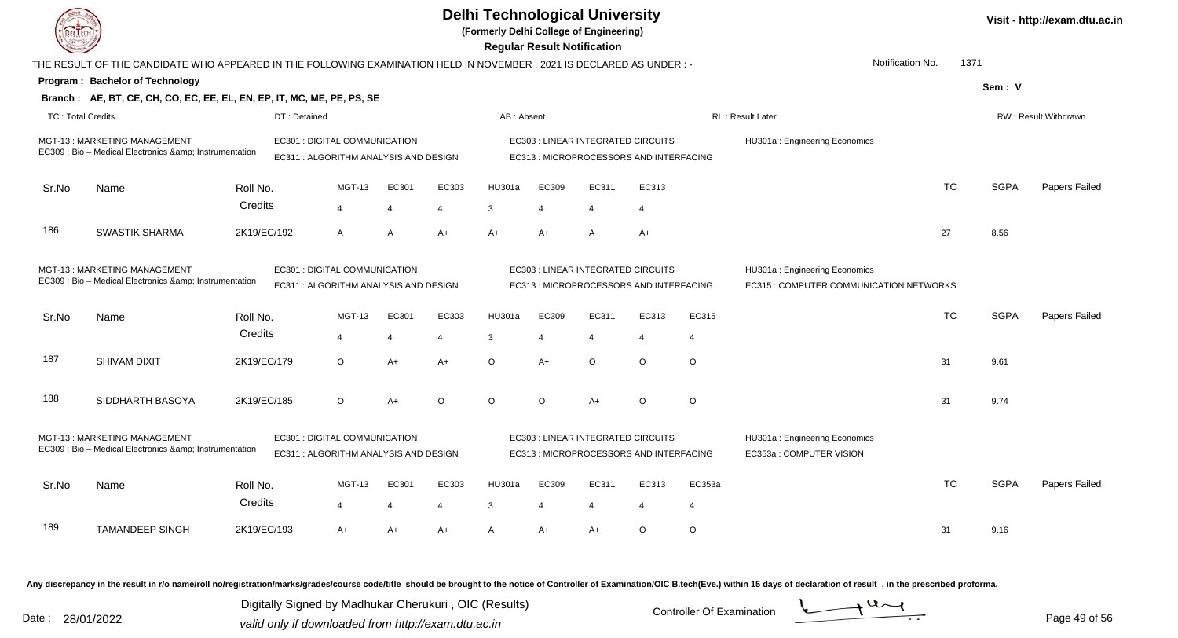|                          |                                                                                                                                                               |             | <b>Delhi Technological University</b><br>(Formerly Delhi College of Engineering) | <b>Regular Result Notification</b> |       | Visit - http://exam.dtu.ac.in |                |         |                                                                               |                                                          |                                                                          |           |             |                             |
|--------------------------|---------------------------------------------------------------------------------------------------------------------------------------------------------------|-------------|----------------------------------------------------------------------------------|------------------------------------|-------|-------------------------------|----------------|---------|-------------------------------------------------------------------------------|----------------------------------------------------------|--------------------------------------------------------------------------|-----------|-------------|-----------------------------|
|                          | THE RESULT OF THE CANDIDATE WHO APPEARED IN THE FOLLOWING EXAMINATION HELD IN NOVEMBER, 2021 IS DECLARED AS UNDER :-                                          |             |                                                                                  |                                    |       |                               |                |         |                                                                               |                                                          | Notification No.                                                         | 1371      |             |                             |
|                          | Program: Bachelor of Technology                                                                                                                               |             |                                                                                  |                                    |       |                               |                |         |                                                                               |                                                          |                                                                          |           | Sem: V      |                             |
|                          | Branch: AE, BT, CE, CH, CO, EC, EE, EL, EN, EP, IT, MC, ME, PE, PS, SE                                                                                        |             |                                                                                  |                                    |       |                               |                |         |                                                                               |                                                          |                                                                          |           |             |                             |
| <b>TC: Total Credits</b> |                                                                                                                                                               |             | DT: Detained                                                                     |                                    |       | AB: Absent                    |                |         |                                                                               |                                                          | RL: Result Later                                                         |           |             | <b>RW: Result Withdrawn</b> |
|                          | MGT-13: MARKETING MANAGEMENT<br>EC309 : Bio - Medical Electronics & Instrumentation                                                                           |             | EC301 : DIGITAL COMMUNICATION<br>EC311 : ALGORITHM ANALYSIS AND DESIGN           |                                    |       |                               |                |         | EC303 : LINEAR INTEGRATED CIRCUITS<br>EC313 : MICROPROCESSORS AND INTERFACING |                                                          | HU301a: Engineering Economics                                            |           |             |                             |
| Sr.No                    | Name                                                                                                                                                          | Roll No.    | MGT-13                                                                           | EC301                              | EC303 | HU301a                        | EC309          | EC311   | EC313                                                                         |                                                          |                                                                          | <b>TC</b> | <b>SGPA</b> | Papers Failed               |
|                          |                                                                                                                                                               | Credits     | $\overline{4}$                                                                   | $\overline{4}$                     | 4     | 3                             | $\overline{4}$ | 4       | 4                                                                             |                                                          |                                                                          |           |             |                             |
| 186                      | <b>SWASTIK SHARMA</b>                                                                                                                                         | 2K19/EC/192 | $\mathsf{A}$                                                                     | A                                  | $A+$  | $A+$                          | $A+$           | A       | $A+$                                                                          |                                                          |                                                                          | 27        | 8.56        |                             |
|                          | MGT-13: MARKETING MANAGEMENT<br>EC301 : DIGITAL COMMUNICATION<br>EC309 : Bio - Medical Electronics & Instrumentation<br>EC311 : ALGORITHM ANALYSIS AND DESIGN |             |                                                                                  |                                    |       |                               |                |         | EC303 : LINEAR INTEGRATED CIRCUITS<br>EC313 : MICROPROCESSORS AND INTERFACING |                                                          | HU301a: Engineering Economics<br>EC315 : COMPUTER COMMUNICATION NETWORKS |           |             |                             |
| Sr.No                    | Name                                                                                                                                                          | Roll No.    | <b>MGT-13</b>                                                                    | EC301                              | EC303 | HU301a                        | EC309          | EC311   | EC313                                                                         | EC315                                                    |                                                                          | <b>TC</b> | <b>SGPA</b> | Papers Failed               |
|                          |                                                                                                                                                               | Credits     | $\boldsymbol{\Delta}$                                                            | 4                                  | 4     | 3                             | $\overline{4}$ | 4       | 4                                                                             | $\overline{4}$                                           |                                                                          |           |             |                             |
| 187                      | SHIVAM DIXIT                                                                                                                                                  | 2K19/EC/179 | $\circ$                                                                          | $A+$                               | $A+$  | $\circ$                       | $A+$           | $\circ$ | $\circ$                                                                       | $\circ$                                                  |                                                                          | 31        | 9.61        |                             |
| 188                      | SIDDHARTH BASOYA                                                                                                                                              | 2K19/EC/185 | O                                                                                | $A+$                               | O     | $\circ$                       | $\Omega$       | $A+$    | $\circ$                                                                       | O                                                        |                                                                          | 31        | 9.74        |                             |
|                          | MGT-13: MARKETING MANAGEMENT<br>EC301 : DIGITAL COMMUNICATION<br>EC309 : Bio - Medical Electronics & Instrumentation<br>EC311 : ALGORITHM ANALYSIS AND DESIGN |             |                                                                                  |                                    |       |                               |                |         | EC303 : LINEAR INTEGRATED CIRCUITS<br>EC313 : MICROPROCESSORS AND INTERFACING | HU301a: Engineering Economics<br>EC353a: COMPUTER VISION |                                                                          |           |             |                             |
| Sr.No                    | Name                                                                                                                                                          | Roll No.    | MGT-13                                                                           | EC301                              | EC303 | HU301a                        | EC309          | EC311   | EC313                                                                         | EC353a                                                   |                                                                          | TC.       | <b>SGPA</b> | Papers Failed               |
|                          |                                                                                                                                                               | Credits     | $\overline{4}$                                                                   | $\overline{4}$                     | 4     | 3                             |                | 4       | 4                                                                             | $\overline{4}$                                           |                                                                          |           |             |                             |
| 189                      | <b>TAMANDEEP SINGH</b>                                                                                                                                        | 2K19/EC/193 | A+                                                                               | A+                                 | A+    | $\mathsf{A}$                  | $A+$           | $A+$    | $\circ$                                                                       | O                                                        |                                                                          | 31        | 9.16        |                             |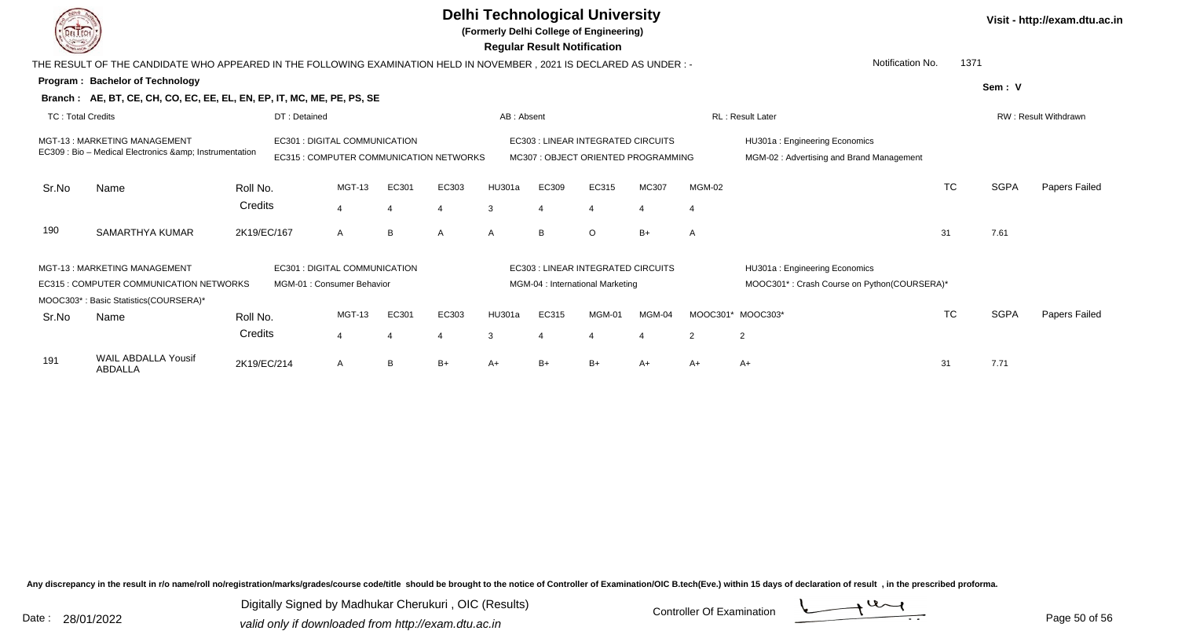

**(Formerly Delhi College of Engineering)**

 **Regular Result Notification**

|                          | THE RESULT OF THE CANDIDATE WHO APPEARED IN THE FOLLOWING EXAMINATION HELD IN NOVEMBER , 2021 IS DECLARED AS UNDER :-                                                |             |                               |                         |              |              |            |       |                                                                          |        |                | Notification No.                                                          | 1371      |             |               |
|--------------------------|----------------------------------------------------------------------------------------------------------------------------------------------------------------------|-------------|-------------------------------|-------------------------|--------------|--------------|------------|-------|--------------------------------------------------------------------------|--------|----------------|---------------------------------------------------------------------------|-----------|-------------|---------------|
|                          | <b>Program: Bachelor of Technology</b>                                                                                                                               |             |                               |                         |              |              |            |       |                                                                          |        |                |                                                                           |           | Sem: V      |               |
|                          | Branch: AE, BT, CE, CH, CO, EC, EE, EL, EN, EP, IT, MC, ME, PE, PS, SE                                                                                               |             |                               |                         |              |              |            |       |                                                                          |        |                |                                                                           |           |             |               |
| <b>TC: Total Credits</b> |                                                                                                                                                                      |             | DT: Detained                  |                         |              |              | AB: Absent |       |                                                                          |        |                | <b>RL: Result Later</b><br>RW: Result Withdrawn                           |           |             |               |
|                          | EC301 : DIGITAL COMMUNICATION<br>MGT-13: MARKETING MANAGEMENT<br>EC309 : Bio - Medical Electronics & amp; Instrumentation<br>EC315 : COMPUTER COMMUNICATION NETWORKS |             |                               |                         |              |              |            |       | EC303 : LINEAR INTEGRATED CIRCUITS<br>MC307: OBJECT ORIENTED PROGRAMMING |        |                | HU301a: Engineering Economics<br>MGM-02: Advertising and Brand Management |           |             |               |
| Sr.No                    | Name                                                                                                                                                                 | Roll No.    |                               | <b>MGT-13</b>           | EC301        | EC303        | HU301a     | EC309 | EC315                                                                    | MC307  | MGM-02         |                                                                           | <b>TC</b> | <b>SGPA</b> | Papers Failed |
|                          |                                                                                                                                                                      | Credits     |                               | $\overline{\mathbf{A}}$ |              |              | 3          | 4     |                                                                          |        | $\overline{4}$ |                                                                           |           |             |               |
| 190                      | SAMARTHYA KUMAR                                                                                                                                                      | 2K19/EC/167 |                               | A                       | <sub>B</sub> | $\mathsf{A}$ | A          | B     | $\circ$                                                                  | $B+$   | A              |                                                                           | 31        | 7.61        |               |
|                          | MGT-13: MARKETING MANAGEMENT                                                                                                                                         |             | EC301 : DIGITAL COMMUNICATION |                         |              |              |            |       | EC303 : LINEAR INTEGRATED CIRCUITS                                       |        |                | HU301a: Engineering Economics                                             |           |             |               |
|                          | <b>EC315: COMPUTER COMMUNICATION NETWORKS</b>                                                                                                                        |             | MGM-01 : Consumer Behavior    |                         |              |              |            |       | MGM-04 : International Marketing                                         |        |                | MOOC301*: Crash Course on Python(COURSERA)*                               |           |             |               |
|                          | MOOC303*: Basic Statistics(COURSERA)*                                                                                                                                |             |                               |                         |              |              |            |       |                                                                          |        |                |                                                                           |           |             |               |
| Sr.No                    | Name                                                                                                                                                                 | Roll No.    |                               | MGT-13                  | EC301        | EC303        | HU301a     | EC315 | <b>MGM-01</b>                                                            | MGM-04 | MOOC301*       | MOOC303*                                                                  | <b>TC</b> | <b>SGPA</b> | Papers Failed |
|                          |                                                                                                                                                                      | Credits     |                               | $\overline{\mathbf{A}}$ | $\Delta$     | 4            | 3          | 4     |                                                                          |        | $\overline{2}$ | $\overline{2}$                                                            |           |             |               |
| 191                      | WAIL ABDALLA Yousif<br>ABDALLA                                                                                                                                       | 2K19/EC/214 |                               | A                       | B            | $B+$         | A+         | $B+$  | B+                                                                       | $A+$   | $A+$           | A+                                                                        | 31        | 7.71        |               |

Any discrepancy in the result in r/o name/roll no/registration/marks/grades/course code/title should be brought to the notice of Controller of Examination/OIC B.tech(Eve.) within 15 days of declaration of result, in the pr

Date : 28/01/2022 Valid only if downloaded from http://exam.dtu.ac.in<br>valid only if downloaded from http://exam.dtu.ac.in Digitally Signed by Madhukar Cherukuri , OIC (Results)



Page 50 of 56

**Visit - http://exam.dtu.ac.in**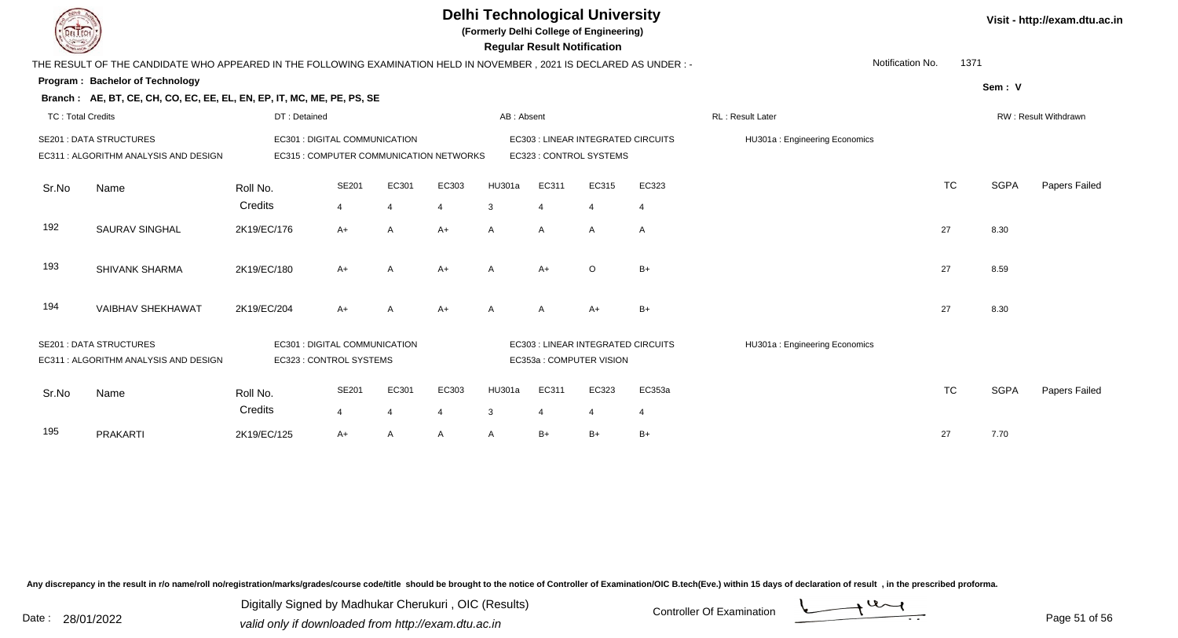**(Formerly Delhi College of Engineering)**

 **Regular Result Notification**

|                          | THE RESULT OF THE CANDIDATE WHO APPEARED IN THE FOLLOWING EXAMINATION HELD IN NOVEMBER, 2021 IS DECLARED AS UNDER:- |                               |                                                                    |                                                                                                      |                |              |                |                                    |                |                               | Notification No. | 1371      |             |                      |
|--------------------------|---------------------------------------------------------------------------------------------------------------------|-------------------------------|--------------------------------------------------------------------|------------------------------------------------------------------------------------------------------|----------------|--------------|----------------|------------------------------------|----------------|-------------------------------|------------------|-----------|-------------|----------------------|
|                          | Program: Bachelor of Technology                                                                                     |                               |                                                                    |                                                                                                      |                |              |                |                                    |                |                               |                  |           | Sem: V      |                      |
|                          | Branch: AE, BT, CE, CH, CO, EC, EE, EL, EN, EP, IT, MC, ME, PE, PS, SE                                              |                               |                                                                    |                                                                                                      |                |              |                |                                    |                |                               |                  |           |             |                      |
| <b>TC: Total Credits</b> |                                                                                                                     | DT: Detained                  |                                                                    |                                                                                                      |                | AB: Absent   |                |                                    |                | <b>RL: Result Later</b>       |                  |           |             | RW: Result Withdrawn |
|                          | <b>SE201 : DATA STRUCTURES</b>                                                                                      |                               |                                                                    | EC301 : DIGITAL COMMUNICATION<br>EC303 : LINEAR INTEGRATED CIRCUITS<br>HU301a: Engineering Economics |                |              |                |                                    |                |                               |                  |           |             |                      |
|                          | EC311 : ALGORITHM ANALYSIS AND DESIGN                                                                               |                               | EC315 : COMPUTER COMMUNICATION NETWORKS<br>EC323 : CONTROL SYSTEMS |                                                                                                      |                |              |                |                                    |                |                               |                  |           |             |                      |
|                          |                                                                                                                     |                               |                                                                    |                                                                                                      |                |              |                |                                    |                |                               |                  |           |             |                      |
| Sr.No                    | Name                                                                                                                | Roll No.                      | SE201                                                              | EC301                                                                                                | EC303          | HU301a       | EC311          | EC315                              | EC323          |                               |                  | <b>TC</b> | <b>SGPA</b> | Papers Failed        |
|                          |                                                                                                                     | Credits                       | $\overline{4}$                                                     | $\overline{4}$                                                                                       | $\overline{4}$ | 3            | $\overline{4}$ | $\overline{4}$                     | $\overline{4}$ |                               |                  |           |             |                      |
| 192                      | SAURAV SINGHAL                                                                                                      | 2K19/EC/176                   | $A+$                                                               | $\mathsf{A}$                                                                                         | $A+$           | $\mathsf{A}$ | $\overline{A}$ | $\mathsf{A}$                       | $\mathsf{A}$   |                               |                  | 27        | 8.30        |                      |
|                          |                                                                                                                     |                               |                                                                    |                                                                                                      |                |              |                |                                    |                |                               |                  |           |             |                      |
| 193                      | <b>SHIVANK SHARMA</b>                                                                                               | 2K19/EC/180                   | $A+$                                                               | A                                                                                                    | $A+$           | A            | $A+$           | $\circ$                            | $B+$           |                               |                  | 27        | 8.59        |                      |
|                          |                                                                                                                     |                               |                                                                    |                                                                                                      |                |              |                |                                    |                |                               |                  |           |             |                      |
| 194                      | <b>VAIBHAV SHEKHAWAT</b>                                                                                            | 2K19/EC/204                   | $A+$                                                               | A                                                                                                    | $A+$           | A            |                | $A+$                               | $B+$           |                               |                  | 27        | 8.30        |                      |
|                          |                                                                                                                     |                               |                                                                    |                                                                                                      |                |              | A              |                                    |                |                               |                  |           |             |                      |
|                          | <b>SE201 : DATA STRUCTURES</b>                                                                                      | EC301 : DIGITAL COMMUNICATION |                                                                    |                                                                                                      |                |              |                | EC303 : LINEAR INTEGRATED CIRCUITS |                | HU301a: Engineering Economics |                  |           |             |                      |
|                          | EC311 : ALGORITHM ANALYSIS AND DESIGN                                                                               | EC323 : CONTROL SYSTEMS       |                                                                    |                                                                                                      |                |              |                | EC353a : COMPUTER VISION           |                |                               |                  |           |             |                      |
|                          |                                                                                                                     |                               |                                                                    |                                                                                                      |                |              |                |                                    |                |                               |                  |           |             |                      |
| Sr.No                    | Name                                                                                                                | Roll No.                      | SE201                                                              | EC301                                                                                                | EC303          | HU301a       | EC311          | EC323                              | EC353a         |                               |                  | <b>TC</b> | <b>SGPA</b> | Papers Failed        |
|                          |                                                                                                                     | Credits                       | $\overline{4}$                                                     | 4                                                                                                    | $\overline{4}$ | 3            | $\overline{4}$ | $\overline{4}$                     | 4              |                               |                  |           |             |                      |
| 195                      | PRAKARTI                                                                                                            | 2K19/EC/125                   | $A+$                                                               | A                                                                                                    | A              | A            | $B+$           | $B+$                               | $B+$           |                               |                  | 27        | 7.70        |                      |
|                          |                                                                                                                     |                               |                                                                    |                                                                                                      |                |              |                |                                    |                |                               |                  |           |             |                      |

Any discrepancy in the result in r/o name/roll no/registration/marks/grades/course code/title should be brought to the notice of Controller of Examination/OIC B.tech(Eve.) within 15 days of declaration of result, in the pr

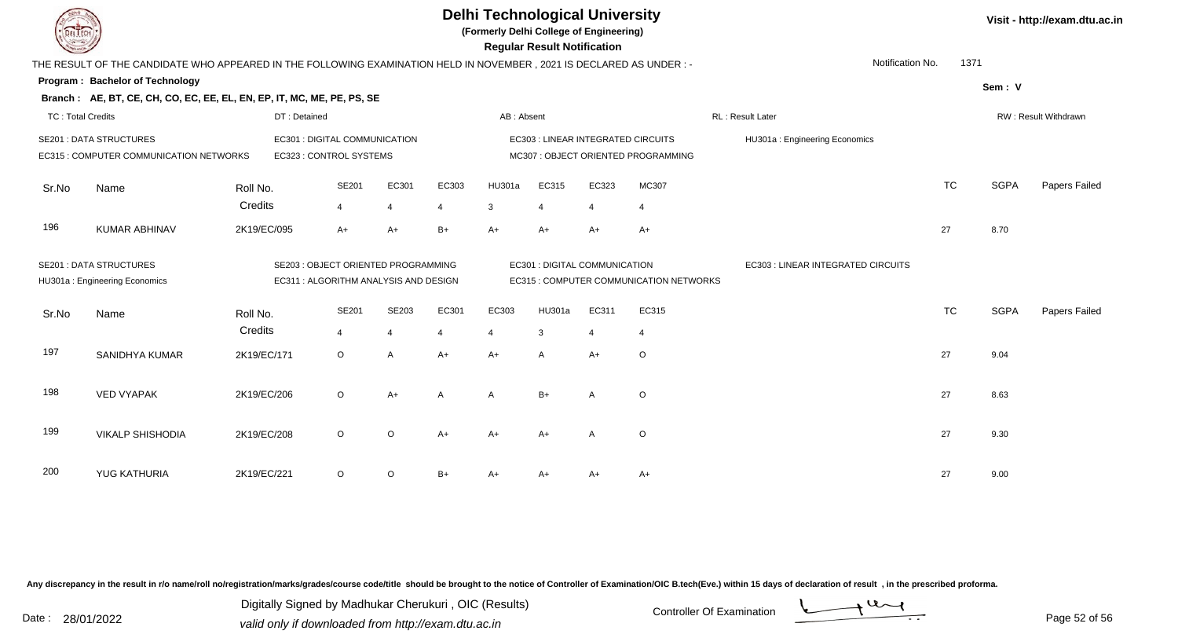**(Formerly Delhi College of Engineering)**

 **Regular Result Notification**

|  | Visit - http://exam.dtu.ac.in |  |
|--|-------------------------------|--|
|--|-------------------------------|--|

| $\overline{\phantom{a}}$ |                                                                                                                     |              |                                       |                       |                |                       | <b>Regular Result Rothloation</b>  |                |                                         |                                    |                      |             |               |  |  |
|--------------------------|---------------------------------------------------------------------------------------------------------------------|--------------|---------------------------------------|-----------------------|----------------|-----------------------|------------------------------------|----------------|-----------------------------------------|------------------------------------|----------------------|-------------|---------------|--|--|
|                          | THE RESULT OF THE CANDIDATE WHO APPEARED IN THE FOLLOWING EXAMINATION HELD IN NOVEMBER, 2021 IS DECLARED AS UNDER:- |              |                                       |                       |                |                       |                                    |                |                                         | Notification No.                   | 1371                 |             |               |  |  |
|                          | <b>Program: Bachelor of Technology</b>                                                                              |              |                                       |                       |                |                       |                                    |                |                                         |                                    |                      | Sem: V      |               |  |  |
|                          | Branch: AE, BT, CE, CH, CO, EC, EE, EL, EN, EP, IT, MC, ME, PE, PS, SE                                              |              |                                       |                       |                |                       |                                    |                |                                         |                                    |                      |             |               |  |  |
| <b>TC: Total Credits</b> |                                                                                                                     | DT: Detained |                                       |                       |                | AB: Absent            |                                    |                |                                         | RL: Result Later                   | RW: Result Withdrawn |             |               |  |  |
|                          | <b>SE201: DATA STRUCTURES</b>                                                                                       |              | EC301 : DIGITAL COMMUNICATION         |                       |                |                       | EC303 : LINEAR INTEGRATED CIRCUITS |                | HU301a: Engineering Economics           |                                    |                      |             |               |  |  |
|                          | EC315 : COMPUTER COMMUNICATION NETWORKS                                                                             |              | EC323 : CONTROL SYSTEMS               |                       |                |                       |                                    |                | MC307 : OBJECT ORIENTED PROGRAMMING     |                                    |                      |             |               |  |  |
| Sr.No                    | Name                                                                                                                | Roll No.     | <b>SE201</b>                          | EC301                 | EC303          | <b>HU301a</b>         | EC315                              | EC323          | MC307                                   |                                    | <b>TC</b>            | <b>SGPA</b> | Papers Failed |  |  |
|                          |                                                                                                                     | Credits      | $\overline{4}$                        | $\overline{4}$        | $\overline{4}$ | $\mathbf{3}$          | $\overline{4}$                     | $\overline{4}$ | $\overline{4}$                          |                                    |                      |             |               |  |  |
| 196                      | <b>KUMAR ABHINAV</b>                                                                                                | 2K19/EC/095  | $A+$                                  | A+                    | $B+$           | $A+$                  | $A+$                               | $A+$           | $A+$                                    |                                    | 27                   | 8.70        |               |  |  |
|                          | <b>SE201: DATA STRUCTURES</b><br>SE203 : OBJECT ORIENTED PROGRAMMING                                                |              |                                       |                       |                |                       | EC301 : DIGITAL COMMUNICATION      |                |                                         | EC303 : LINEAR INTEGRATED CIRCUITS |                      |             |               |  |  |
|                          | HU301a: Engineering Economics                                                                                       |              | EC311 : ALGORITHM ANALYSIS AND DESIGN |                       |                |                       |                                    |                | EC315 : COMPUTER COMMUNICATION NETWORKS |                                    |                      |             |               |  |  |
| Sr.No                    | Name                                                                                                                | Roll No.     | SE201                                 | SE203                 | EC301          | EC303                 | HU301a                             | EC311          | EC315                                   |                                    | <b>TC</b>            | <b>SGPA</b> | Papers Failed |  |  |
|                          |                                                                                                                     | Credits      | $\overline{4}$                        | $\boldsymbol{\Delta}$ | $\overline{4}$ | $\boldsymbol{\Delta}$ | 3                                  | $\overline{4}$ | $\overline{4}$                          |                                    |                      |             |               |  |  |
| 197                      | SANIDHYA KUMAR                                                                                                      | 2K19/EC/171  | $\circ$                               | A                     | $A+$           | A+                    | $\overline{A}$                     | $A+$           | $\circ$                                 |                                    | 27                   | 9.04        |               |  |  |
| 198                      | <b>VED VYAPAK</b>                                                                                                   | 2K19/EC/206  | $\circ$                               | A+                    | A              | $\overline{A}$        | $B+$                               | $\overline{A}$ | $\mathsf O$                             |                                    | 27                   | 8.63        |               |  |  |
|                          |                                                                                                                     |              |                                       |                       |                |                       |                                    |                |                                         |                                    |                      |             |               |  |  |
| 199                      | <b>VIKALP SHISHODIA</b>                                                                                             | 2K19/EC/208  | $\circ$                               | $\circ$               | $A+$           | $A+$                  | A+                                 | $\overline{A}$ | $\circ$                                 |                                    | 27                   | 9.30        |               |  |  |
|                          |                                                                                                                     |              |                                       |                       |                |                       |                                    |                |                                         |                                    |                      |             |               |  |  |
| 200                      | YUG KATHURIA                                                                                                        | 2K19/EC/221  | $\circ$                               | O                     | $B+$           | A+                    | A+                                 | A+             | $A+$                                    |                                    | 27                   | 9.00        |               |  |  |

Any discrepancy in the result in r/o name/roll no/registration/marks/grades/course code/title should be brought to the notice of Controller of Examination/OIC B.tech(Eve.) within 15 days of declaration of result, in the pr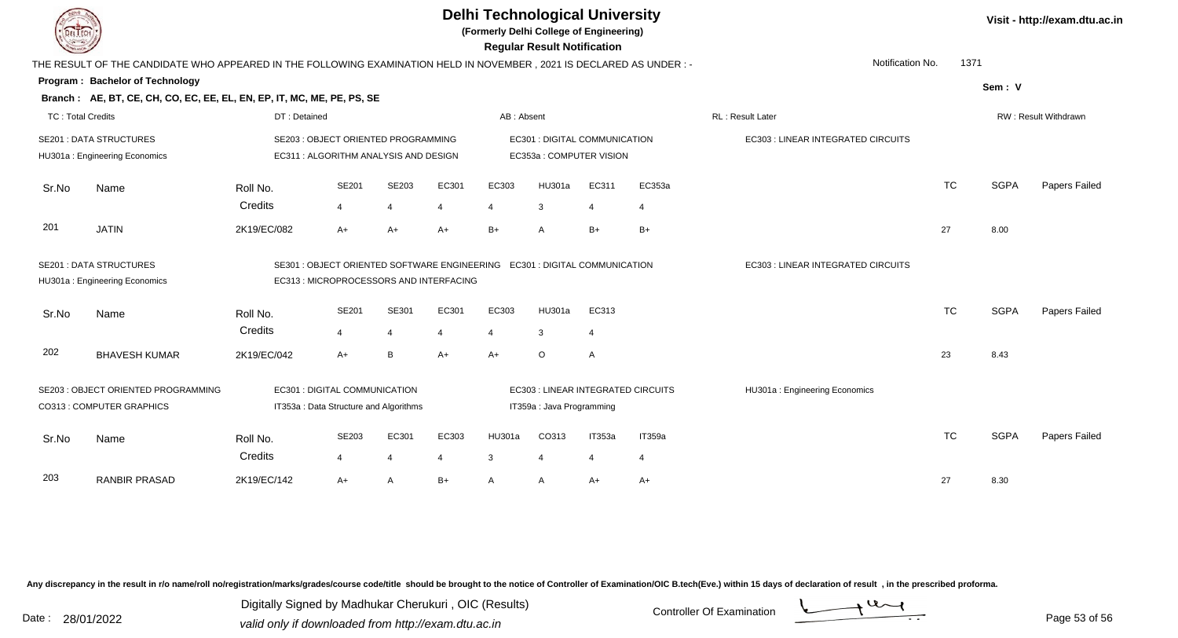| EL I ECH                 |                                                                                                                                            |                     |                                                                                                                      |                         |            |                         | <b>Delhi Technological University</b><br>(Formerly Delhi College of Engineering)<br><b>Regular Result Notification</b> |                         | Visit - http://exam.dtu.ac.in |                                    |           |             |                      |
|--------------------------|--------------------------------------------------------------------------------------------------------------------------------------------|---------------------|----------------------------------------------------------------------------------------------------------------------|-------------------------|------------|-------------------------|------------------------------------------------------------------------------------------------------------------------|-------------------------|-------------------------------|------------------------------------|-----------|-------------|----------------------|
|                          | THE RESULT OF THE CANDIDATE WHO APPEARED IN THE FOLLOWING EXAMINATION HELD IN NOVEMBER, 2021 IS DECLARED AS UNDER :-                       |                     |                                                                                                                      |                         |            |                         |                                                                                                                        |                         |                               | Notification No.                   | 1371      |             |                      |
|                          | Program: Bachelor of Technology                                                                                                            |                     |                                                                                                                      |                         |            |                         |                                                                                                                        |                         |                               |                                    |           | Sem: V      |                      |
|                          | Branch: AE, BT, CE, CH, CO, EC, EE, EL, EN, EP, IT, MC, ME, PE, PS, SE                                                                     |                     |                                                                                                                      |                         |            |                         |                                                                                                                        |                         |                               |                                    |           |             |                      |
| <b>TC: Total Credits</b> |                                                                                                                                            | DT: Detained        |                                                                                                                      |                         |            | AB: Absent              |                                                                                                                        |                         |                               | RL: Result Later                   |           |             | RW: Result Withdrawn |
|                          | <b>SE201 : DATA STRUCTURES</b><br>HU301a: Engineering Economics                                                                            |                     | SE203 : OBJECT ORIENTED PROGRAMMING<br>EC311 : ALGORITHM ANALYSIS AND DESIGN                                         |                         |            |                         | EC301 : DIGITAL COMMUNICATION<br>EC353a: COMPUTER VISION                                                               |                         |                               | EC303 : LINEAR INTEGRATED CIRCUITS |           |             |                      |
| Sr.No                    | Name                                                                                                                                       | Roll No.<br>Credits | SE201<br>4                                                                                                           | SE203<br>$\overline{4}$ | EC301<br>4 | EC303<br>$\overline{4}$ | HU301a<br>3                                                                                                            | EC311<br>$\overline{4}$ | EC353a<br>$\overline{4}$      |                                    | <b>TC</b> | <b>SGPA</b> | Papers Failed        |
| 201                      | <b>JATIN</b>                                                                                                                               | 2K19/EC/082         | $A+$                                                                                                                 | $A+$                    | A+         | $B+$                    | A                                                                                                                      | $B+$                    | $B+$                          |                                    | 27        | 8.00        |                      |
|                          | <b>SE201 : DATA STRUCTURES</b><br>HU301a: Engineering Economics                                                                            |                     | SE301: OBJECT ORIENTED SOFTWARE ENGINEERING  EC301: DIGITAL COMMUNICATION<br>EC313 : MICROPROCESSORS AND INTERFACING |                         |            |                         |                                                                                                                        |                         |                               | EC303 : LINEAR INTEGRATED CIRCUITS |           |             |                      |
| Sr.No                    | Name                                                                                                                                       | Roll No.<br>Credits | SE201<br>$\overline{4}$                                                                                              | SE301<br>$\overline{4}$ | EC301<br>4 | EC303<br>4              | HU301a<br>3                                                                                                            | EC313<br>4              |                               |                                    | <b>TC</b> | <b>SGPA</b> | Papers Failed        |
| 202                      | <b>BHAVESH KUMAR</b>                                                                                                                       | 2K19/EC/042         | $A+$                                                                                                                 | B                       | A+         | $A+$                    | $\circ$                                                                                                                | $\overline{A}$          |                               |                                    | 23        | 8.43        |                      |
|                          | SE203: OBJECT ORIENTED PROGRAMMING<br>EC301 : DIGITAL COMMUNICATION<br>CO313 : COMPUTER GRAPHICS<br>IT353a : Data Structure and Algorithms |                     |                                                                                                                      |                         |            |                         | EC303 : LINEAR INTEGRATED CIRCUITS<br>IT359a : Java Programming                                                        |                         |                               | HU301a: Engineering Economics      |           |             |                      |
| Sr.No                    | Name                                                                                                                                       | Roll No.<br>Credits | SE203<br>$\overline{4}$                                                                                              | EC301<br>4              | EC303<br>4 | HU301a<br>3             | CO313                                                                                                                  | IT353a<br>4             | IT359a<br>$\overline{4}$      |                                    | <b>TC</b> | <b>SGPA</b> | Papers Failed        |
| 203                      | <b>RANBIR PRASAD</b>                                                                                                                       | 2K19/EC/142         | $A+$                                                                                                                 | A                       | $B+$       | $\overline{A}$          | A                                                                                                                      | $A+$                    | A+                            |                                    | 27        | 8.30        |                      |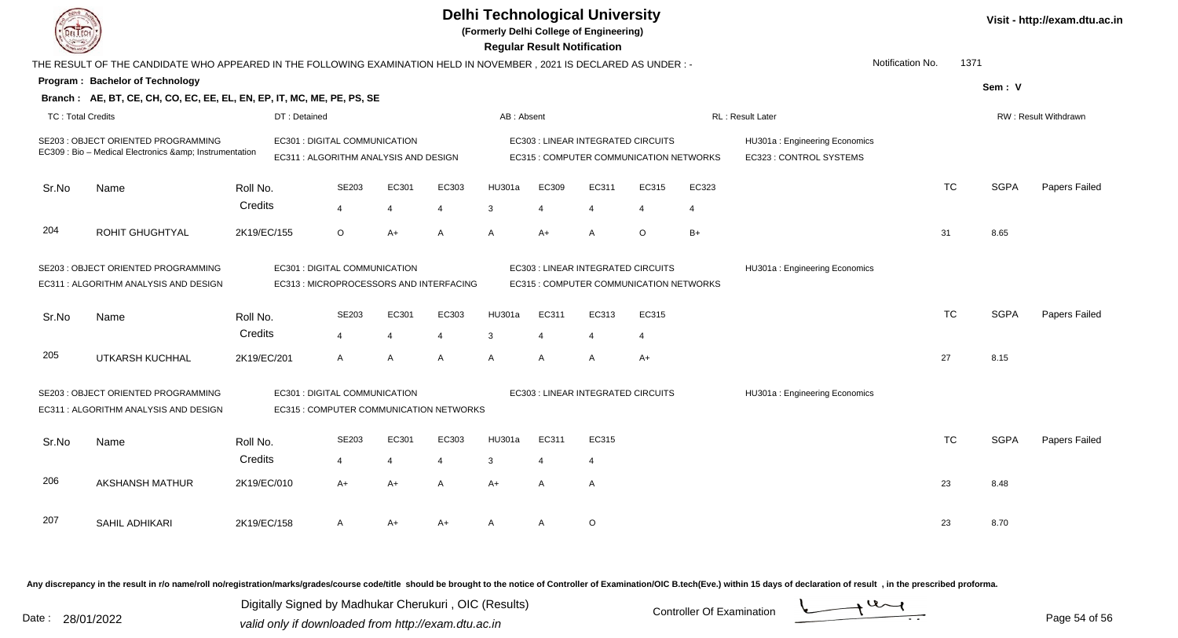|                                                                                                                                                          |                                                                                                                        |                     |                               |                         |                                       |                                         |                | <b>Regular Result Notification</b> | <b>Delhi Technological University</b><br>(Formerly Delhi College of Engineering) |                                         |                |                                                          |                  |           |             | Visit - http://exam.dtu.ac.in |
|----------------------------------------------------------------------------------------------------------------------------------------------------------|------------------------------------------------------------------------------------------------------------------------|---------------------|-------------------------------|-------------------------|---------------------------------------|-----------------------------------------|----------------|------------------------------------|----------------------------------------------------------------------------------|-----------------------------------------|----------------|----------------------------------------------------------|------------------|-----------|-------------|-------------------------------|
|                                                                                                                                                          | THE RESULT OF THE CANDIDATE WHO APPEARED IN THE FOLLOWING EXAMINATION HELD IN NOVEMBER , 2021 IS DECLARED AS UNDER : - |                     |                               |                         |                                       |                                         |                |                                    |                                                                                  |                                         |                |                                                          | Notification No. | 1371      |             |                               |
|                                                                                                                                                          | Program: Bachelor of Technology                                                                                        |                     |                               |                         |                                       |                                         |                |                                    |                                                                                  |                                         |                |                                                          |                  |           | Sem: V      |                               |
|                                                                                                                                                          | Branch: AE, BT, CE, CH, CO, EC, EE, EL, EN, EP, IT, MC, ME, PE, PS, SE                                                 |                     |                               |                         |                                       |                                         |                |                                    |                                                                                  |                                         |                |                                                          |                  |           |             |                               |
| <b>TC: Total Credits</b>                                                                                                                                 |                                                                                                                        |                     | DT: Detained                  |                         |                                       |                                         | AB: Absent     |                                    |                                                                                  |                                         |                | RL: Result Later                                         |                  |           |             | RW: Result Withdrawn          |
|                                                                                                                                                          | <b>SE203: OBJECT ORIENTED PROGRAMMING</b><br>EC309 : Bio - Medical Electronics & Instrumentation                       |                     | EC301 : DIGITAL COMMUNICATION |                         | EC311 : ALGORITHM ANALYSIS AND DESIGN |                                         |                |                                    | EC303 : LINEAR INTEGRATED CIRCUITS                                               | EC315 : COMPUTER COMMUNICATION NETWORKS |                | HU301a: Engineering Economics<br>EC323 : CONTROL SYSTEMS |                  |           |             |                               |
| Sr.No                                                                                                                                                    | Name                                                                                                                   | Roll No.            |                               | SE203                   | EC301                                 | EC303                                   | HU301a         | EC309                              | EC311                                                                            | EC315                                   | EC323          |                                                          |                  | <b>TC</b> | <b>SGPA</b> | Papers Failed                 |
|                                                                                                                                                          |                                                                                                                        | Credits             |                               | $\overline{4}$          | $\overline{4}$                        | 4                                       | $\mathbf{3}$   | $\overline{4}$                     | 4                                                                                | 4                                       | $\overline{4}$ |                                                          |                  |           |             |                               |
| 204                                                                                                                                                      | ROHIT GHUGHTYAL                                                                                                        | 2K19/EC/155         |                               | $\circ$                 | $A+$                                  | A                                       | $\overline{A}$ | $A+$                               | A                                                                                | $\circ$                                 | $B+$           |                                                          |                  | 31        | 8.65        |                               |
| SE203 : OBJECT ORIENTED PROGRAMMING<br>EC301 : DIGITAL COMMUNICATION<br>EC311 : ALGORITHM ANALYSIS AND DESIGN<br>EC313 : MICROPROCESSORS AND INTERFACING |                                                                                                                        |                     |                               |                         |                                       |                                         |                |                                    | EC303 : LINEAR INTEGRATED CIRCUITS                                               | EC315 : COMPUTER COMMUNICATION NETWORKS |                | HU301a: Engineering Economics                            |                  |           |             |                               |
| Sr.No                                                                                                                                                    | Name                                                                                                                   | Roll No.<br>Credits |                               | SE203<br>$\overline{4}$ | EC301<br>4                            | EC303<br>4                              | HU301a<br>3    | EC311<br>$\overline{4}$            | EC313<br>$\overline{4}$                                                          | EC315<br>4                              |                |                                                          |                  | <b>TC</b> | <b>SGPA</b> | Papers Failed                 |
| 205                                                                                                                                                      | UTKARSH KUCHHAL                                                                                                        | 2K19/EC/201         |                               | $\mathsf{A}$            | A                                     | A                                       | $\overline{A}$ | $\overline{A}$                     | $\overline{A}$                                                                   | $A+$                                    |                |                                                          |                  | 27        | 8.15        |                               |
|                                                                                                                                                          | SE203 : OBJECT ORIENTED PROGRAMMING<br>EC311 : ALGORITHM ANALYSIS AND DESIGN                                           |                     | EC301 : DIGITAL COMMUNICATION |                         |                                       | EC315 : COMPUTER COMMUNICATION NETWORKS |                |                                    | EC303 : LINEAR INTEGRATED CIRCUITS                                               |                                         |                | HU301a: Engineering Economics                            |                  |           |             |                               |
| Sr.No                                                                                                                                                    | Name                                                                                                                   | Roll No.            |                               | SE203                   | EC301                                 | EC303                                   | HU301a         | EC311                              | EC315                                                                            |                                         |                |                                                          |                  | <b>TC</b> | <b>SGPA</b> | Papers Failed                 |
|                                                                                                                                                          |                                                                                                                        | Credits             |                               | $\overline{\mathbf{4}}$ | $\overline{4}$                        | 4                                       | 3              |                                    | 4                                                                                |                                         |                |                                                          |                  |           |             |                               |
| 206                                                                                                                                                      | <b>AKSHANSH MATHUR</b>                                                                                                 | 2K19/EC/010         |                               | A+                      | A+                                    | A                                       | $A+$           | $\overline{A}$                     | A                                                                                |                                         |                |                                                          |                  | 23        | 8.48        |                               |
| 207                                                                                                                                                      | SAHIL ADHIKARI                                                                                                         | 2K19/EC/158         |                               | A                       | $A+$                                  | A+                                      | A              | $\overline{A}$                     | $\circ$                                                                          |                                         |                |                                                          |                  | 23        | 8.70        |                               |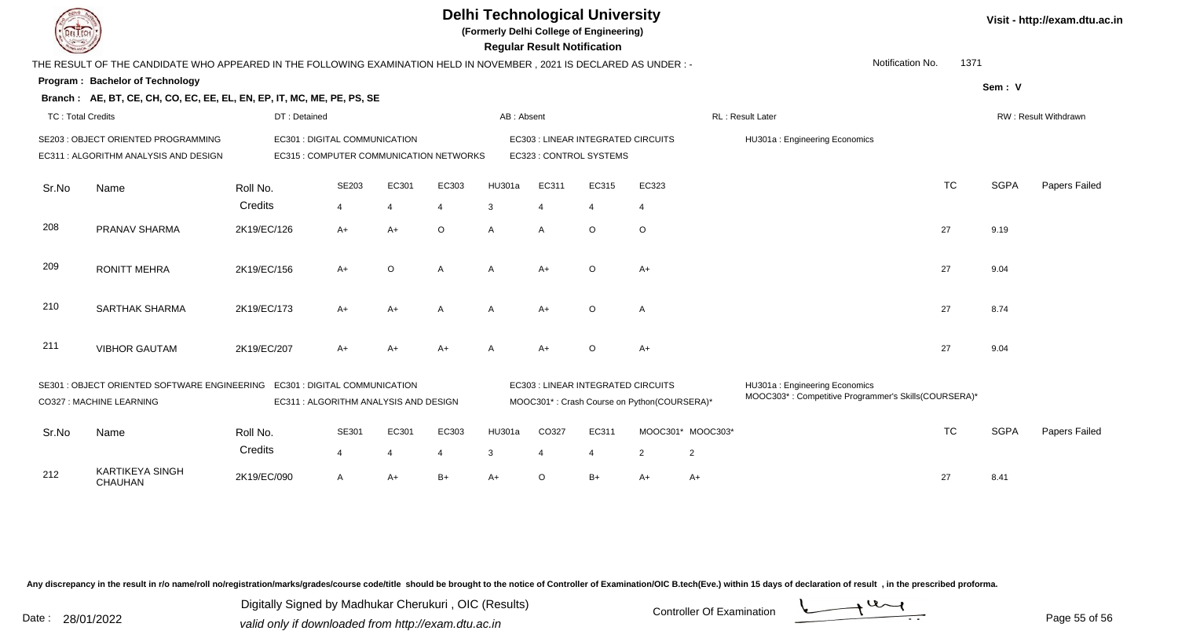**(Formerly Delhi College of Engineering)**

 **Regular Result Notification**

| $\overline{\phantom{a}}$ |                                                                                                                     |                                         |                |         |         |                         | noguiai nosuit notiiloation |                                                                                   |                               |                   |                                                                                       |                      |             |               |  |
|--------------------------|---------------------------------------------------------------------------------------------------------------------|-----------------------------------------|----------------|---------|---------|-------------------------|-----------------------------|-----------------------------------------------------------------------------------|-------------------------------|-------------------|---------------------------------------------------------------------------------------|----------------------|-------------|---------------|--|
|                          | THE RESULT OF THE CANDIDATE WHO APPEARED IN THE FOLLOWING EXAMINATION HELD IN NOVEMBER, 2021 IS DECLARED AS UNDER:- |                                         |                |         |         |                         |                             |                                                                                   |                               |                   | Notification No.                                                                      | 1371                 |             |               |  |
|                          | Program: Bachelor of Technology                                                                                     |                                         |                |         |         |                         |                             |                                                                                   |                               |                   |                                                                                       |                      | Sem: V      |               |  |
|                          | Branch: AE, BT, CE, CH, CO, EC, EE, EL, EN, EP, IT, MC, ME, PE, PS, SE                                              |                                         |                |         |         |                         |                             |                                                                                   |                               |                   |                                                                                       |                      |             |               |  |
| <b>TC: Total Credits</b> |                                                                                                                     | DT: Detained                            |                |         |         | AB: Absent              |                             |                                                                                   |                               |                   | RL : Result Later                                                                     | RW: Result Withdrawn |             |               |  |
|                          | SE203 : OBJECT ORIENTED PROGRAMMING                                                                                 | EC301 : DIGITAL COMMUNICATION           |                |         |         |                         |                             | EC303 : LINEAR INTEGRATED CIRCUITS                                                | HU301a: Engineering Economics |                   |                                                                                       |                      |             |               |  |
|                          | EC311 : ALGORITHM ANALYSIS AND DESIGN                                                                               | EC315 : COMPUTER COMMUNICATION NETWORKS |                |         |         | EC323 : CONTROL SYSTEMS |                             |                                                                                   |                               |                   |                                                                                       |                      |             |               |  |
| Sr.No                    | Name                                                                                                                | Roll No.                                | SE203          | EC301   | EC303   | HU301a                  | EC311                       | EC315                                                                             | EC323                         |                   |                                                                                       | <b>TC</b>            | <b>SGPA</b> | Papers Failed |  |
|                          |                                                                                                                     | Credits                                 | $\overline{4}$ |         | 4       | 3                       | $\overline{4}$              | $\overline{4}$                                                                    | $\overline{4}$                |                   |                                                                                       |                      |             |               |  |
| 208                      | PRANAV SHARMA                                                                                                       | 2K19/EC/126                             | $A+$           | $A+$    | $\circ$ | A                       | $\overline{A}$              | $\circ$                                                                           | $\circ$                       |                   |                                                                                       | 27                   | 9.19        |               |  |
| 209                      | <b>RONITT MEHRA</b>                                                                                                 | 2K19/EC/156                             | $A+$           | $\circ$ | A       | A                       | $A+$                        | $\circ$                                                                           | $A+$                          |                   |                                                                                       | 27                   | 9.04        |               |  |
| 210                      | <b>SARTHAK SHARMA</b>                                                                                               | 2K19/EC/173                             | $A+$           | $A+$    | A       | A                       | $A+$                        | $\circ$                                                                           | Α                             |                   |                                                                                       | 27                   | 8.74        |               |  |
| 211                      | <b>VIBHOR GAUTAM</b>                                                                                                | 2K19/EC/207                             | $A+$           | $A+$    | $A+$    | A                       | $A+$                        | $\circ$                                                                           | $A+$                          |                   |                                                                                       | 27                   | 9.04        |               |  |
|                          | SE301 : OBJECT ORIENTED SOFTWARE ENGINEERING EC301 : DIGITAL COMMUNICATION<br>CO327 : MACHINE LEARNING              | EC311 : ALGORITHM ANALYSIS AND DESIGN   |                |         |         |                         |                             | EC303 : LINEAR INTEGRATED CIRCUITS<br>MOOC301*: Crash Course on Python(COURSERA)* |                               |                   | HU301a: Engineering Economics<br>MOOC303*: Competitive Programmer's Skills(COURSERA)* |                      |             |               |  |
|                          |                                                                                                                     |                                         |                |         |         |                         |                             |                                                                                   |                               |                   |                                                                                       |                      |             |               |  |
| Sr.No                    | Name                                                                                                                | Roll No.                                | SE301          | EC301   | EC303   | <b>HU301a</b>           | CO327                       | EC311                                                                             |                               | MOOC301* MOOC303* |                                                                                       | <b>TC</b>            | <b>SGPA</b> | Papers Failed |  |
|                          |                                                                                                                     | Credits                                 | $\overline{4}$ |         | 4       | 3                       | 4                           | 4                                                                                 | $\overline{2}$                | $\overline{2}$    |                                                                                       |                      |             |               |  |
| 212                      | <b>KARTIKEYA SINGH</b><br>CHAUHAN                                                                                   | 2K19/EC/090                             | Α              | $A+$    | $B+$    | $A+$                    | $\circ$                     | $B+$                                                                              | $A+$                          | A+                |                                                                                       | 27                   | 8.41        |               |  |

Any discrepancy in the result in r/o name/roll no/registration/marks/grades/course code/title should be brought to the notice of Controller of Examination/OIC B.tech(Eve.) within 15 days of declaration of result, in the pr